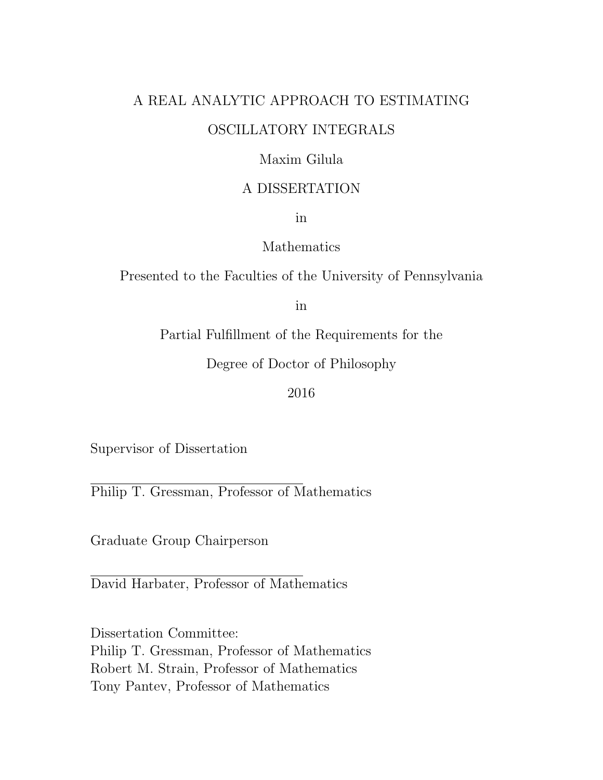### A REAL ANALYTIC APPROACH TO ESTIMATING OSCILLATORY INTEGRALS

#### Maxim Gilula

#### A DISSERTATION

in

#### Mathematics

Presented to the Faculties of the University of Pennsylvania

in

Partial Fulfillment of the Requirements for the

Degree of Doctor of Philosophy

#### 2016

Supervisor of Dissertation

Philip T. Gressman, Professor of Mathematics

Graduate Group Chairperson

David Harbater, Professor of Mathematics

Dissertation Committee: Philip T. Gressman, Professor of Mathematics Robert M. Strain, Professor of Mathematics Tony Pantev, Professor of Mathematics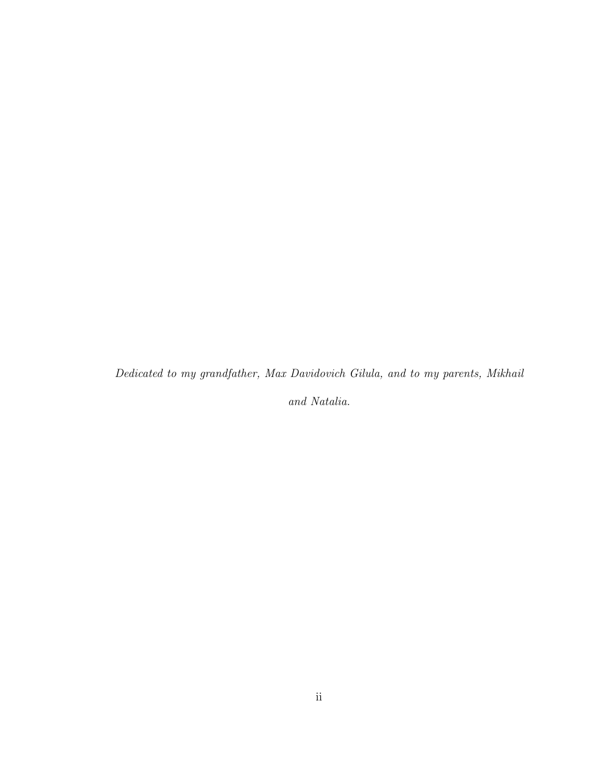Dedicated to my grandfather, Max Davidovich Gilula, and to my parents, Mikhail

and Natalia.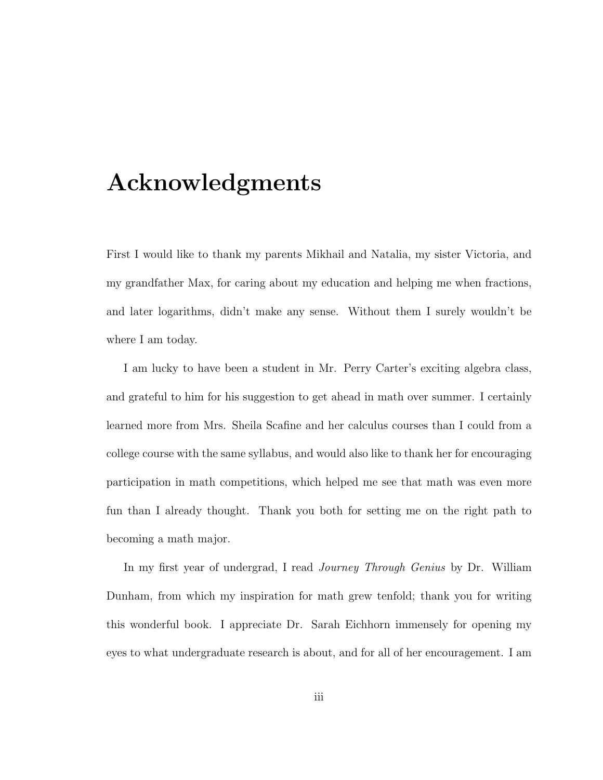## Acknowledgments

First I would like to thank my parents Mikhail and Natalia, my sister Victoria, and my grandfather Max, for caring about my education and helping me when fractions, and later logarithms, didn't make any sense. Without them I surely wouldn't be where I am today.

I am lucky to have been a student in Mr. Perry Carter's exciting algebra class, and grateful to him for his suggestion to get ahead in math over summer. I certainly learned more from Mrs. Sheila Scafine and her calculus courses than I could from a college course with the same syllabus, and would also like to thank her for encouraging participation in math competitions, which helped me see that math was even more fun than I already thought. Thank you both for setting me on the right path to becoming a math major.

In my first year of undergrad, I read Journey Through Genius by Dr. William Dunham, from which my inspiration for math grew tenfold; thank you for writing this wonderful book. I appreciate Dr. Sarah Eichhorn immensely for opening my eyes to what undergraduate research is about, and for all of her encouragement. I am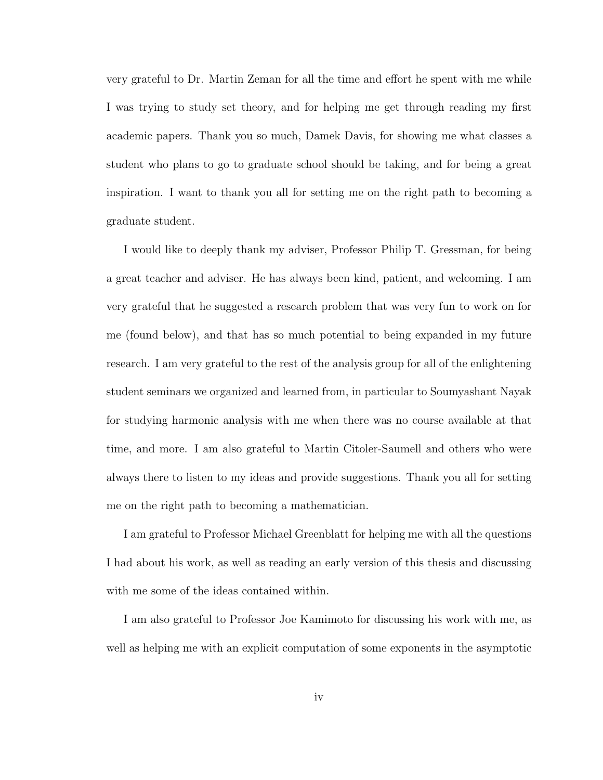very grateful to Dr. Martin Zeman for all the time and effort he spent with me while I was trying to study set theory, and for helping me get through reading my first academic papers. Thank you so much, Damek Davis, for showing me what classes a student who plans to go to graduate school should be taking, and for being a great inspiration. I want to thank you all for setting me on the right path to becoming a graduate student.

I would like to deeply thank my adviser, Professor Philip T. Gressman, for being a great teacher and adviser. He has always been kind, patient, and welcoming. I am very grateful that he suggested a research problem that was very fun to work on for me (found below), and that has so much potential to being expanded in my future research. I am very grateful to the rest of the analysis group for all of the enlightening student seminars we organized and learned from, in particular to Soumyashant Nayak for studying harmonic analysis with me when there was no course available at that time, and more. I am also grateful to Martin Citoler-Saumell and others who were always there to listen to my ideas and provide suggestions. Thank you all for setting me on the right path to becoming a mathematician.

I am grateful to Professor Michael Greenblatt for helping me with all the questions I had about his work, as well as reading an early version of this thesis and discussing with me some of the ideas contained within.

I am also grateful to Professor Joe Kamimoto for discussing his work with me, as well as helping me with an explicit computation of some exponents in the asymptotic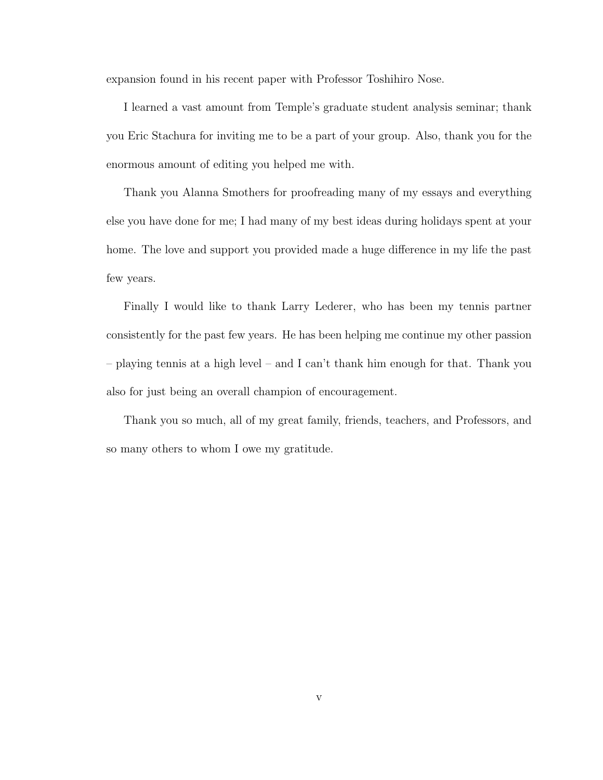expansion found in his recent paper with Professor Toshihiro Nose.

I learned a vast amount from Temple's graduate student analysis seminar; thank you Eric Stachura for inviting me to be a part of your group. Also, thank you for the enormous amount of editing you helped me with.

Thank you Alanna Smothers for proofreading many of my essays and everything else you have done for me; I had many of my best ideas during holidays spent at your home. The love and support you provided made a huge difference in my life the past few years.

Finally I would like to thank Larry Lederer, who has been my tennis partner consistently for the past few years. He has been helping me continue my other passion – playing tennis at a high level – and I can't thank him enough for that. Thank you also for just being an overall champion of encouragement.

Thank you so much, all of my great family, friends, teachers, and Professors, and so many others to whom I owe my gratitude.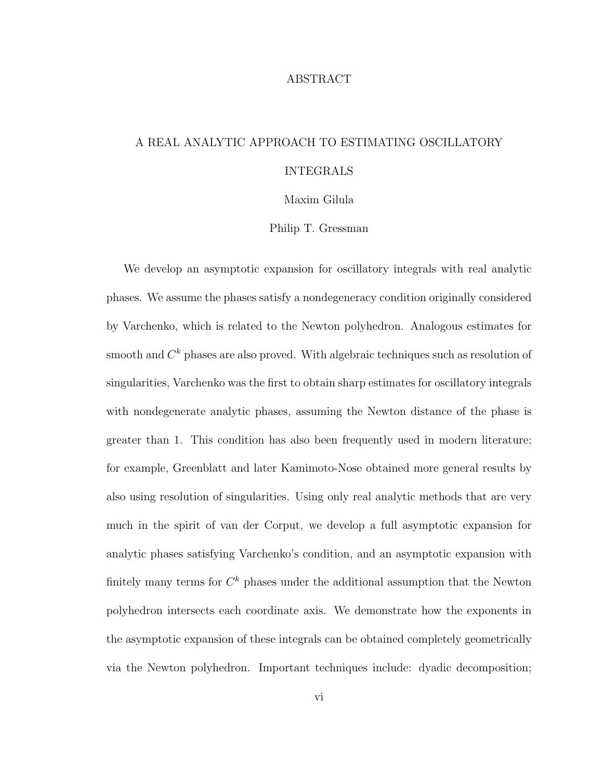#### ABSTRACT

### A REAL ANALYTIC APPROACH TO ESTIMATING OSCILLATORY INTEGRALS

Maxim Gilula

Philip T. Gressman

We develop an asymptotic expansion for oscillatory integrals with real analytic phases. We assume the phases satisfy a nondegeneracy condition originally considered by Varchenko, which is related to the Newton polyhedron. Analogous estimates for smooth and  $C^k$  phases are also proved. With algebraic techniques such as resolution of singularities, Varchenko was the first to obtain sharp estimates for oscillatory integrals with nondegenerate analytic phases, assuming the Newton distance of the phase is greater than 1. This condition has also been frequently used in modern literature; for example, Greenblatt and later Kamimoto-Nose obtained more general results by also using resolution of singularities. Using only real analytic methods that are very much in the spirit of van der Corput, we develop a full asymptotic expansion for analytic phases satisfying Varchenko's condition, and an asymptotic expansion with finitely many terms for  $C^k$  phases under the additional assumption that the Newton polyhedron intersects each coordinate axis. We demonstrate how the exponents in the asymptotic expansion of these integrals can be obtained completely geometrically via the Newton polyhedron. Important techniques include: dyadic decomposition;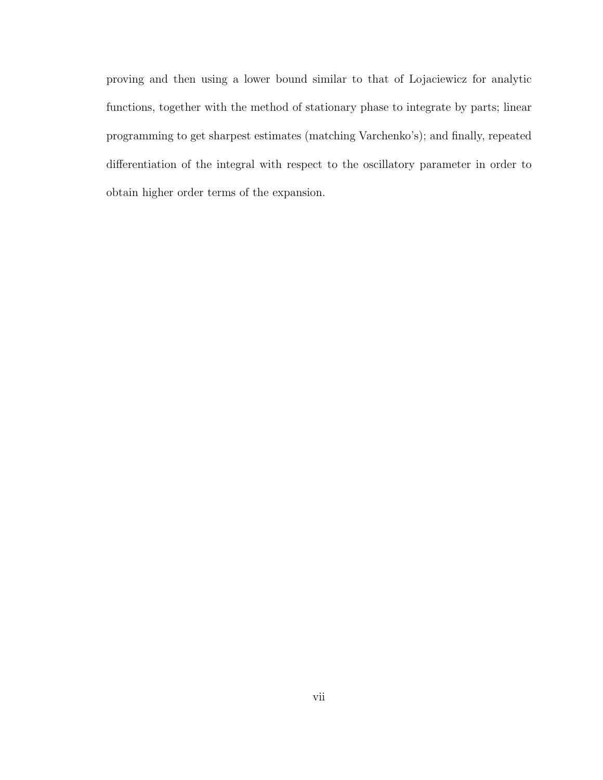proving and then using a lower bound similar to that of Lojaciewicz for analytic functions, together with the method of stationary phase to integrate by parts; linear programming to get sharpest estimates (matching Varchenko's); and finally, repeated differentiation of the integral with respect to the oscillatory parameter in order to obtain higher order terms of the expansion.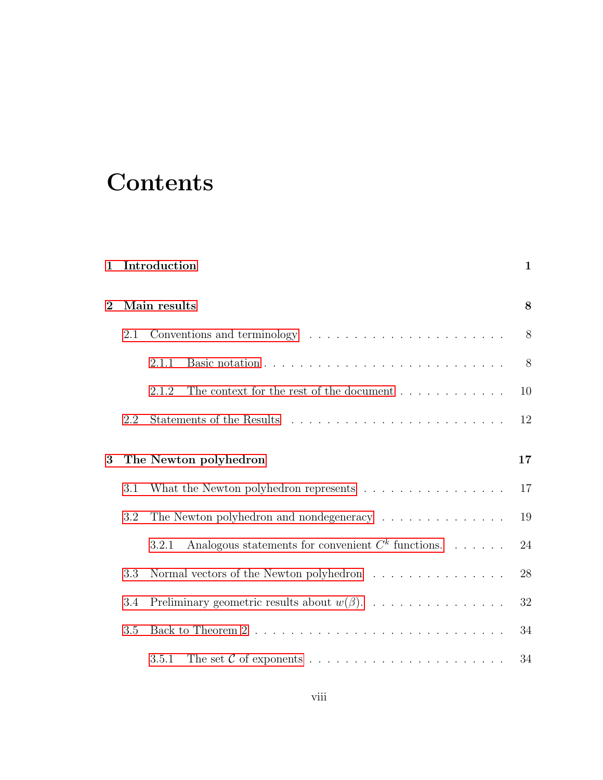# **Contents**

| $\mathbf{1}$ |                       | Introduction                                                                                     | $\mathbf{1}$ |
|--------------|-----------------------|--------------------------------------------------------------------------------------------------|--------------|
| $\mathbf{2}$ | Main results          |                                                                                                  |              |
|              | 2.1                   | Conventions and terminology $\dots \dots \dots \dots \dots \dots \dots \dots$                    | 8            |
|              |                       | 2.1.1                                                                                            | 8            |
|              |                       | 2.1.2<br>The context for the rest of the document $\dots \dots \dots$                            | 10           |
|              | 2.2                   |                                                                                                  | 12           |
| 3            | The Newton polyhedron |                                                                                                  |              |
|              | 3.1                   | What the Newton polyhedron represents $\ldots \ldots \ldots \ldots \ldots$                       | 17           |
|              | 3.2                   | The Newton polyhedron and nondegeneracy $\ldots \ldots \ldots \ldots \ldots$                     | 19           |
|              |                       | Analogous statements for convenient $C^k$ functions.<br>3.2.1                                    | 24           |
|              | 3.3                   | Normal vectors of the Newton polyhedron $\hfill\ldots\ldots\ldots\ldots\ldots\ldots\ldots\ldots$ | 28           |
|              | 3.4                   | Preliminary geometric results about $w(\beta)$ .                                                 | 32           |
|              | 3.5                   |                                                                                                  | 34           |
|              |                       | 3.5.1                                                                                            | 34           |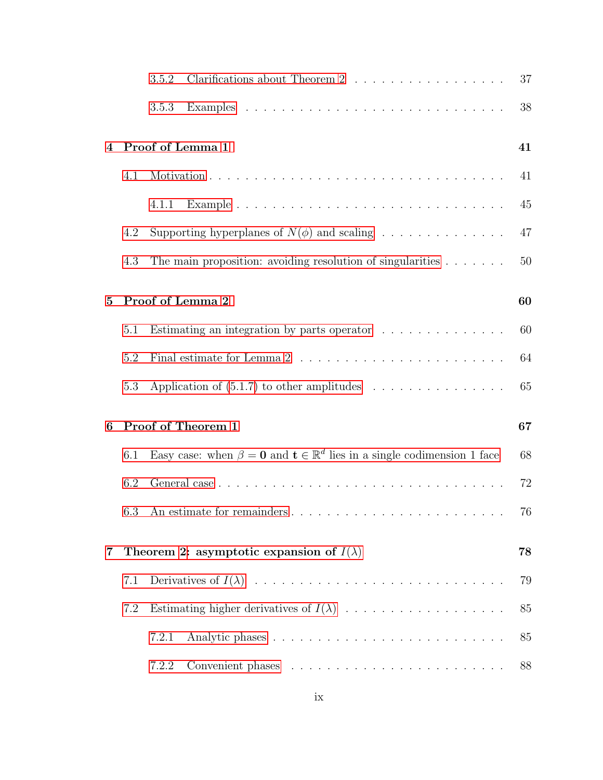|          |     | Clarifications about Theorem 2<br>3.5.2                                                           | 37 |
|----------|-----|---------------------------------------------------------------------------------------------------|----|
|          |     | 3.5.3                                                                                             | 38 |
| 4        |     | Proof of Lemma 1                                                                                  | 41 |
|          | 4.1 |                                                                                                   | 41 |
|          |     | 4.1.1                                                                                             | 45 |
|          | 4.2 | Supporting hyperplanes of $N(\phi)$ and scaling                                                   | 47 |
|          | 4.3 | The main proposition: avoiding resolution of singularities $\ldots \ldots$                        | 50 |
| $\bf{5}$ |     | Proof of Lemma 2                                                                                  | 60 |
|          | 5.1 | Estimating an integration by parts operator $\ldots \ldots \ldots \ldots$                         | 60 |
|          | 5.2 | Final estimate for Lemma 2 $\ldots \ldots \ldots \ldots \ldots \ldots \ldots \ldots$              | 64 |
|          | 5.3 | Application of $(5.1.7)$ to other amplitudes                                                      | 65 |
| 6        |     | Proof of Theorem 1                                                                                | 67 |
|          | 6.1 | Easy case: when $\beta = 0$ and $\mathbf{t} \in \mathbb{R}^d$ lies in a single codimension 1 face | 68 |
|          | 6.2 |                                                                                                   | 72 |
|          |     |                                                                                                   | 76 |
| 7        |     | Theorem 2: asymptotic expansion of $I(\lambda)$                                                   | 78 |
|          | 7.1 |                                                                                                   | 79 |
|          | 7.2 |                                                                                                   | 85 |
|          |     | 7.2.1                                                                                             | 85 |
|          |     | 7.2.2                                                                                             | 88 |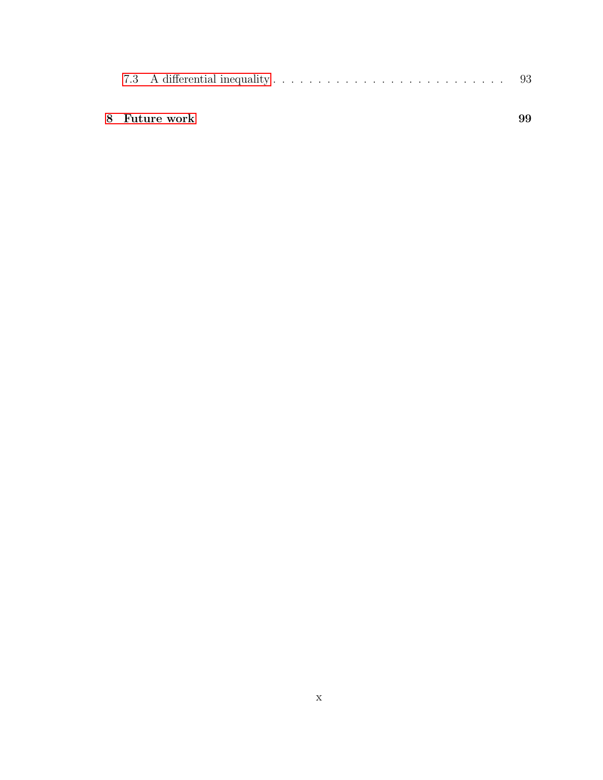| 8   Future work |  |
|-----------------|--|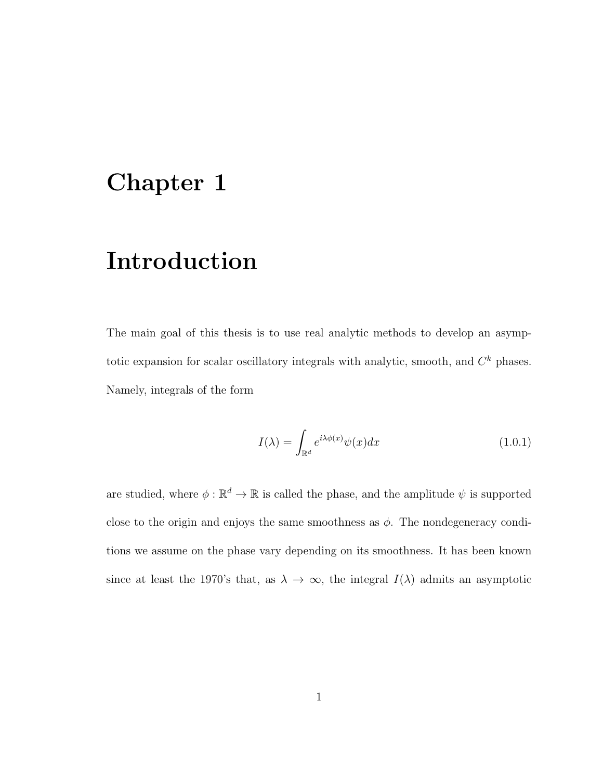## <span id="page-10-0"></span>Chapter 1

## Introduction

The main goal of this thesis is to use real analytic methods to develop an asymptotic expansion for scalar oscillatory integrals with analytic, smooth, and  $C<sup>k</sup>$  phases. Namely, integrals of the form

<span id="page-10-1"></span>
$$
I(\lambda) = \int_{\mathbb{R}^d} e^{i\lambda \phi(x)} \psi(x) dx \tag{1.0.1}
$$

are studied, where  $\phi : \mathbb{R}^d \to \mathbb{R}$  is called the phase, and the amplitude  $\psi$  is supported close to the origin and enjoys the same smoothness as  $\phi$ . The nondegeneracy conditions we assume on the phase vary depending on its smoothness. It has been known since at least the 1970's that, as  $\lambda \to \infty$ , the integral  $I(\lambda)$  admits an asymptotic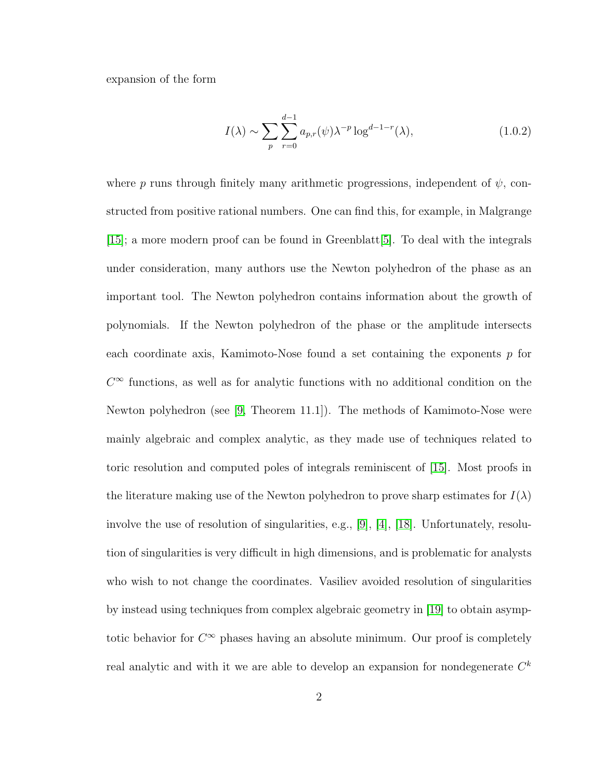expansion of the form

<span id="page-11-0"></span>
$$
I(\lambda) \sim \sum_{p} \sum_{r=0}^{d-1} a_{p,r}(\psi) \lambda^{-p} \log^{d-1-r}(\lambda), \qquad (1.0.2)
$$

where p runs through finitely many arithmetic progressions, independent of  $\psi$ , constructed from positive rational numbers. One can find this, for example, in Malgrange [\[15\]](#page-116-0); a more modern proof can be found in Greenblatt[\[5\]](#page-115-0). To deal with the integrals under consideration, many authors use the Newton polyhedron of the phase as an important tool. The Newton polyhedron contains information about the growth of polynomials. If the Newton polyhedron of the phase or the amplitude intersects each coordinate axis, Kamimoto-Nose found a set containing the exponents  $p$  for  $C^{\infty}$  functions, as well as for analytic functions with no additional condition on the Newton polyhedron (see [\[9,](#page-116-1) Theorem 11.1]). The methods of Kamimoto-Nose were mainly algebraic and complex analytic, as they made use of techniques related to toric resolution and computed poles of integrals reminiscent of [\[15\]](#page-116-0). Most proofs in the literature making use of the Newton polyhedron to prove sharp estimates for  $I(\lambda)$ involve the use of resolution of singularities, e.g., [\[9\]](#page-116-1), [\[4\]](#page-115-1), [\[18\]](#page-117-0). Unfortunately, resolution of singularities is very difficult in high dimensions, and is problematic for analysts who wish to not change the coordinates. Vasiliev avoided resolution of singularities by instead using techniques from complex algebraic geometry in [\[19\]](#page-117-1) to obtain asymptotic behavior for  $C^{\infty}$  phases having an absolute minimum. Our proof is completely real analytic and with it we are able to develop an expansion for nondegenerate  $C^k$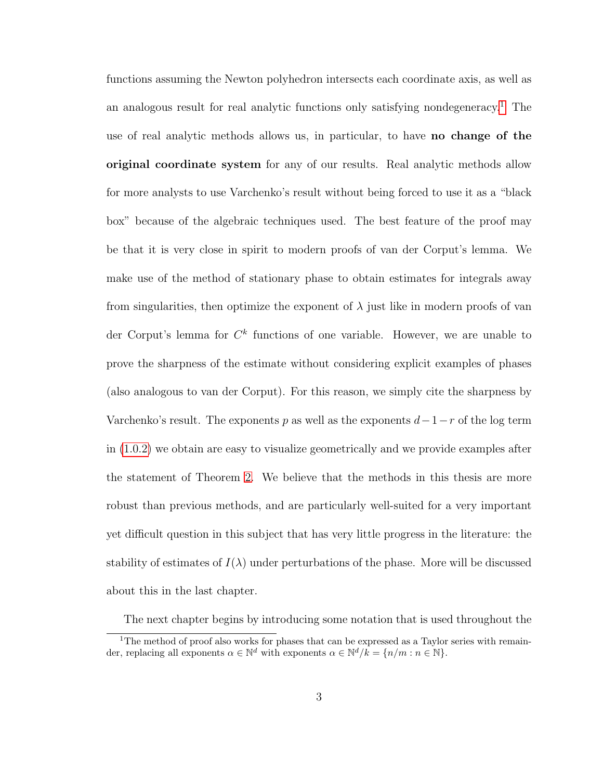functions assuming the Newton polyhedron intersects each coordinate axis, as well as an analogous result for real analytic functions only satisfying nondegeneracy.<sup>[1](#page-12-0)</sup> The use of real analytic methods allows us, in particular, to have no change of the original coordinate system for any of our results. Real analytic methods allow for more analysts to use Varchenko's result without being forced to use it as a "black box" because of the algebraic techniques used. The best feature of the proof may be that it is very close in spirit to modern proofs of van der Corput's lemma. We make use of the method of stationary phase to obtain estimates for integrals away from singularities, then optimize the exponent of  $\lambda$  just like in modern proofs of van der Corput's lemma for  $C^k$  functions of one variable. However, we are unable to prove the sharpness of the estimate without considering explicit examples of phases (also analogous to van der Corput). For this reason, we simply cite the sharpness by Varchenko's result. The exponents p as well as the exponents  $d-1-r$  of the log term in [\(1.0.2\)](#page-11-0) we obtain are easy to visualize geometrically and we provide examples after the statement of Theorem [2.](#page-24-0) We believe that the methods in this thesis are more robust than previous methods, and are particularly well-suited for a very important yet difficult question in this subject that has very little progress in the literature: the stability of estimates of  $I(\lambda)$  under perturbations of the phase. More will be discussed about this in the last chapter.

<span id="page-12-0"></span>The next chapter begins by introducing some notation that is used throughout the

<sup>&</sup>lt;sup>1</sup>The method of proof also works for phases that can be expressed as a Taylor series with remainder, replacing all exponents  $\alpha \in \mathbb{N}^d$  with exponents  $\alpha \in \mathbb{N}^d / k = \{n/m : n \in \mathbb{N}\}.$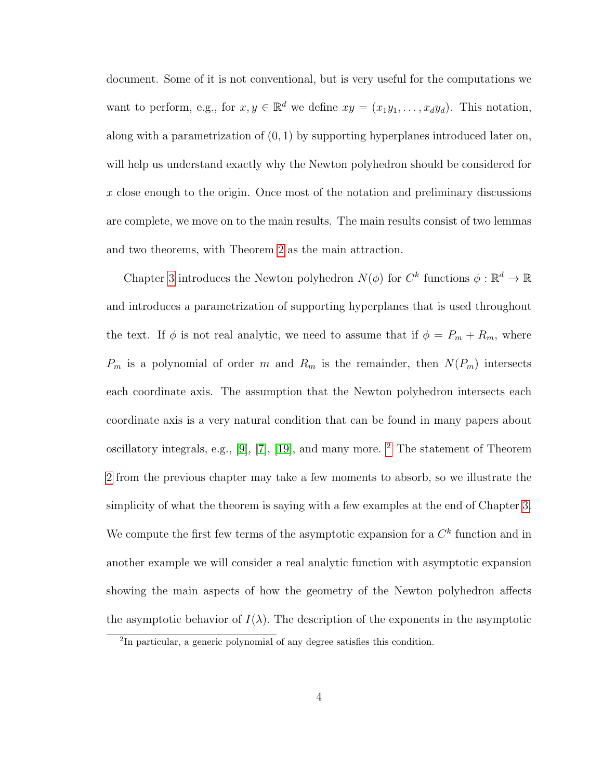document. Some of it is not conventional, but is very useful for the computations we want to perform, e.g., for  $x, y \in \mathbb{R}^d$  we define  $xy = (x_1y_1, \ldots, x_dy_d)$ . This notation, along with a parametrization of  $(0, 1)$  by supporting hyperplanes introduced later on, will help us understand exactly why the Newton polyhedron should be considered for x close enough to the origin. Once most of the notation and preliminary discussions are complete, we move on to the main results. The main results consist of two lemmas and two theorems, with Theorem [2](#page-24-0) as the main attraction.

Chapter [3](#page-26-0) introduces the Newton polyhedron  $N(\phi)$  for  $C^k$  functions  $\phi : \mathbb{R}^d \to \mathbb{R}$ and introduces a parametrization of supporting hyperplanes that is used throughout the text. If  $\phi$  is not real analytic, we need to assume that if  $\phi = P_m + R_m$ , where  $P_m$  is a polynomial of order m and  $R_m$  is the remainder, then  $N(P_m)$  intersects each coordinate axis. The assumption that the Newton polyhedron intersects each coordinate axis is a very natural condition that can be found in many papers about oscillatory integrals, e.g., [\[9\]](#page-116-1), [\[7\]](#page-116-2), [\[19\]](#page-117-1), and many more. [2](#page-13-0) The statement of Theorem [2](#page-24-0) from the previous chapter may take a few moments to absorb, so we illustrate the simplicity of what the theorem is saying with a few examples at the end of Chapter [3.](#page-26-0) We compute the first few terms of the asymptotic expansion for a  $C<sup>k</sup>$  function and in another example we will consider a real analytic function with asymptotic expansion showing the main aspects of how the geometry of the Newton polyhedron affects the asymptotic behavior of  $I(\lambda)$ . The description of the exponents in the asymptotic

<span id="page-13-0"></span><sup>&</sup>lt;sup>2</sup>In particular, a generic polynomial of any degree satisfies this condition.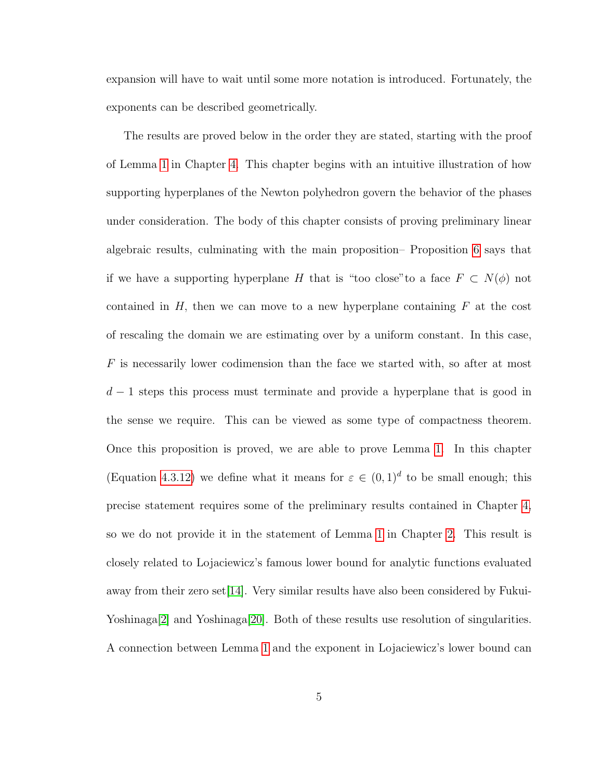expansion will have to wait until some more notation is introduced. Fortunately, the exponents can be described geometrically.

The results are proved below in the order they are stated, starting with the proof of Lemma [1](#page-22-0) in Chapter [4.](#page-50-0) This chapter begins with an intuitive illustration of how supporting hyperplanes of the Newton polyhedron govern the behavior of the phases under consideration. The body of this chapter consists of proving preliminary linear algebraic results, culminating with the main proposition– Proposition [6](#page-62-0) says that if we have a supporting hyperplane H that is "too close"to a face  $F \subset N(\phi)$  not contained in  $H$ , then we can move to a new hyperplane containing  $F$  at the cost of rescaling the domain we are estimating over by a uniform constant. In this case, F is necessarily lower codimension than the face we started with, so after at most  $d-1$  steps this process must terminate and provide a hyperplane that is good in the sense we require. This can be viewed as some type of compactness theorem. Once this proposition is proved, we are able to prove Lemma [1.](#page-22-0) In this chapter (Equation [4.3.12\)](#page-68-0) we define what it means for  $\varepsilon \in (0,1)^d$  to be small enough; this precise statement requires some of the preliminary results contained in Chapter [4,](#page-50-0) so we do not provide it in the statement of Lemma [1](#page-22-0) in Chapter [2.](#page-17-0) This result is closely related to Lojaciewicz's famous lower bound for analytic functions evaluated away from their zero set[\[14\]](#page-116-3). Very similar results have also been considered by Fukui-Yoshinaga<sup>[\[2\]](#page-115-2)</sup> and Yoshinaga<sup>[\[20\]](#page-117-2)</sup>. Both of these results use resolution of singularities. A connection between Lemma [1](#page-22-0) and the exponent in Lojaciewicz's lower bound can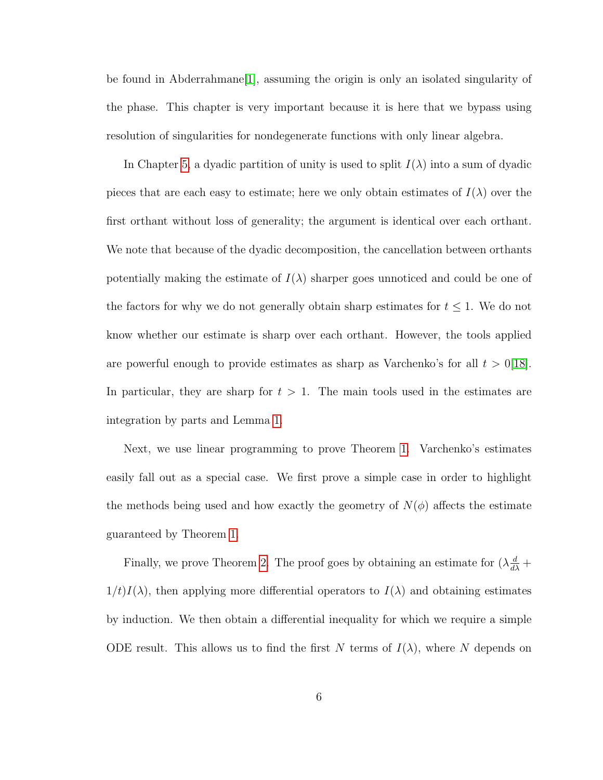be found in Abderrahmane[\[1\]](#page-115-3), assuming the origin is only an isolated singularity of the phase. This chapter is very important because it is here that we bypass using resolution of singularities for nondegenerate functions with only linear algebra.

In Chapter [5,](#page-69-0) a dyadic partition of unity is used to split  $I(\lambda)$  into a sum of dyadic pieces that are each easy to estimate; here we only obtain estimates of  $I(\lambda)$  over the first orthant without loss of generality; the argument is identical over each orthant. We note that because of the dyadic decomposition, the cancellation between orthants potentially making the estimate of  $I(\lambda)$  sharper goes unnoticed and could be one of the factors for why we do not generally obtain sharp estimates for  $t \leq 1$ . We do not know whether our estimate is sharp over each orthant. However, the tools applied are powerful enough to provide estimates as sharp as Varchenko's for all  $t > 0$ [\[18\]](#page-117-0). In particular, they are sharp for  $t > 1$ . The main tools used in the estimates are integration by parts and Lemma [1.](#page-22-0)

Next, we use linear programming to prove Theorem [1.](#page-23-0) Varchenko's estimates easily fall out as a special case. We first prove a simple case in order to highlight the methods being used and how exactly the geometry of  $N(\phi)$  affects the estimate guaranteed by Theorem [1.](#page-23-0)

Finally, we prove Theorem [2.](#page-24-0) The proof goes by obtaining an estimate for  $(\lambda \frac{d}{d\lambda} +$  $1/t$ I( $\lambda$ ), then applying more differential operators to  $I(\lambda)$  and obtaining estimates by induction. We then obtain a differential inequality for which we require a simple ODE result. This allows us to find the first N terms of  $I(\lambda)$ , where N depends on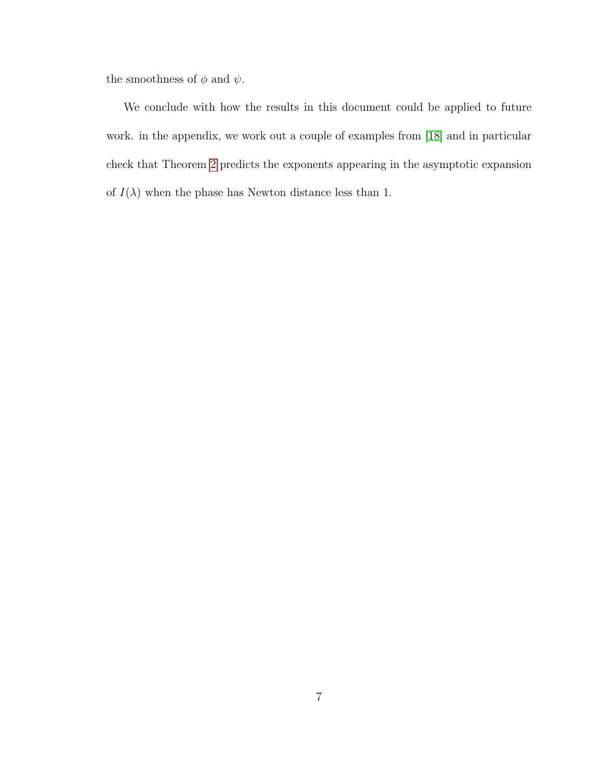the smoothness of  $\phi$  and  $\psi$ .

We conclude with how the results in this document could be applied to future work. in the appendix, we work out a couple of examples from [\[18\]](#page-117-0) and in particular check that Theorem [2](#page-24-0) predicts the exponents appearing in the asymptotic expansion of  $I(\lambda)$  when the phase has Newton distance less than 1.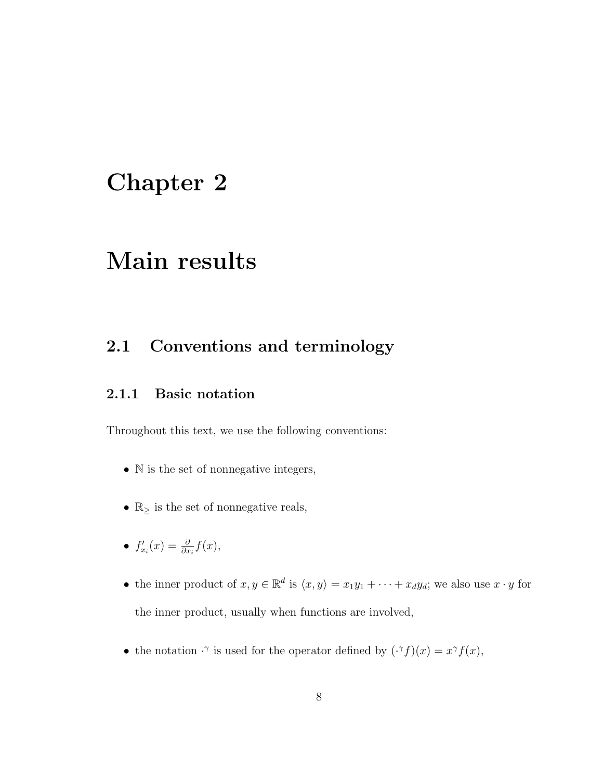## <span id="page-17-0"></span>Chapter 2

### Main results

### <span id="page-17-1"></span>2.1 Conventions and terminology

#### <span id="page-17-2"></span>2.1.1 Basic notation

Throughout this text, we use the following conventions:

- N is the set of nonnegative integers,
- $\bullet \; \mathbb{R}_{\ge}$  is the set of nonnegative reals,
- $f'_{x_i}(x) = \frac{\partial}{\partial x_i} f(x),$
- the inner product of  $x, y \in \mathbb{R}^d$  is  $\langle x, y \rangle = x_1y_1 + \cdots + x_dy_d$ ; we also use  $x \cdot y$  for the inner product, usually when functions are involved,
- the notation  $\cdot^{\gamma}$  is used for the operator defined by  $(\cdot^{\gamma} f)(x) = x^{\gamma} f(x)$ ,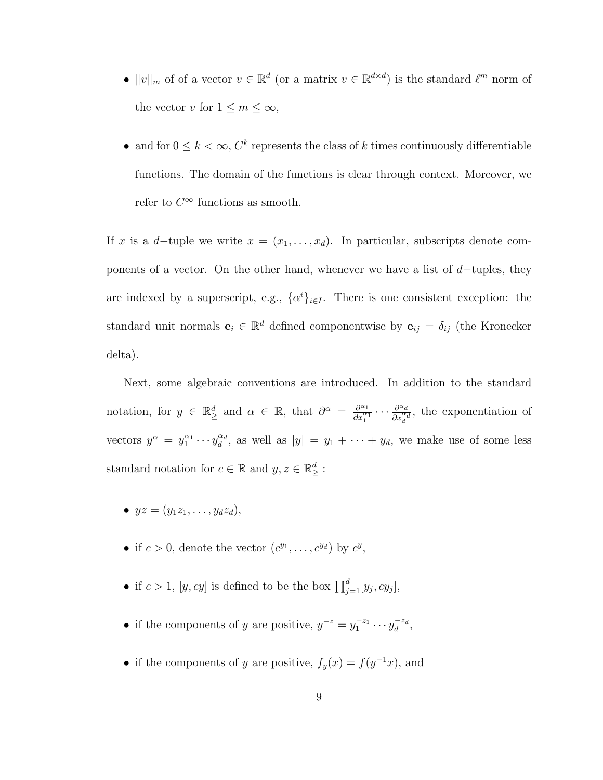- $||v||_m$  of of a vector  $v \in \mathbb{R}^d$  (or a matrix  $v \in \mathbb{R}^{d \times d}$ ) is the standard  $\ell^m$  norm of the vector v for  $1 \leq m \leq \infty$ ,
- and for  $0 \leq k < \infty$ ,  $C^k$  represents the class of k times continuously differentiable functions. The domain of the functions is clear through context. Moreover, we refer to  $C^{\infty}$  functions as smooth.

If x is a d–tuple we write  $x = (x_1, \ldots, x_d)$ . In particular, subscripts denote components of a vector. On the other hand, whenever we have a list of  $d$ -tuples, they are indexed by a superscript, e.g.,  $\{\alpha^i\}_{i\in I}$ . There is one consistent exception: the standard unit normals  $e_i \in \mathbb{R}^d$  defined componentwise by  $e_{ij} = \delta_{ij}$  (the Kronecker delta).

Next, some algebraic conventions are introduced. In addition to the standard notation, for  $y \in \mathbb{R}^d_\ge$  and  $\alpha \in \mathbb{R}$ , that  $\partial^\alpha = \frac{\partial^{\alpha_1}}{\partial x_1^{\alpha_1}} \cdots \frac{\partial^{\alpha_d}}{\partial x_d^{\alpha_d}}$ , the exponentiation of vectors  $y^{\alpha} = y_1^{\alpha_1} \cdots y_d^{\alpha_d}$ , as well as  $|y| = y_1 + \cdots + y_d$ , we make use of some less standard notation for  $c \in \mathbb{R}$  and  $y, z \in \mathbb{R}^d_{\geq}$ :

- $yz = (y_1z_1, \ldots, y_dz_d)$ ,
- if  $c > 0$ , denote the vector  $(c^{y_1}, \ldots, c^{y_d})$  by  $c^y$ ,
- if  $c > 1$ ,  $[y, cy]$  is defined to be the box  $\prod_{j=1}^{d} [y_j, cy_j]$ ,
- if the components of y are positive,  $y^{-z} = y_1^{-z_1} \cdots y_d^{-z_d}$ ,
- if the components of y are positive,  $f_y(x) = f(y^{-1}x)$ , and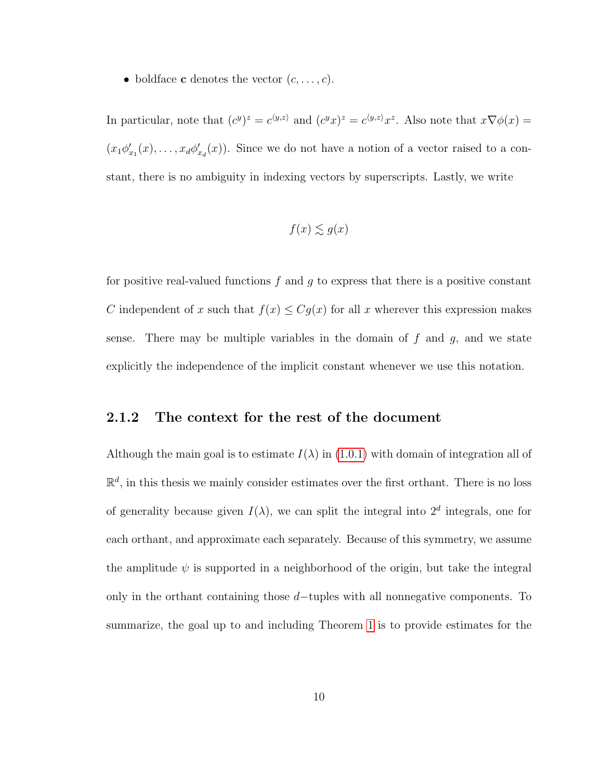• boldface **c** denotes the vector  $(c, \ldots, c)$ .

In particular, note that  $(c^y)^z = c^{\langle y,z\rangle}$  and  $(c^y x)^z = c^{\langle y,z\rangle} x^z$ . Also note that  $x \nabla \phi(x) =$  $(x_1\phi'_{x_1}(x),\ldots,x_d\phi'_{x_d}(x))$ . Since we do not have a notion of a vector raised to a constant, there is no ambiguity in indexing vectors by superscripts. Lastly, we write

$$
f(x) \lesssim g(x)
$$

for positive real-valued functions  $f$  and  $g$  to express that there is a positive constant C independent of x such that  $f(x) \leq Cg(x)$  for all x wherever this expression makes sense. There may be multiple variables in the domain of  $f$  and  $g$ , and we state explicitly the independence of the implicit constant whenever we use this notation.

#### <span id="page-19-0"></span>2.1.2 The context for the rest of the document

Although the main goal is to estimate  $I(\lambda)$  in [\(1.0.1\)](#page-10-1) with domain of integration all of  $\mathbb{R}^d$ , in this thesis we mainly consider estimates over the first orthant. There is no loss of generality because given  $I(\lambda)$ , we can split the integral into  $2^d$  integrals, one for each orthant, and approximate each separately. Because of this symmetry, we assume the amplitude  $\psi$  is supported in a neighborhood of the origin, but take the integral only in the orthant containing those d−tuples with all nonnegative components. To summarize, the goal up to and including Theorem [1](#page-23-0) is to provide estimates for the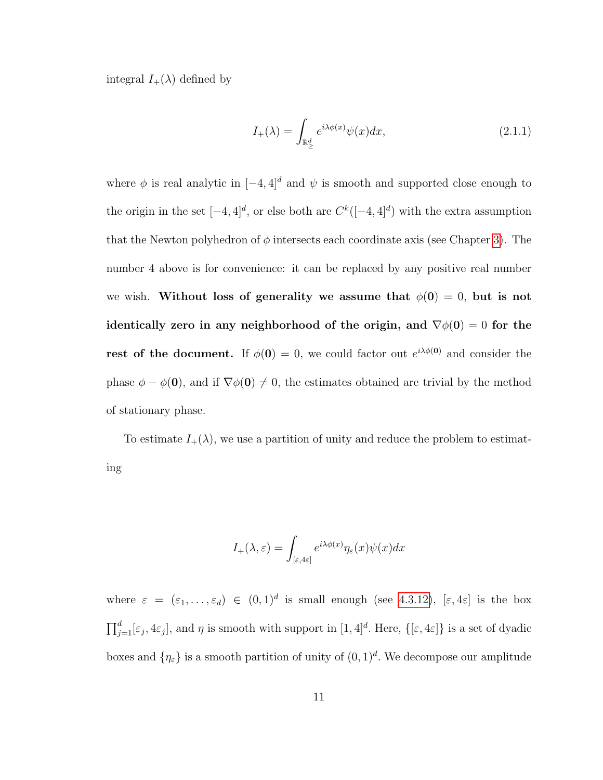integral  $I_+(\lambda)$  defined by

$$
I_{+}(\lambda) = \int_{\mathbb{R}^{d}_{\geq}} e^{i\lambda \phi(x)} \psi(x) dx, \qquad (2.1.1)
$$

where  $\phi$  is real analytic in  $[-4, 4]^d$  and  $\psi$  is smooth and supported close enough to the origin in the set  $[-4, 4]^d$ , or else both are  $C^k([-4, 4]^d)$  with the extra assumption that the Newton polyhedron of  $\phi$  intersects each coordinate axis (see Chapter [3\)](#page-26-0). The number 4 above is for convenience: it can be replaced by any positive real number we wish. Without loss of generality we assume that  $\phi(0) = 0$ , but is not identically zero in any neighborhood of the origin, and  $\nabla \phi(0) = 0$  for the rest of the document. If  $\phi(0) = 0$ , we could factor out  $e^{i\lambda \phi(0)}$  and consider the phase  $\phi - \phi(0)$ , and if  $\nabla \phi(0) \neq 0$ , the estimates obtained are trivial by the method of stationary phase.

To estimate  $I_+(\lambda)$ , we use a partition of unity and reduce the problem to estimating

$$
I_{+}(\lambda,\varepsilon) = \int_{[\varepsilon,4\varepsilon]} e^{i\lambda\phi(x)} \eta_{\varepsilon}(x)\psi(x)dx
$$

where  $\varepsilon = (\varepsilon_1, \ldots, \varepsilon_d) \in (0,1)^d$  is small enough (see [4.3.12\)](#page-68-0),  $[\varepsilon, 4\varepsilon]$  is the box  $\prod_{j=1}^d [\varepsilon_j, 4\varepsilon_j]$ , and  $\eta$  is smooth with support in  $[1, 4]^d$ . Here,  $\{[\varepsilon, 4\varepsilon]\}$  is a set of dyadic boxes and  $\{\eta_{\varepsilon}\}\)$  is a smooth partition of unity of  $(0,1)^d$ . We decompose our amplitude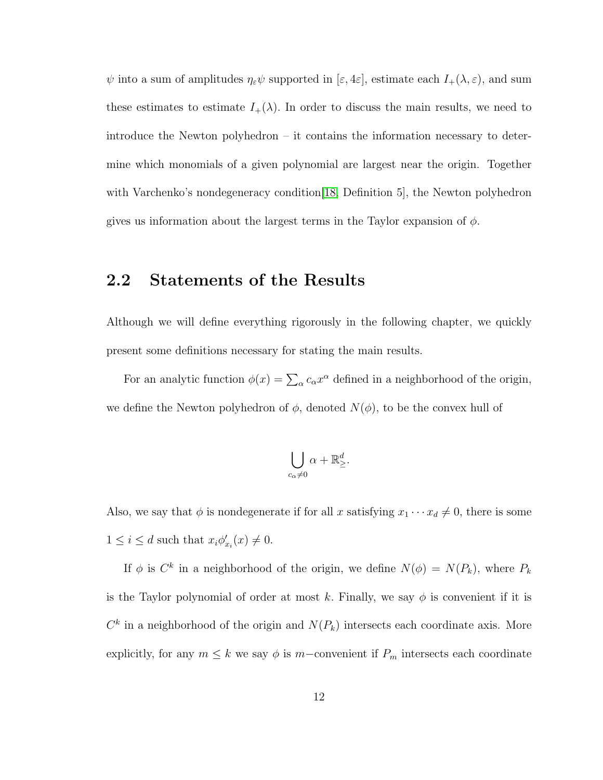$\psi$  into a sum of amplitudes  $\eta_{\varepsilon}\psi$  supported in  $[\varepsilon, 4\varepsilon]$ , estimate each  $I_+(\lambda, \varepsilon)$ , and sum these estimates to estimate  $I_+(\lambda)$ . In order to discuss the main results, we need to introduce the Newton polyhedron – it contains the information necessary to determine which monomials of a given polynomial are largest near the origin. Together with Varchenko's nondegeneracy condition [\[18,](#page-117-0) Definition 5], the Newton polyhedron gives us information about the largest terms in the Taylor expansion of  $\phi$ .

### <span id="page-21-0"></span>2.2 Statements of the Results

Although we will define everything rigorously in the following chapter, we quickly present some definitions necessary for stating the main results.

For an analytic function  $\phi(x) = \sum_{\alpha} c_{\alpha} x^{\alpha}$  defined in a neighborhood of the origin, we define the Newton polyhedron of  $\phi$ , denoted  $N(\phi)$ , to be the convex hull of

$$
\bigcup_{c_{\alpha}\neq 0} \alpha + \mathbb{R}^d_{\geq}.
$$

Also, we say that  $\phi$  is nondegenerate if for all x satisfying  $x_1 \cdots x_d \neq 0$ , there is some  $1 \leq i \leq d$  such that  $x_i \phi'_{x_i}(x) \neq 0$ .

If  $\phi$  is  $C^k$  in a neighborhood of the origin, we define  $N(\phi) = N(P_k)$ , where  $P_k$ is the Taylor polynomial of order at most k. Finally, we say  $\phi$  is convenient if it is  $C<sup>k</sup>$  in a neighborhood of the origin and  $N(P_k)$  intersects each coordinate axis. More explicitly, for any  $m \leq k$  we say  $\phi$  is m-convenient if  $P_m$  intersects each coordinate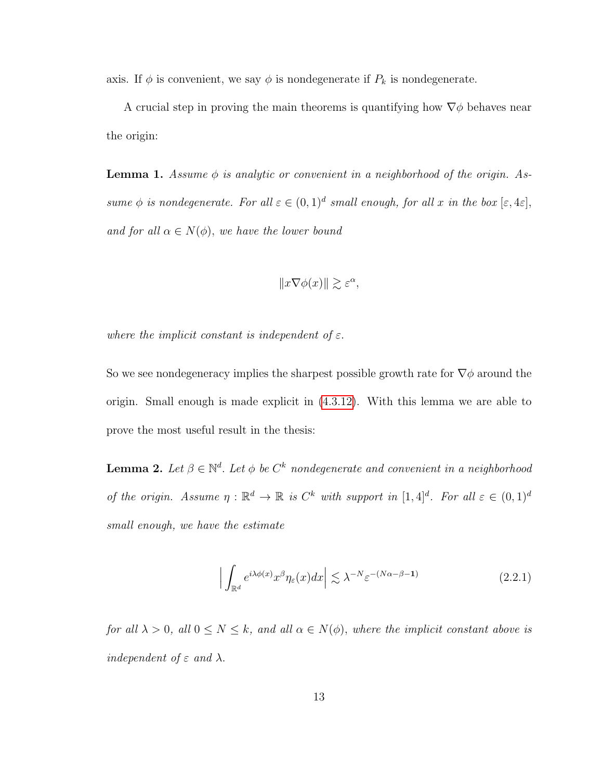axis. If  $\phi$  is convenient, we say  $\phi$  is nondegenerate if  $P_k$  is nondegenerate.

A crucial step in proving the main theorems is quantifying how  $\nabla \phi$  behaves near the origin:

<span id="page-22-0"></span>**Lemma 1.** Assume  $\phi$  is analytic or convenient in a neighborhood of the origin. Assume  $\phi$  is nondegenerate. For all  $\varepsilon \in (0,1)^d$  small enough, for all x in the box  $[\varepsilon, 4\varepsilon]$ , and for all  $\alpha \in N(\phi)$ , we have the lower bound

$$
||x\nabla\phi(x)|| \gtrsim \varepsilon^{\alpha},
$$

where the implicit constant is independent of  $\varepsilon$ .

So we see nondegeneracy implies the sharpest possible growth rate for  $\nabla \phi$  around the origin. Small enough is made explicit in [\(4.3.12\)](#page-68-0). With this lemma we are able to prove the most useful result in the thesis:

**Lemma 2.** Let  $\beta \in \mathbb{N}^d$ . Let  $\phi$  be  $C^k$  nondegenerate and convenient in a neighborhood of the origin. Assume  $\eta : \mathbb{R}^d \to \mathbb{R}$  is  $C^k$  with support in  $[1, 4]^d$ . For all  $\varepsilon \in (0, 1)^d$ small enough, we have the estimate

<span id="page-22-1"></span>
$$
\left| \int_{\mathbb{R}^d} e^{i\lambda \phi(x)} x^{\beta} \eta_{\varepsilon}(x) dx \right| \lesssim \lambda^{-N} \varepsilon^{-(N\alpha - \beta - 1)} \tag{2.2.1}
$$

for all  $\lambda > 0$ , all  $0 \le N \le k$ , and all  $\alpha \in N(\phi)$ , where the implicit constant above is independent of  $\varepsilon$  and  $\lambda$ .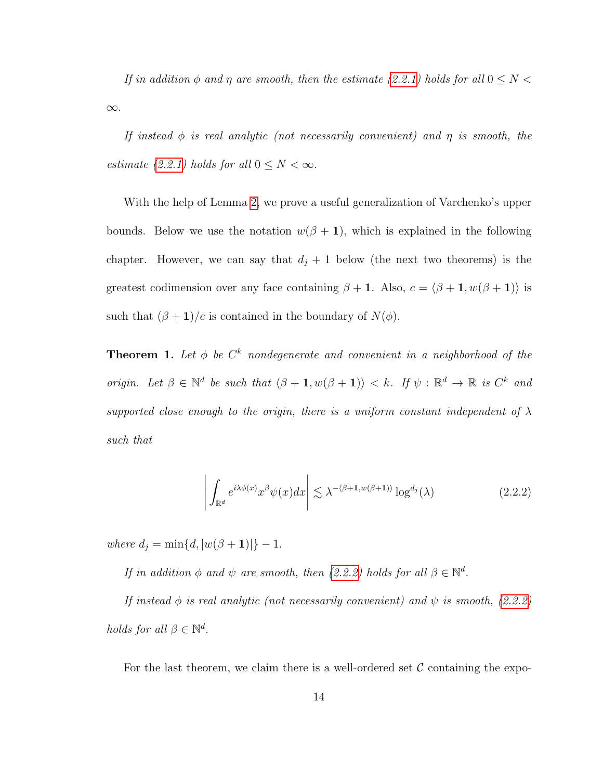If in addition  $\phi$  and  $\eta$  are smooth, then the estimate [\(2.2.1\)](#page-22-1) holds for all  $0 \leq N <$ ∞.

If instead  $\phi$  is real analytic (not necessarily convenient) and  $\eta$  is smooth, the estimate [\(2.2.1\)](#page-22-1) holds for all  $0 \leq N < \infty$ .

With the help of Lemma [2,](#page-22-1) we prove a useful generalization of Varchenko's upper bounds. Below we use the notation  $w(\beta + 1)$ , which is explained in the following chapter. However, we can say that  $d_j + 1$  below (the next two theorems) is the greatest codimension over any face containing  $\beta + 1$ . Also,  $c = \langle \beta + 1, w(\beta + 1) \rangle$  is such that  $(\beta + 1)/c$  is contained in the boundary of  $N(\phi)$ .

**Theorem 1.** Let  $\phi$  be  $C^k$  nondegenerate and convenient in a neighborhood of the origin. Let  $\beta \in \mathbb{N}^d$  be such that  $\langle \beta + 1, w(\beta + 1) \rangle < k$ . If  $\psi : \mathbb{R}^d \to \mathbb{R}$  is  $C^k$  and supported close enough to the origin, there is a uniform constant independent of  $\lambda$ such that

<span id="page-23-0"></span>
$$
\left| \int_{\mathbb{R}^d} e^{i\lambda \phi(x)} x^{\beta} \psi(x) dx \right| \lesssim \lambda^{-\langle \beta + 1, w(\beta + 1) \rangle} \log^{d_j}(\lambda)
$$
 (2.2.2)

where  $d_j = \min\{d, |w(\beta + 1)|\} - 1$ .

If in addition  $\phi$  and  $\psi$  are smooth, then [\(2.2.2\)](#page-23-0) holds for all  $\beta \in \mathbb{N}^d$ .

If instead  $\phi$  is real analytic (not necessarily convenient) and  $\psi$  is smooth, [\(2.2.2\)](#page-23-0) holds for all  $\beta \in \mathbb{N}^d$ .

For the last theorem, we claim there is a well-ordered set  $\mathcal C$  containing the expo-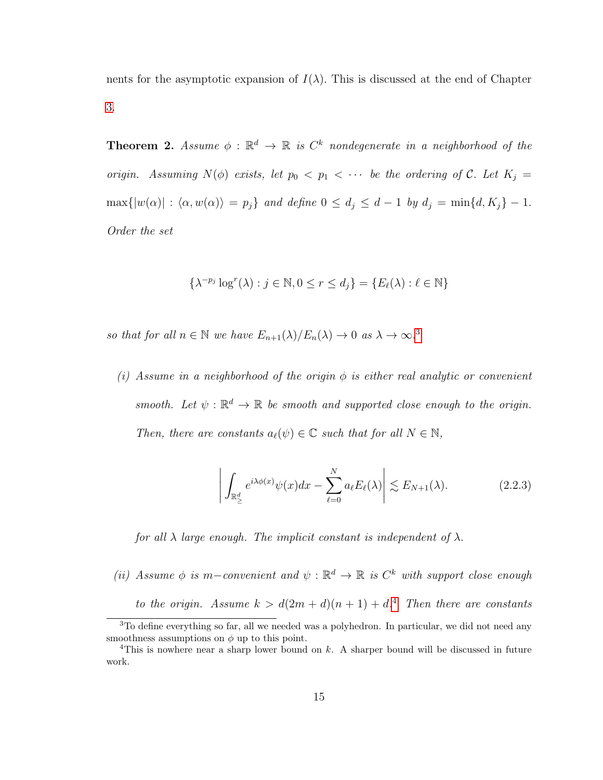nents for the asymptotic expansion of  $I(\lambda)$ . This is discussed at the end of Chapter [3.](#page-26-0)

**Theorem 2.** Assume  $\phi : \mathbb{R}^d \to \mathbb{R}$  is  $C^k$  nondegenerate in a neighborhood of the origin. Assuming  $N(\phi)$  exists, let  $p_0 < p_1 < \cdots$  be the ordering of C. Let  $K_i =$  $\max\{|w(\alpha)| : \langle \alpha, w(\alpha) \rangle = p_j\}$  and define  $0 \le d_j \le d - 1$  by  $d_j = \min\{d, K_j\} - 1$ . Order the set

$$
\{\lambda^{-p_j}\log^r(\lambda) : j \in \mathbb{N}, 0 \le r \le d_j\} = \{E_\ell(\lambda) : \ell \in \mathbb{N}\}\
$$

so that for all  $n \in \mathbb{N}$  we have  $E_{n+1}(\lambda)/E_n(\lambda) \to 0$  as  $\lambda \to \infty$ .<sup>[3](#page-24-1)</sup>

(i) Assume in a neighborhood of the origin  $\phi$  is either real analytic or convenient smooth. Let  $\psi : \mathbb{R}^d \to \mathbb{R}$  be smooth and supported close enough to the origin. Then, there are constants  $a_{\ell}(\psi) \in \mathbb{C}$  such that for all  $N \in \mathbb{N}$ ,

<span id="page-24-0"></span>
$$
\left| \int_{\mathbb{R}^d_\ge} e^{i\lambda \phi(x)} \psi(x) dx - \sum_{\ell=0}^N a_\ell E_\ell(\lambda) \right| \lesssim E_{N+1}(\lambda). \tag{2.2.3}
$$

for all  $\lambda$  large enough. The implicit constant is independent of  $\lambda$ .

(ii) Assume  $\phi$  is m-convenient and  $\psi : \mathbb{R}^d \to \mathbb{R}$  is  $C^k$  with support close enough to the origin. Assume  $k > d(2m + d)(n + 1) + d^4$  $k > d(2m + d)(n + 1) + d^4$  Then there are constants

<span id="page-24-1"></span><sup>&</sup>lt;sup>3</sup>To define everything so far, all we needed was a polyhedron. In particular, we did not need any smoothness assumptions on  $\phi$  up to this point.

<span id="page-24-2"></span><sup>&</sup>lt;sup>4</sup>This is nowhere near a sharp lower bound on  $k$ . A sharper bound will be discussed in future work.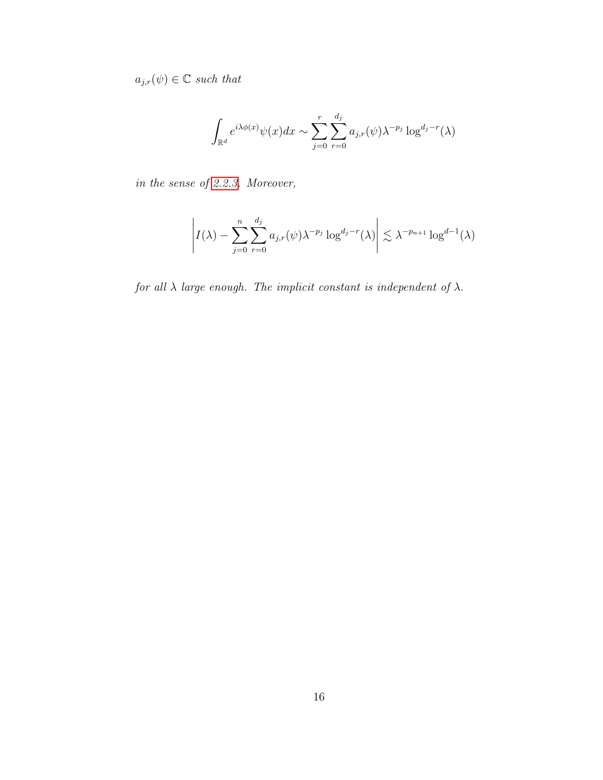$a_{j,r}(\psi) \in \mathbb{C}$  such that

$$
\int_{\mathbb{R}^d} e^{i\lambda \phi(x)} \psi(x) dx \sim \sum_{j=0}^r \sum_{r=0}^{d_j} a_{j,r}(\psi) \lambda^{-p_j} \log^{d_j-r}(\lambda)
$$

in the sense of [2.2.3.](#page-24-0) Moreover,

$$
\left| I(\lambda) - \sum_{j=0}^n \sum_{r=0}^{d_j} a_{j,r}(\psi) \lambda^{-p_j} \log^{d_j-r}(\lambda) \right| \lesssim \lambda^{-p_{n+1}} \log^{d-1}(\lambda)
$$

for all  $\lambda$  large enough. The implicit constant is independent of  $\lambda$ .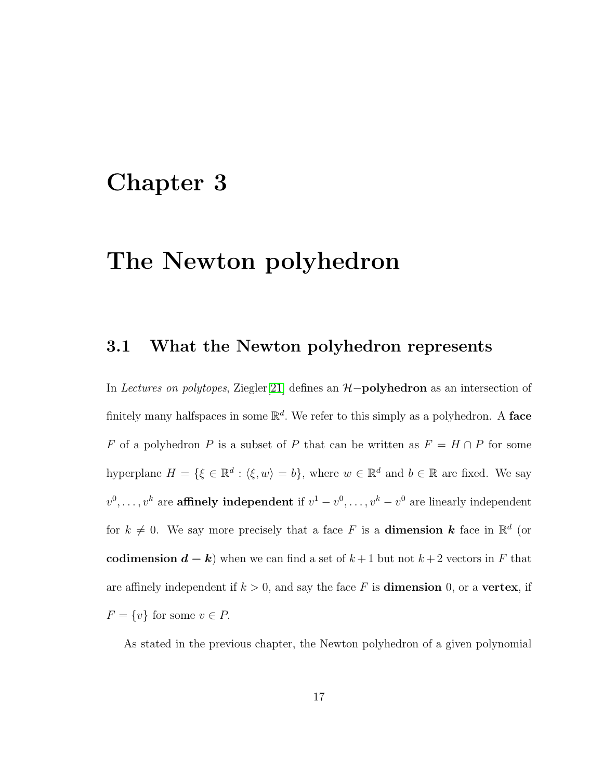### <span id="page-26-0"></span>Chapter 3

# The Newton polyhedron

#### <span id="page-26-1"></span>3.1 What the Newton polyhedron represents

In Lectures on polytopes, Ziegler[\[21\]](#page-117-3) defines an  $H$ -polyhedron as an intersection of finitely many halfspaces in some  $\mathbb{R}^d$ . We refer to this simply as a polyhedron. A face F of a polyhedron P is a subset of P that can be written as  $F = H \cap P$  for some hyperplane  $H = \{ \xi \in \mathbb{R}^d : \langle \xi, w \rangle = b \},\$  where  $w \in \mathbb{R}^d$  and  $b \in \mathbb{R}$  are fixed. We say  $v^0, \ldots, v^k$  are **affinely independent** if  $v^1 - v^0, \ldots, v^k - v^0$  are linearly independent for  $k \neq 0$ . We say more precisely that a face F is a **dimension k** face in  $\mathbb{R}^d$  (or codimension  $d - k$ ) when we can find a set of  $k + 1$  but not  $k + 2$  vectors in F that are affinely independent if  $k > 0$ , and say the face F is **dimension** 0, or a vertex, if  $F = \{v\}$  for some  $v \in P$ .

As stated in the previous chapter, the Newton polyhedron of a given polynomial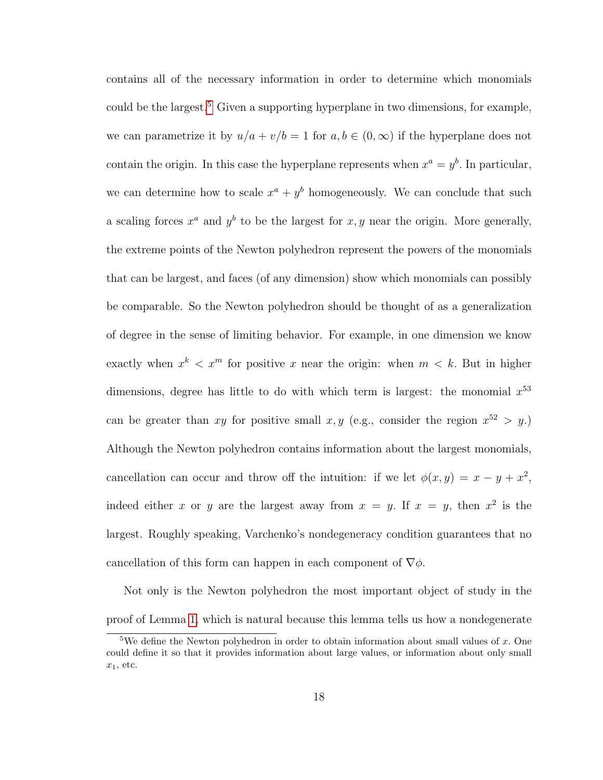contains all of the necessary information in order to determine which monomials could be the largest.<sup>[5](#page-27-0)</sup> Given a supporting hyperplane in two dimensions, for example, we can parametrize it by  $u/a + v/b = 1$  for  $a, b \in (0, \infty)$  if the hyperplane does not contain the origin. In this case the hyperplane represents when  $x^a = y^b$ . In particular, we can determine how to scale  $x^a + y^b$  homogeneously. We can conclude that such a scaling forces  $x^a$  and  $y^b$  to be the largest for  $x, y$  near the origin. More generally, the extreme points of the Newton polyhedron represent the powers of the monomials that can be largest, and faces (of any dimension) show which monomials can possibly be comparable. So the Newton polyhedron should be thought of as a generalization of degree in the sense of limiting behavior. For example, in one dimension we know exactly when  $x^k < x^m$  for positive x near the origin: when  $m < k$ . But in higher dimensions, degree has little to do with which term is largest: the monomial  $x^{53}$ can be greater than xy for positive small x, y (e.g., consider the region  $x^{52} > y$ .) Although the Newton polyhedron contains information about the largest monomials, cancellation can occur and throw off the intuition: if we let  $\phi(x, y) = x - y + x^2$ , indeed either x or y are the largest away from  $x = y$ . If  $x = y$ , then  $x^2$  is the largest. Roughly speaking, Varchenko's nondegeneracy condition guarantees that no cancellation of this form can happen in each component of  $\nabla \phi$ .

Not only is the Newton polyhedron the most important object of study in the proof of Lemma [1,](#page-22-0) which is natural because this lemma tells us how a nondegenerate

<span id="page-27-0"></span><sup>&</sup>lt;sup>5</sup>We define the Newton polyhedron in order to obtain information about small values of x. One could define it so that it provides information about large values, or information about only small  $x_1$ , etc.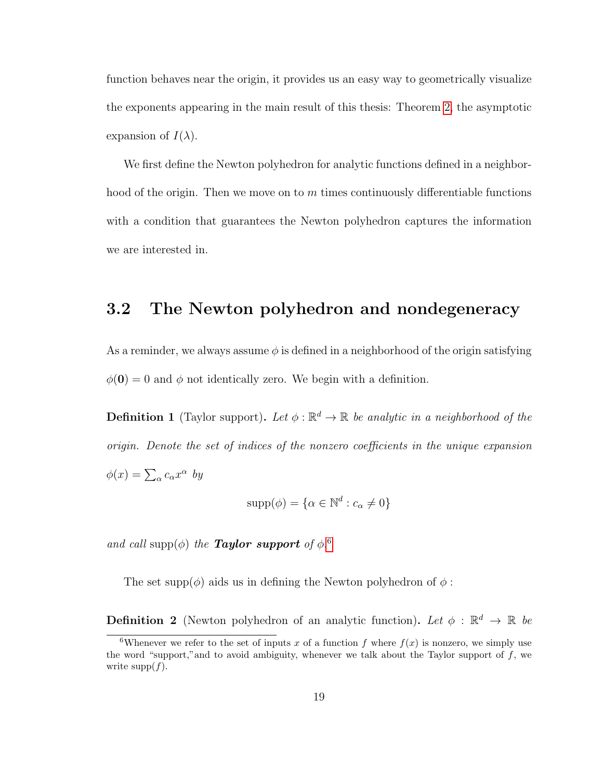function behaves near the origin, it provides us an easy way to geometrically visualize the exponents appearing in the main result of this thesis: Theorem [2,](#page-24-0) the asymptotic expansion of  $I(\lambda)$ .

We first define the Newton polyhedron for analytic functions defined in a neighborhood of the origin. Then we move on to  $m$  times continuously differentiable functions with a condition that guarantees the Newton polyhedron captures the information we are interested in.

### <span id="page-28-0"></span>3.2 The Newton polyhedron and nondegeneracy

As a reminder, we always assume  $\phi$  is defined in a neighborhood of the origin satisfying  $\phi(\mathbf{0}) = 0$  and  $\phi$  not identically zero. We begin with a definition.

**Definition 1** (Taylor support). Let  $\phi : \mathbb{R}^d \to \mathbb{R}$  be analytic in a neighborhood of the origin. Denote the set of indices of the nonzero coefficients in the unique expansion  $\phi(x) = \sum_{\alpha} c_{\alpha} x^{\alpha}$  by

$$
supp(\phi) = \{ \alpha \in \mathbb{N}^d : c_\alpha \neq 0 \}
$$

and call supp $(\phi)$  the **Taylor support** of  $\phi$ .<sup>[6](#page-28-1)</sup>

The set supp $(\phi)$  aids us in defining the Newton polyhedron of  $\phi$ :

**Definition 2** (Newton polyhedron of an analytic function). Let  $\phi : \mathbb{R}^d \to \mathbb{R}$  be

<span id="page-28-1"></span><sup>&</sup>lt;sup>6</sup>Whenever we refer to the set of inputs x of a function f where  $f(x)$  is nonzero, we simply use the word "support," and to avoid ambiguity, whenever we talk about the Taylor support of  $f$ , we write  $\text{supp}(f)$ .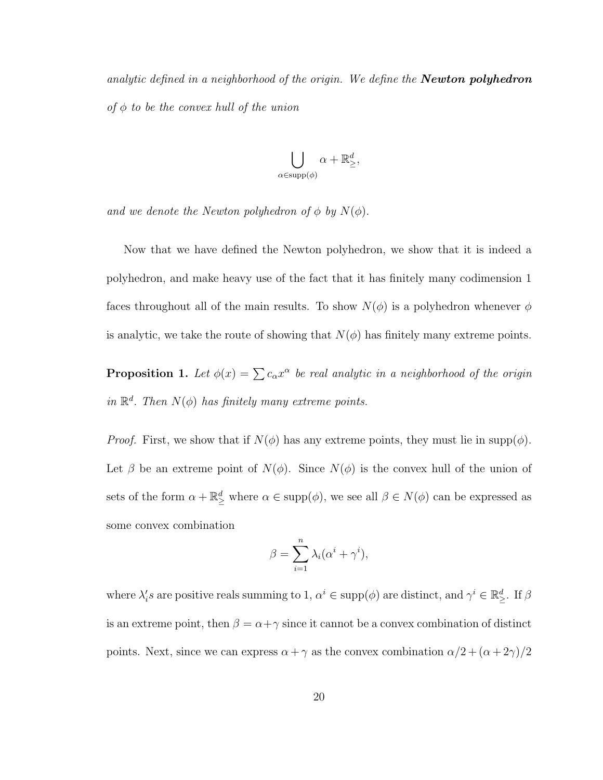analytic defined in a neighborhood of the origin. We define the **Newton polyhedron** of  $\phi$  to be the convex hull of the union

$$
\bigcup_{\alpha \in \text{supp}(\phi)} \alpha + \mathbb{R}^d_{\geq},
$$

and we denote the Newton polyhedron of  $\phi$  by  $N(\phi)$ .

Now that we have defined the Newton polyhedron, we show that it is indeed a polyhedron, and make heavy use of the fact that it has finitely many codimension 1 faces throughout all of the main results. To show  $N(\phi)$  is a polyhedron whenever  $\phi$ is analytic, we take the route of showing that  $N(\phi)$  has finitely many extreme points.

<span id="page-29-0"></span>**Proposition 1.** Let  $\phi(x) = \sum c_{\alpha} x^{\alpha}$  be real analytic in a neighborhood of the origin in  $\mathbb{R}^d$ . Then  $N(\phi)$  has finitely many extreme points.

*Proof.* First, we show that if  $N(\phi)$  has any extreme points, they must lie in supp $(\phi)$ . Let  $\beta$  be an extreme point of  $N(\phi)$ . Since  $N(\phi)$  is the convex hull of the union of sets of the form  $\alpha + \mathbb{R}^d_{\geq}$  where  $\alpha \in \text{supp}(\phi)$ , we see all  $\beta \in N(\phi)$  can be expressed as some convex combination

$$
\beta = \sum_{i=1}^{n} \lambda_i (\alpha^i + \gamma^i),
$$

where  $\lambda_i$ 's are positive reals summing to 1,  $\alpha^i \in \text{supp}(\phi)$  are distinct, and  $\gamma^i \in \mathbb{R}^d_\ge$ . If  $\beta$ is an extreme point, then  $\beta = \alpha + \gamma$  since it cannot be a convex combination of distinct points. Next, since we can express  $\alpha + \gamma$  as the convex combination  $\alpha/2 + (\alpha + 2\gamma)/2$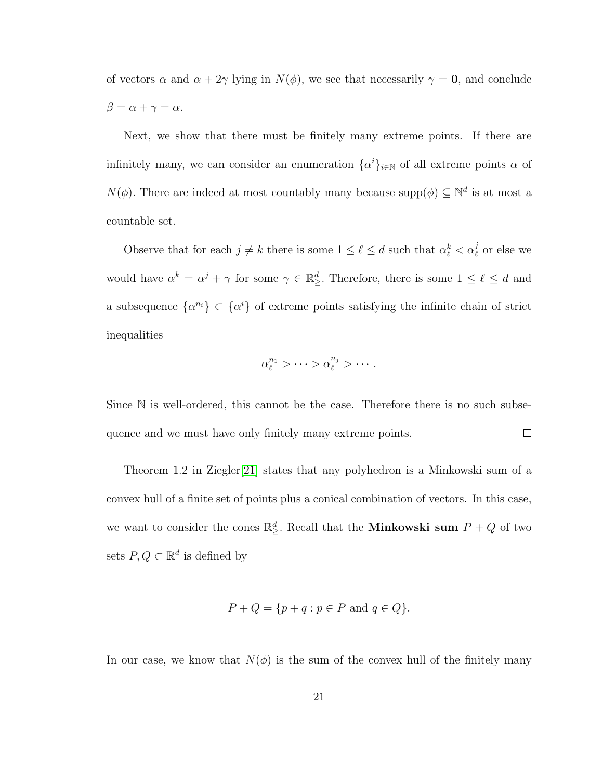of vectors  $\alpha$  and  $\alpha + 2\gamma$  lying in  $N(\phi)$ , we see that necessarily  $\gamma = 0$ , and conclude  $\beta = \alpha + \gamma = \alpha.$ 

Next, we show that there must be finitely many extreme points. If there are infinitely many, we can consider an enumeration  $\{\alpha^i\}_{i\in\mathbb{N}}$  of all extreme points  $\alpha$  of  $N(\phi)$ . There are indeed at most countably many because supp $(\phi) \subseteq \mathbb{N}^d$  is at most a countable set.

Observe that for each  $j \neq k$  there is some  $1 \leq \ell \leq d$  such that  $\alpha_{\ell}^{k} < \alpha_{\ell}^{j}$  or else we would have  $\alpha^k = \alpha^j + \gamma$  for some  $\gamma \in \mathbb{R}^d_\ge$ . Therefore, there is some  $1 \leq \ell \leq d$  and a subsequence  $\{\alpha^{n_i}\}\subset \{\alpha^i\}$  of extreme points satisfying the infinite chain of strict inequalities

$$
\alpha_\ell^{n_1} > \cdots > \alpha_\ell^{n_j} > \cdots
$$

Since  $\mathbb N$  is well-ordered, this cannot be the case. Therefore there is no such subsequence and we must have only finitely many extreme points.  $\Box$ 

Theorem 1.2 in Ziegler[\[21\]](#page-117-3) states that any polyhedron is a Minkowski sum of a convex hull of a finite set of points plus a conical combination of vectors. In this case, we want to consider the cones  $\mathbb{R}^d_{\geq}$ . Recall that the **Minkowski sum**  $P + Q$  of two sets  $P, Q \subset \mathbb{R}^d$  is defined by

$$
P + Q = \{ p + q : p \in P \text{ and } q \in Q \}.
$$

In our case, we know that  $N(\phi)$  is the sum of the convex hull of the finitely many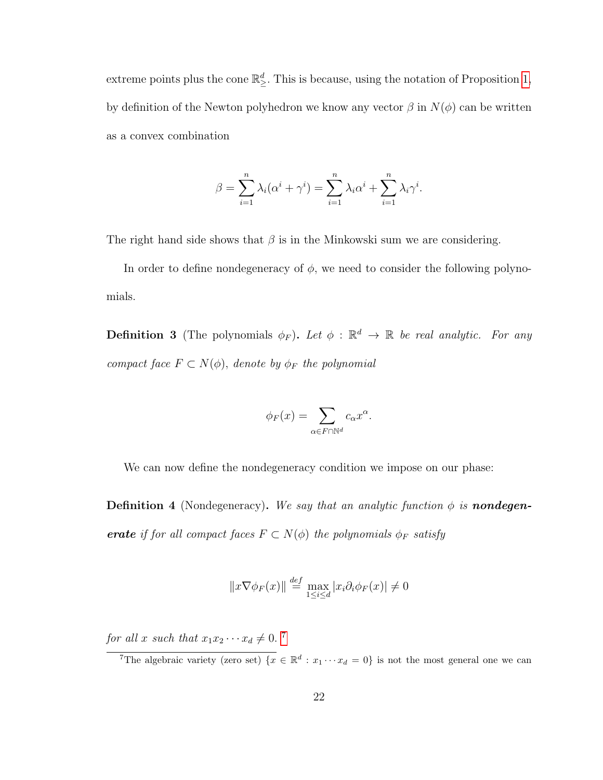extreme points plus the cone  $\mathbb{R}^d_{\geq}$ . This is because, using the notation of Proposition [1,](#page-29-0) by definition of the Newton polyhedron we know any vector  $\beta$  in  $N(\phi)$  can be written as a convex combination

$$
\beta = \sum_{i=1}^{n} \lambda_i (\alpha^i + \gamma^i) = \sum_{i=1}^{n} \lambda_i \alpha^i + \sum_{i=1}^{n} \lambda_i \gamma^i.
$$

The right hand side shows that  $\beta$  is in the Minkowski sum we are considering.

In order to define nondegeneracy of  $\phi$ , we need to consider the following polynomials.

**Definition 3** (The polynomials  $\phi_F$ ). Let  $\phi$  :  $\mathbb{R}^d \to \mathbb{R}$  be real analytic. For any compact face  $F \subset N(\phi)$ , denote by  $\phi_F$  the polynomial

$$
\phi_F(x) = \sum_{\alpha \in F \cap \mathbb{N}^d} c_\alpha x^\alpha.
$$

We can now define the nondegeneracy condition we impose on our phase:

**Definition 4** (Nondegeneracy). We say that an analytic function  $\phi$  is **nondegen**erate if for all compact faces  $F \subset N(\phi)$  the polynomials  $\phi_F$  satisfy

$$
||x\nabla\phi_F(x)|| \stackrel{def}{=} \max_{1 \le i \le d} |x_i \partial_i \phi_F(x)| \neq 0
$$

for all x such that  $x_1x_2 \cdots x_d \neq 0$ .<sup>[7](#page-31-0)</sup>

<span id="page-31-0"></span><sup>&</sup>lt;sup>7</sup>The algebraic variety (zero set)  $\{x \in \mathbb{R}^d : x_1 \cdots x_d = 0\}$  is not the most general one we can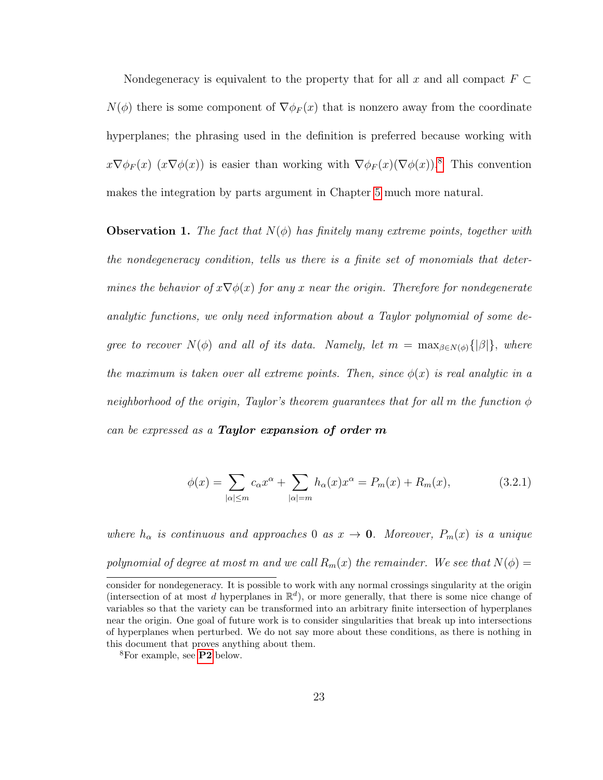Nondegeneracy is equivalent to the property that for all x and all compact  $F \subset$  $N(\phi)$  there is some component of  $\nabla \phi_F(x)$  that is nonzero away from the coordinate hyperplanes; the phrasing used in the definition is preferred because working with  $x\nabla\phi_F(x)$   $(x\nabla\phi(x))$  is easier than working with  $\nabla\phi_F(x)(\nabla\phi(x))$ .<sup>[8](#page-32-0)</sup> This convention makes the integration by parts argument in Chapter [5](#page-69-0) much more natural.

**Observation 1.** The fact that  $N(\phi)$  has finitely many extreme points, together with the nondegeneracy condition, tells us there is a finite set of monomials that determines the behavior of  $x\nabla\phi(x)$  for any x near the origin. Therefore for nondegenerate analytic functions, we only need information about a Taylor polynomial of some degree to recover  $N(\phi)$  and all of its data. Namely, let  $m = \max_{\beta \in N(\phi)} \{|\beta|\}$ , where the maximum is taken over all extreme points. Then, since  $\phi(x)$  is real analytic in a neighborhood of the origin, Taylor's theorem guarantees that for all m the function  $\phi$ can be expressed as a Taylor expansion of order  $m$ 

<span id="page-32-1"></span>
$$
\phi(x) = \sum_{|\alpha| \le m} c_{\alpha} x^{\alpha} + \sum_{|\alpha| = m} h_{\alpha}(x) x^{\alpha} = P_m(x) + R_m(x), \qquad (3.2.1)
$$

where  $h_{\alpha}$  is continuous and approaches 0 as  $x \to 0$ . Moreover,  $P_m(x)$  is a unique polynomial of degree at most m and we call  $R_m(x)$  the remainder. We see that  $N(\phi)$  =

consider for nondegeneracy. It is possible to work with any normal crossings singularity at the origin (intersection of at most d hyperplanes in  $\mathbb{R}^d$ ), or more generally, that there is some nice change of variables so that the variety can be transformed into an arbitrary finite intersection of hyperplanes near the origin. One goal of future work is to consider singularities that break up into intersections of hyperplanes when perturbed. We do not say more about these conditions, as there is nothing in this document that proves anything about them.

<span id="page-32-0"></span><sup>8</sup>For example, see [P2](#page-35-0) below.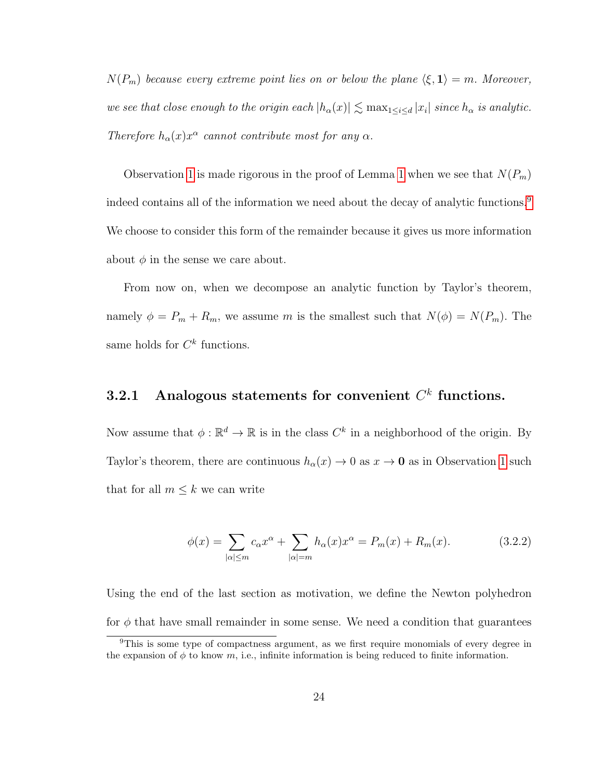$N(P_m)$  because every extreme point lies on or below the plane  $\langle \xi, 1 \rangle = m$ . Moreover, we see that close enough to the origin each  $|h_\alpha(x)| \lesssim \max_{1 \leq i \leq d} |x_i|$  since  $h_\alpha$  is analytic. Therefore  $h_{\alpha}(x)x^{\alpha}$  cannot contribute most for any  $\alpha$ .

Observation [1](#page-22-0) is made rigorous in the proof of Lemma 1 when we see that  $N(P_m)$ indeed contains all of the information we need about the decay of analytic functions.<sup>[9](#page-33-1)</sup> We choose to consider this form of the remainder because it gives us more information about  $\phi$  in the sense we care about.

From now on, when we decompose an analytic function by Taylor's theorem, namely  $\phi = P_m + R_m$ , we assume m is the smallest such that  $N(\phi) = N(P_m)$ . The same holds for  $C^k$  functions.

### <span id="page-33-0"></span>3.2.1 Analogous statements for convenient  $C<sup>k</sup>$  functions.

Now assume that  $\phi : \mathbb{R}^d \to \mathbb{R}$  is in the class  $C^k$  in a neighborhood of the origin. By Taylor's theorem, there are continuous  $h_{\alpha}(x) \rightarrow 0$  as  $x \rightarrow 0$  as in Observation [1](#page-32-1) such that for all  $m \leq k$  we can write

<span id="page-33-2"></span>
$$
\phi(x) = \sum_{|\alpha| \le m} c_{\alpha} x^{\alpha} + \sum_{|\alpha| = m} h_{\alpha}(x) x^{\alpha} = P_m(x) + R_m(x). \tag{3.2.2}
$$

Using the end of the last section as motivation, we define the Newton polyhedron for  $\phi$  that have small remainder in some sense. We need a condition that guarantees

<span id="page-33-1"></span><sup>9</sup>This is some type of compactness argument, as we first require monomials of every degree in the expansion of  $\phi$  to know m, i.e., infinite information is being reduced to finite information.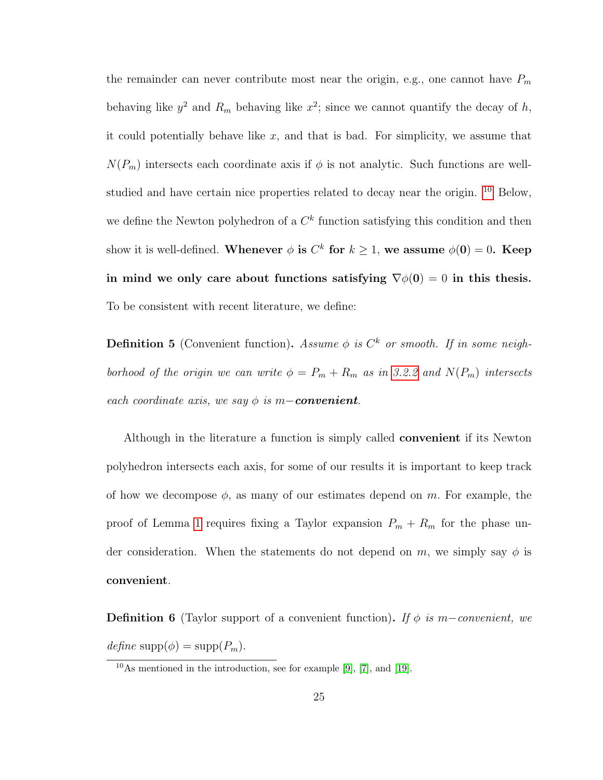the remainder can never contribute most near the origin, e.g., one cannot have  $P_m$ behaving like  $y^2$  and  $R_m$  behaving like  $x^2$ ; since we cannot quantify the decay of h, it could potentially behave like  $x$ , and that is bad. For simplicity, we assume that  $N(P_m)$  intersects each coordinate axis if  $\phi$  is not analytic. Such functions are wellstudied and have certain nice properties related to decay near the origin. [10](#page-34-0) Below, we define the Newton polyhedron of a  $C<sup>k</sup>$  function satisfying this condition and then show it is well-defined. Whenever  $\phi$  is  $C^k$  for  $k \geq 1$ , we assume  $\phi(0) = 0$ . Keep in mind we only care about functions satisfying  $\nabla \phi(0) = 0$  in this thesis. To be consistent with recent literature, we define:

**Definition 5** (Convenient function). Assume  $\phi$  is  $C^k$  or smooth. If in some neighborhood of the origin we can write  $\phi = P_m + R_m$  as in [3.2.2](#page-33-2) and  $N(P_m)$  intersects each coordinate axis, we say  $\phi$  is m-convenient.

Although in the literature a function is simply called convenient if its Newton polyhedron intersects each axis, for some of our results it is important to keep track of how we decompose  $\phi$ , as many of our estimates depend on m. For example, the proof of Lemma [1](#page-22-0) requires fixing a Taylor expansion  $P_m + R_m$  for the phase under consideration. When the statements do not depend on m, we simply say  $\phi$  is convenient.

**Definition 6** (Taylor support of a convenient function). If  $\phi$  is m-convenient, we  $define \; \text{supp}(\phi) = \text{supp}(P_m).$ 

<span id="page-34-0"></span> $10$ As mentioned in the introduction, see for example [\[9\]](#page-116-1), [\[7\]](#page-116-2), and [\[19\]](#page-117-1).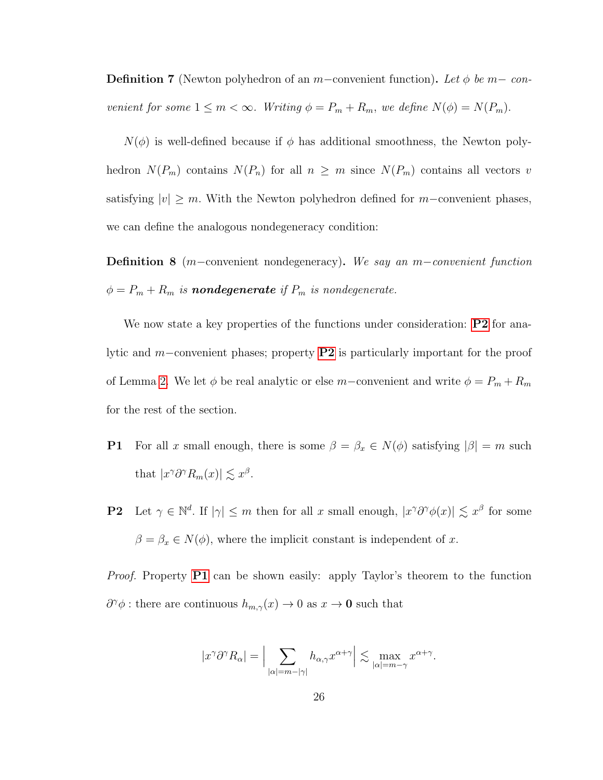**Definition 7** (Newton polyhedron of an m–convenient function). Let  $\phi$  be m– convenient for some  $1 \leq m < \infty$ . Writing  $\phi = P_m + R_m$ , we define  $N(\phi) = N(P_m)$ .

 $N(\phi)$  is well-defined because if  $\phi$  has additional smoothness, the Newton polyhedron  $N(P_m)$  contains  $N(P_n)$  for all  $n \geq m$  since  $N(P_m)$  contains all vectors v satisfying  $|v| \geq m$ . With the Newton polyhedron defined for m-convenient phases, we can define the analogous nondegeneracy condition:

Definition 8 (m−convenient nondegeneracy). We say an m–convenient function  $\phi = P_m + R_m$  is **nondegenerate** if  $P_m$  is nondegenerate.

We now state a key properties of the functions under consideration: **[P2](#page-35-0)** for analytic and m−convenient phases; property [P2](#page-35-0) is particularly important for the proof of Lemma [2.](#page-22-1) We let  $\phi$  be real analytic or else m–convenient and write  $\phi = P_m + R_m$ for the rest of the section.

- <span id="page-35-1"></span>**P1** For all x small enough, there is some  $\beta = \beta_x \in N(\phi)$  satisfying  $|\beta| = m$  such that  $|x^{\gamma}\partial^{\gamma}R_m(x)| \lesssim x^{\beta}$ .
- <span id="page-35-0"></span>**P2** Let  $\gamma \in \mathbb{N}^d$ . If  $|\gamma| \leq m$  then for all x small enough,  $|x^{\gamma}\partial^{\gamma}\phi(x)| \lesssim x^{\beta}$  for some  $\beta = \beta_x \in N(\phi)$ , where the implicit constant is independent of x.

Proof. Property [P1](#page-35-1) can be shown easily: apply Taylor's theorem to the function  $\partial^{\gamma} \phi$ : there are continuous  $h_{m,\gamma}(x) \to 0$  as  $x \to \mathbf{0}$  such that

$$
|x^{\gamma}\partial^{\gamma}R_{\alpha}| = \Big|\sum_{|\alpha|=m-|\gamma|} h_{\alpha,\gamma}x^{\alpha+\gamma}\Big| \lesssim \max_{|\alpha|=m-\gamma} x^{\alpha+\gamma}.
$$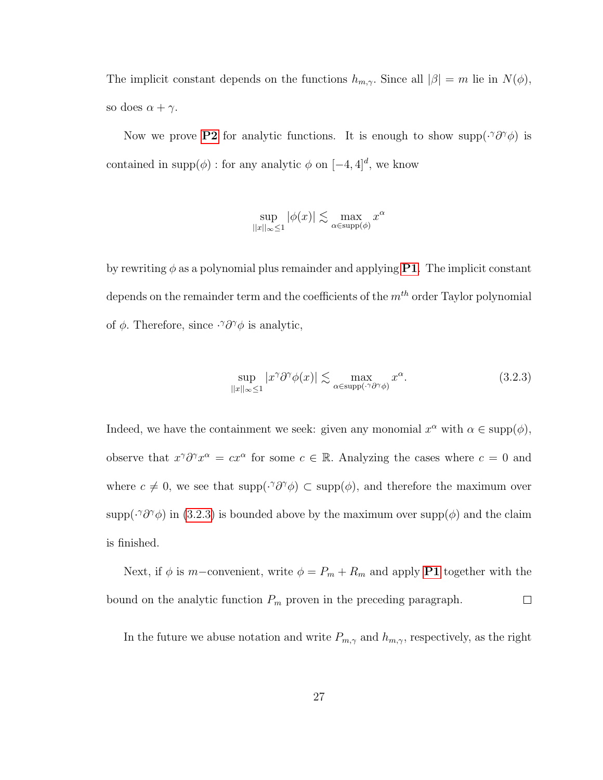The implicit constant depends on the functions  $h_{m,\gamma}$ . Since all  $|\beta| = m$  lie in  $N(\phi)$ , so does  $\alpha + \gamma$ .

Now we prove [P2](#page-35-0) for analytic functions. It is enough to show supp $(\cdot \partial^{\gamma}\phi)$  is contained in supp $(\phi)$ : for any analytic  $\phi$  on  $[-4, 4]^d$ , we know

$$
\sup_{||x||_{\infty}\leq 1}|\phi(x)| \lesssim \max_{\alpha \in \text{supp}(\phi)} x^{\alpha}
$$

by rewriting  $\phi$  as a polynomial plus remainder and applying **[P1](#page-35-1)**. The implicit constant depends on the remainder term and the coefficients of the  $m<sup>th</sup>$  order Taylor polynomial of  $\phi$ . Therefore, since  $\cdot^{\gamma}\partial^{\gamma}\phi$  is analytic,

<span id="page-36-0"></span>
$$
\sup_{||x||_{\infty}\leq 1} |x^{\gamma}\partial^{\gamma}\phi(x)| \lesssim \max_{\alpha \in \text{supp}(\cdot^{\gamma}\partial^{\gamma}\phi)} x^{\alpha}.
$$
 (3.2.3)

Indeed, we have the containment we seek: given any monomial  $x^{\alpha}$  with  $\alpha \in \text{supp}(\phi)$ , observe that  $x^{\gamma} \partial^{\gamma} x^{\alpha} = cx^{\alpha}$  for some  $c \in \mathbb{R}$ . Analyzing the cases where  $c = 0$  and where  $c \neq 0$ , we see that supp $(\cdot \partial \gamma \phi) \subset \text{supp}(\phi)$ , and therefore the maximum over supp $(\cdot \partial \partial \phi)$  in [\(3.2.3\)](#page-36-0) is bounded above by the maximum over supp $(\phi)$  and the claim is finished.

Next, if  $\phi$  is m−convenient, write  $\phi = P_m + R_m$  and apply **[P1](#page-35-1)** together with the bound on the analytic function  $P_m$  proven in the preceding paragraph.  $\Box$ 

In the future we abuse notation and write  $P_{m,\gamma}$  and  $h_{m,\gamma}$ , respectively, as the right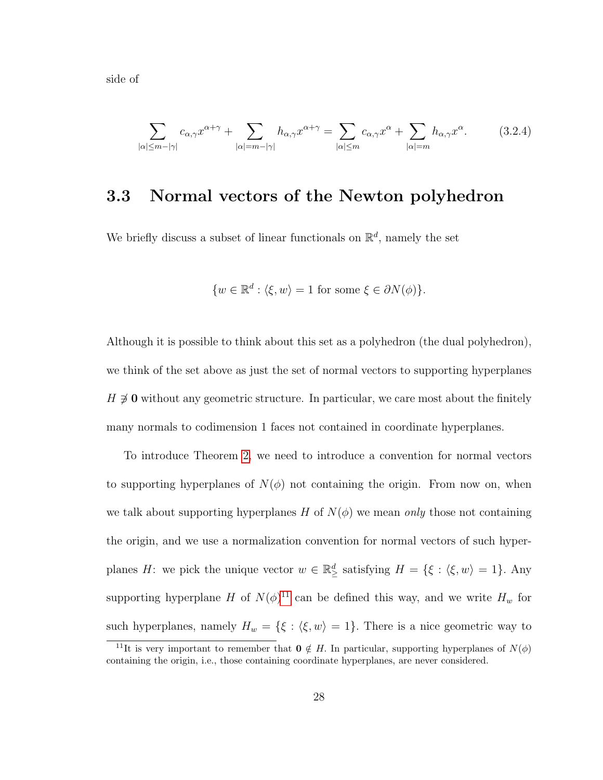side of

$$
\sum_{|\alpha| \le m - |\gamma|} c_{\alpha,\gamma} x^{\alpha + \gamma} + \sum_{|\alpha| = m - |\gamma|} h_{\alpha,\gamma} x^{\alpha + \gamma} = \sum_{|\alpha| \le m} c_{\alpha,\gamma} x^{\alpha} + \sum_{|\alpha| = m} h_{\alpha,\gamma} x^{\alpha}.
$$
 (3.2.4)

## <span id="page-37-1"></span>3.3 Normal vectors of the Newton polyhedron

We briefly discuss a subset of linear functionals on  $\mathbb{R}^d$ , namely the set

<span id="page-37-2"></span>
$$
\{w \in \mathbb{R}^d : \langle \xi, w \rangle = 1 \text{ for some } \xi \in \partial N(\phi) \}.
$$

Although it is possible to think about this set as a polyhedron (the dual polyhedron), we think of the set above as just the set of normal vectors to supporting hyperplanes  $H \not\supseteq 0$  without any geometric structure. In particular, we care most about the finitely many normals to codimension 1 faces not contained in coordinate hyperplanes.

To introduce Theorem [2,](#page-24-0) we need to introduce a convention for normal vectors to supporting hyperplanes of  $N(\phi)$  not containing the origin. From now on, when we talk about supporting hyperplanes H of  $N(\phi)$  we mean only those not containing the origin, and we use a normalization convention for normal vectors of such hyperplanes H: we pick the unique vector  $w \in \mathbb{R}^d_{\geq}$  satisfying  $H = \{ \xi : \langle \xi, w \rangle = 1 \}$ . Any supporting hyperplane H of  $N(\phi)^{11}$  $N(\phi)^{11}$  $N(\phi)^{11}$  can be defined this way, and we write  $H_w$  for such hyperplanes, namely  $H_w = \{\xi : \langle \xi, w \rangle = 1\}.$  There is a nice geometric way to

<span id="page-37-0"></span><sup>&</sup>lt;sup>11</sup>It is very important to remember that  $\mathbf{0} \notin H$ . In particular, supporting hyperplanes of  $N(\phi)$ containing the origin, i.e., those containing coordinate hyperplanes, are never considered.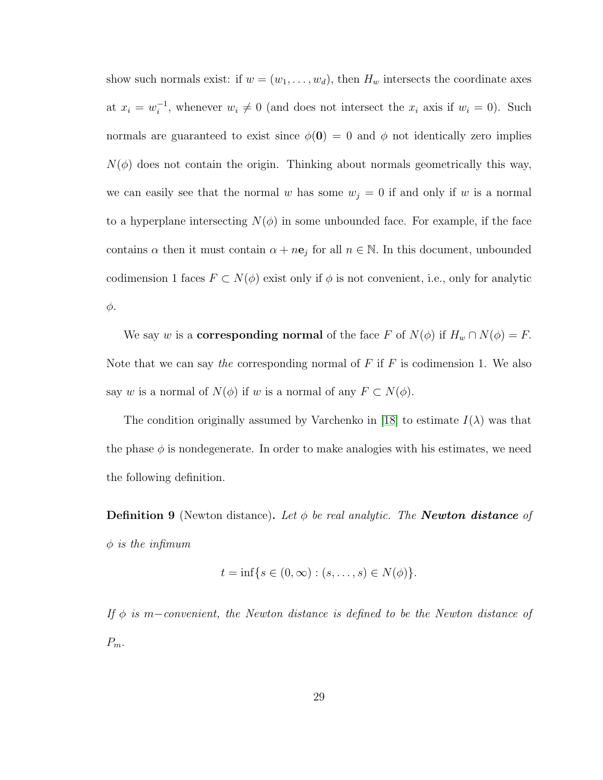show such normals exist: if  $w = (w_1, \ldots, w_d)$ , then  $H_w$  intersects the coordinate axes at  $x_i = w_i^{-1}$  $i_i$ , whenever  $w_i \neq 0$  (and does not intersect the  $x_i$  axis if  $w_i = 0$ ). Such normals are guaranteed to exist since  $\phi(0) = 0$  and  $\phi$  not identically zero implies  $N(\phi)$  does not contain the origin. Thinking about normals geometrically this way, we can easily see that the normal w has some  $w_j = 0$  if and only if w is a normal to a hyperplane intersecting  $N(\phi)$  in some unbounded face. For example, if the face contains  $\alpha$  then it must contain  $\alpha + n\mathbf{e}_j$  for all  $n \in \mathbb{N}$ . In this document, unbounded codimension 1 faces  $F \subset N(\phi)$  exist only if  $\phi$  is not convenient, i.e., only for analytic φ.

We say w is a **corresponding normal** of the face F of  $N(\phi)$  if  $H_w \cap N(\phi) = F$ . Note that we can say the corresponding normal of  $F$  if  $F$  is codimension 1. We also say w is a normal of  $N(\phi)$  if w is a normal of any  $F \subset N(\phi)$ .

The condition originally assumed by Varchenko in [\[18\]](#page-117-0) to estimate  $I(\lambda)$  was that the phase  $\phi$  is nondegenerate. In order to make analogies with his estimates, we need the following definition.

**Definition 9** (Newton distance). Let  $\phi$  be real analytic. The **Newton distance** of  $\phi$  is the infimum

$$
t = \inf \{ s \in (0, \infty) : (s, \dots, s) \in N(\phi) \}.
$$

If  $\phi$  is m−convenient, the Newton distance is defined to be the Newton distance of  $P_m$ .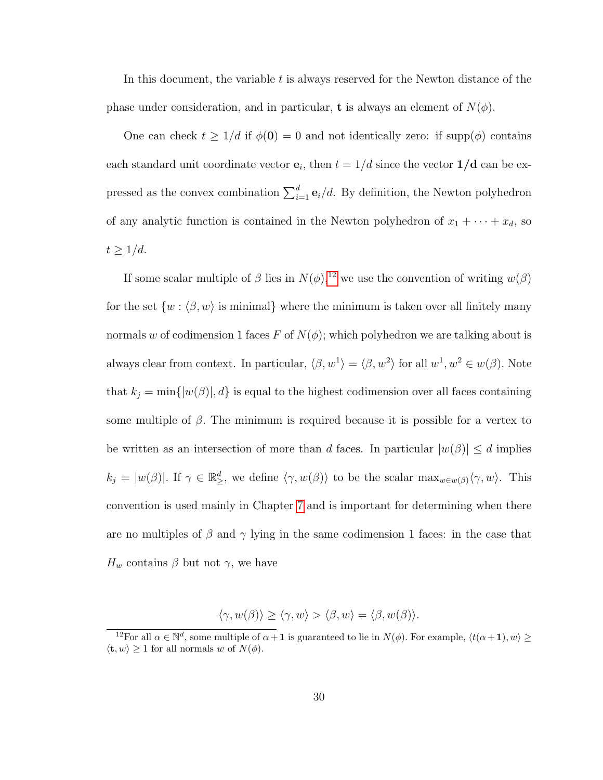In this document, the variable  $t$  is always reserved for the Newton distance of the phase under consideration, and in particular, **t** is always an element of  $N(\phi)$ .

One can check  $t \geq 1/d$  if  $\phi(0) = 0$  and not identically zero: if supp $(\phi)$  contains each standard unit coordinate vector  $\mathbf{e}_i$ , then  $t = 1/d$  since the vector  $1/d$  can be expressed as the convex combination  $\sum_{i=1}^{d} \mathbf{e}_i/d$ . By definition, the Newton polyhedron of any analytic function is contained in the Newton polyhedron of  $x_1 + \cdots + x_d$ , so  $t \geq 1/d$ .

If some scalar multiple of  $\beta$  lies in  $N(\phi)$ ,<sup>[12](#page-39-0)</sup> we use the convention of writing  $w(\beta)$ for the set  $\{w : \langle \beta, w \rangle \text{ is minimal}\}\$  where the minimum is taken over all finitely many normals w of codimension 1 faces F of  $N(\phi)$ ; which polyhedron we are talking about is always clear from context. In particular,  $\langle \beta, w^1 \rangle = \langle \beta, w^2 \rangle$  for all  $w^1, w^2 \in w(\beta)$ . Note that  $k_j = \min\{|w(\beta)|, d\}$  is equal to the highest codimension over all faces containing some multiple of  $\beta$ . The minimum is required because it is possible for a vertex to be written as an intersection of more than d faces. In particular  $|w(\beta)| \leq d$  implies  $k_j = |w(\beta)|$ . If  $\gamma \in \mathbb{R}^d_\geq$ , we define  $\langle \gamma, w(\beta) \rangle$  to be the scalar  $\max_{w \in w(\beta)} \langle \gamma, w \rangle$ . This convention is used mainly in Chapter [7](#page-87-0) and is important for determining when there are no multiples of  $\beta$  and  $\gamma$  lying in the same codimension 1 faces: in the case that  $H_w$  contains  $\beta$  but not  $\gamma$ , we have

$$
\langle \gamma, w(\beta) \rangle \ge \langle \gamma, w \rangle > \langle \beta, w \rangle = \langle \beta, w(\beta) \rangle.
$$

<span id="page-39-0"></span><sup>&</sup>lt;sup>12</sup>For all  $\alpha \in \mathbb{N}^d$ , some multiple of  $\alpha + 1$  is guaranteed to lie in  $N(\phi)$ . For example,  $\langle t(\alpha + 1), w \rangle \ge$  $\langle \mathbf{t}, w \rangle \geq 1$  for all normals w of  $N(\phi)$ .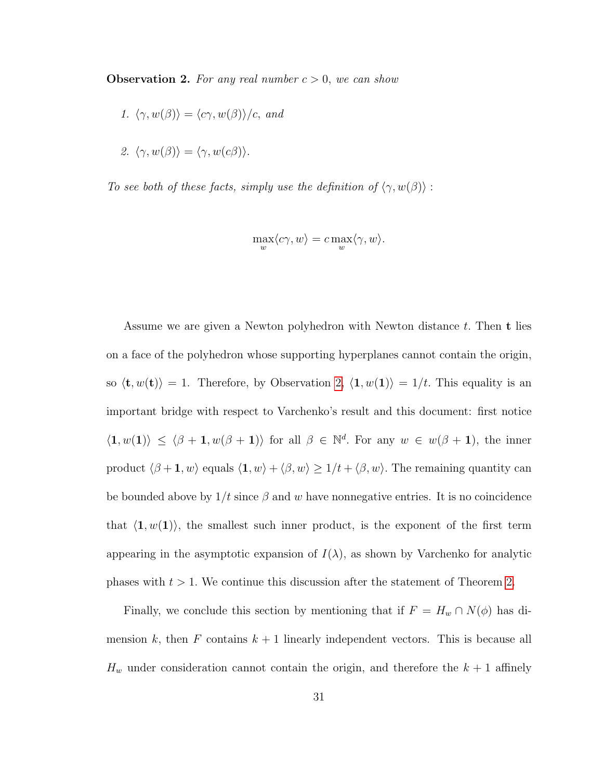<span id="page-40-0"></span>**Observation 2.** For any real number  $c > 0$ , we can show

1. 
$$
\langle \gamma, w(\beta) \rangle = \langle c\gamma, w(\beta) \rangle / c
$$
, and

2. 
$$
\langle \gamma, w(\beta) \rangle = \langle \gamma, w(c\beta) \rangle
$$
.

To see both of these facts, simply use the definition of  $\langle \gamma, w(\beta) \rangle$ :

$$
\max_w \langle c\gamma,w\rangle = c\max_w \langle \gamma,w\rangle.
$$

Assume we are given a Newton polyhedron with Newton distance  $t$ . Then  $t$  lies on a face of the polyhedron whose supporting hyperplanes cannot contain the origin, so  $\langle \mathbf{t}, w(\mathbf{t}) \rangle = 1$ . Therefore, by Observation [2,](#page-40-0)  $\langle \mathbf{1}, w(\mathbf{1}) \rangle = 1/t$ . This equality is an important bridge with respect to Varchenko's result and this document: first notice  $\langle 1, w(1) \rangle \leq \langle \beta + 1, w(\beta + 1) \rangle$  for all  $\beta \in \mathbb{N}^d$ . For any  $w \in w(\beta + 1)$ , the inner product  $\langle \beta + 1, w \rangle$  equals  $\langle 1, w \rangle + \langle \beta, w \rangle \ge 1/t + \langle \beta, w \rangle$ . The remaining quantity can be bounded above by  $1/t$  since  $\beta$  and w have nonnegative entries. It is no coincidence that  $\langle 1, w(1) \rangle$ , the smallest such inner product, is the exponent of the first term appearing in the asymptotic expansion of  $I(\lambda)$ , as shown by Varchenko for analytic phases with  $t > 1$ . We continue this discussion after the statement of Theorem [2.](#page-24-0)

Finally, we conclude this section by mentioning that if  $F = H_w \cap N(\phi)$  has dimension k, then F contains  $k + 1$  linearly independent vectors. This is because all  $H_w$  under consideration cannot contain the origin, and therefore the  $k+1$  affinely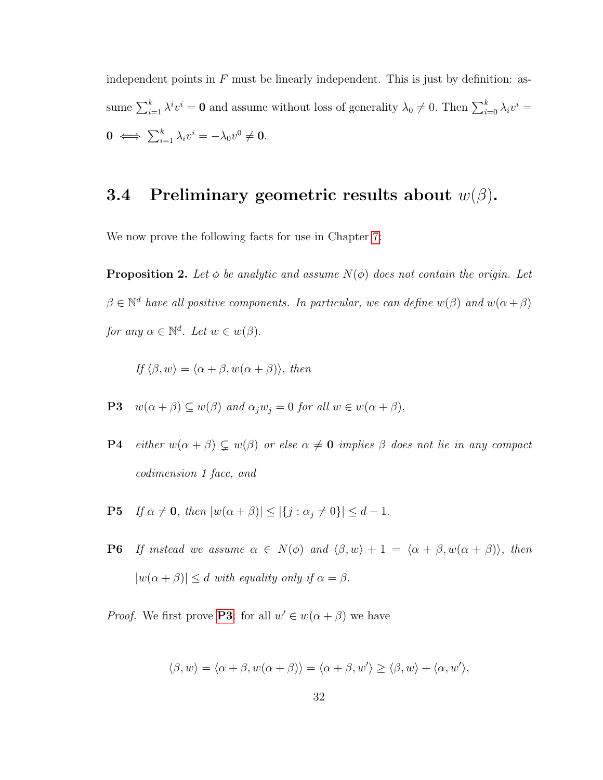independent points in  $F$  must be linearly independent. This is just by definition: assume  $\sum_{i=1}^{k} \lambda^i v^i = \mathbf{0}$  and assume without loss of generality  $\lambda_0 \neq 0$ . Then  $\sum_{i=0}^{k} \lambda_i v^i =$  $\mathbf{0} \iff \sum_{i=1}^k \lambda_i v^i = -\lambda_0 v^0 \neq \mathbf{0}.$ 

## 3.4 Preliminary geometric results about  $w(\beta)$ .

We now prove the following facts for use in Chapter [7:](#page-87-0)

**Proposition 2.** Let  $\phi$  be analytic and assume  $N(\phi)$  does not contain the origin. Let  $\beta \in \mathbb{N}^d$  have all positive components. In particular, we can define  $w(\beta)$  and  $w(\alpha + \beta)$ for any  $\alpha \in \mathbb{N}^d$ . Let  $w \in w(\beta)$ .

<span id="page-41-0"></span>If  $\langle \beta, w \rangle = \langle \alpha + \beta, w(\alpha + \beta) \rangle$ , then

**P3** 
$$
w(\alpha + \beta) \subseteq w(\beta)
$$
 and  $\alpha_j w_j = 0$  for all  $w \in w(\alpha + \beta)$ ,

- <span id="page-41-1"></span>**P4** either  $w(\alpha + \beta) \subsetneq w(\beta)$  or else  $\alpha \neq \mathbf{0}$  implies  $\beta$  does not lie in any compact codimension 1 face, and
- <span id="page-41-2"></span>**P5** If  $\alpha \neq \mathbf{0}$ , then  $|w(\alpha + \beta)| \leq |\{j : \alpha_j \neq 0\}| \leq d - 1$ .
- **P6** If instead we assume  $\alpha \in N(\phi)$  and  $\langle \beta, w \rangle + 1 = \langle \alpha + \beta, w(\alpha + \beta) \rangle$ , then  $|w(\alpha + \beta)| \le d$  with equality only if  $\alpha = \beta$ .

*Proof.* We first prove **[P3](#page-41-0)**: for all  $w' \in w(\alpha + \beta)$  we have

$$
\langle \beta, w \rangle = \langle \alpha + \beta, w(\alpha + \beta) \rangle = \langle \alpha + \beta, w' \rangle \ge \langle \beta, w \rangle + \langle \alpha, w' \rangle,
$$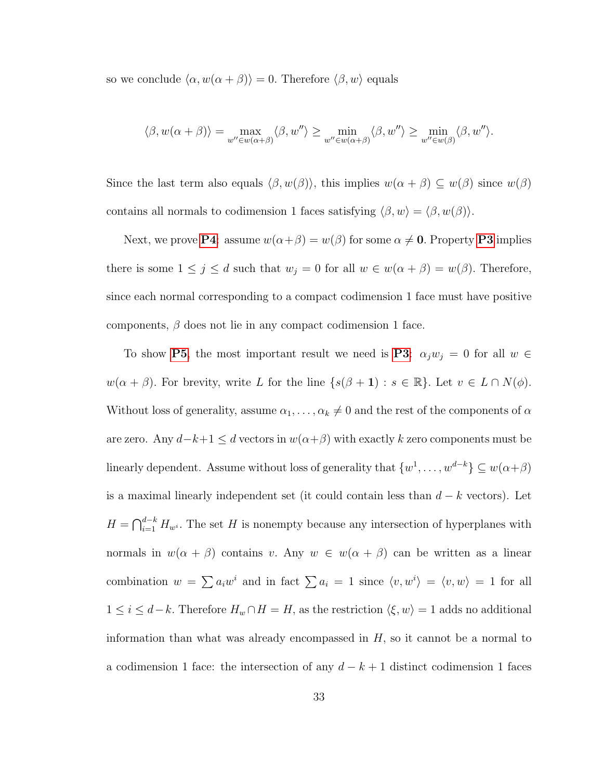so we conclude  $\langle \alpha, w(\alpha + \beta) \rangle = 0$ . Therefore  $\langle \beta, w \rangle$  equals

$$
\langle \beta, w(\alpha + \beta) \rangle = \max_{w'' \in w(\alpha + \beta)} \langle \beta, w'' \rangle \ge \min_{w'' \in w(\alpha + \beta)} \langle \beta, w'' \rangle \ge \min_{w'' \in w(\beta)} \langle \beta, w'' \rangle.
$$

Since the last term also equals  $\langle \beta, w(\beta) \rangle$ , this implies  $w(\alpha + \beta) \subseteq w(\beta)$  since  $w(\beta)$ contains all normals to codimension 1 faces satisfying  $\langle \beta, w \rangle = \langle \beta, w(\beta) \rangle$ .

Next, we prove **[P4](#page-41-1)**: assume  $w(\alpha+\beta) = w(\beta)$  for some  $\alpha \neq 0$ . Property **[P3](#page-41-0)** implies there is some  $1 \leq j \leq d$  such that  $w_j = 0$  for all  $w \in w(\alpha + \beta) = w(\beta)$ . Therefore, since each normal corresponding to a compact codimension 1 face must have positive components,  $\beta$  does not lie in any compact codimension 1 face.

To show [P5](#page-41-2), the most important result we need is [P3](#page-41-0):  $\alpha_j w_j = 0$  for all  $w \in$  $w(\alpha + \beta)$ . For brevity, write L for the line  $\{s(\beta + 1) : s \in \mathbb{R}\}$ . Let  $v \in L \cap N(\phi)$ . Without loss of generality, assume  $\alpha_1, \ldots, \alpha_k \neq 0$  and the rest of the components of  $\alpha$ are zero. Any  $d-k+1 \leq d$  vectors in  $w(\alpha+\beta)$  with exactly k zero components must be linearly dependent. Assume without loss of generality that  $\{w^1, \ldots, w^{d-k}\} \subseteq w(\alpha + \beta)$ is a maximal linearly independent set (it could contain less than  $d - k$  vectors). Let  $H = \bigcap_{i=1}^{d-k} H_{w^i}$ . The set H is nonempty because any intersection of hyperplanes with normals in  $w(\alpha + \beta)$  contains v. Any  $w \in w(\alpha + \beta)$  can be written as a linear combination  $w = \sum a_i w^i$  and in fact  $\sum a_i = 1$  since  $\langle v, w^i \rangle = \langle v, w \rangle = 1$  for all  $1 \leq i \leq d-k$ . Therefore  $H_w \cap H = H$ , as the restriction  $\langle \xi, w \rangle = 1$  adds no additional information than what was already encompassed in  $H$ , so it cannot be a normal to a codimension 1 face: the intersection of any  $d - k + 1$  distinct codimension 1 faces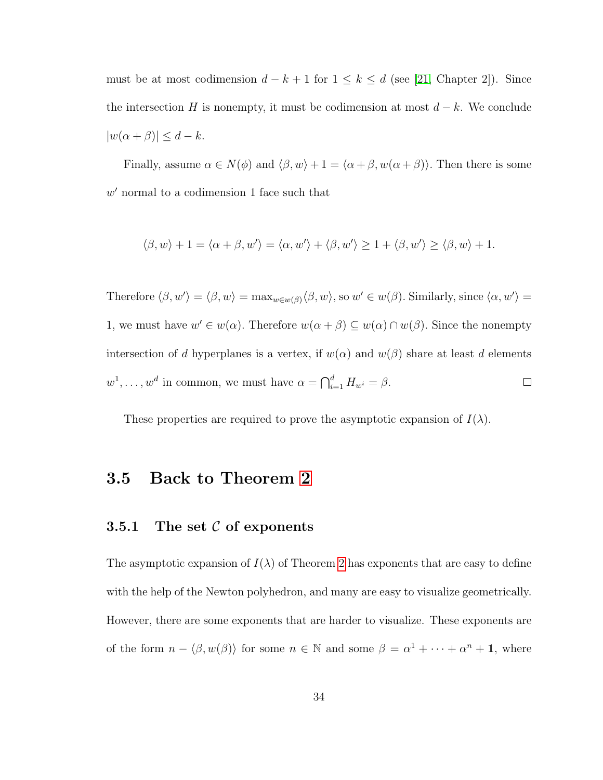must be at most codimension  $d - k + 1$  for  $1 \leq k \leq d$  (see [\[21,](#page-117-1) Chapter 2]). Since the intersection H is nonempty, it must be codimension at most  $d - k$ . We conclude  $|w(\alpha + \beta)| \leq d - k.$ 

Finally, assume  $\alpha \in N(\phi)$  and  $\langle \beta, w \rangle + 1 = \langle \alpha + \beta, w(\alpha + \beta) \rangle$ . Then there is some  $w'$  normal to a codimension 1 face such that

$$
\langle \beta, w \rangle + 1 = \langle \alpha + \beta, w' \rangle = \langle \alpha, w' \rangle + \langle \beta, w' \rangle \ge 1 + \langle \beta, w' \rangle \ge \langle \beta, w \rangle + 1.
$$

Therefore  $\langle \beta, w' \rangle = \langle \beta, w \rangle = \max_{w \in w(\beta)} \langle \beta, w \rangle$ , so  $w' \in w(\beta)$ . Similarly, since  $\langle \alpha, w' \rangle =$ 1, we must have  $w' \in w(\alpha)$ . Therefore  $w(\alpha + \beta) \subseteq w(\alpha) \cap w(\beta)$ . Since the nonempty intersection of d hyperplanes is a vertex, if  $w(\alpha)$  and  $w(\beta)$  share at least d elements  $w^1, \ldots, w^d$  in common, we must have  $\alpha = \bigcap_{i=1}^d H_{w^i} = \beta$ .  $\Box$ 

These properties are required to prove the asymptotic expansion of  $I(\lambda)$ .

#### 3.5 Back to Theorem [2](#page-24-0)

#### 3.5.1 The set  $C$  of exponents

The asymptotic expansion of  $I(\lambda)$  of Theorem [2](#page-24-0) has exponents that are easy to define with the help of the Newton polyhedron, and many are easy to visualize geometrically. However, there are some exponents that are harder to visualize. These exponents are of the form  $n - \langle \beta, w(\beta) \rangle$  for some  $n \in \mathbb{N}$  and some  $\beta = \alpha^1 + \cdots + \alpha^n + 1$ , where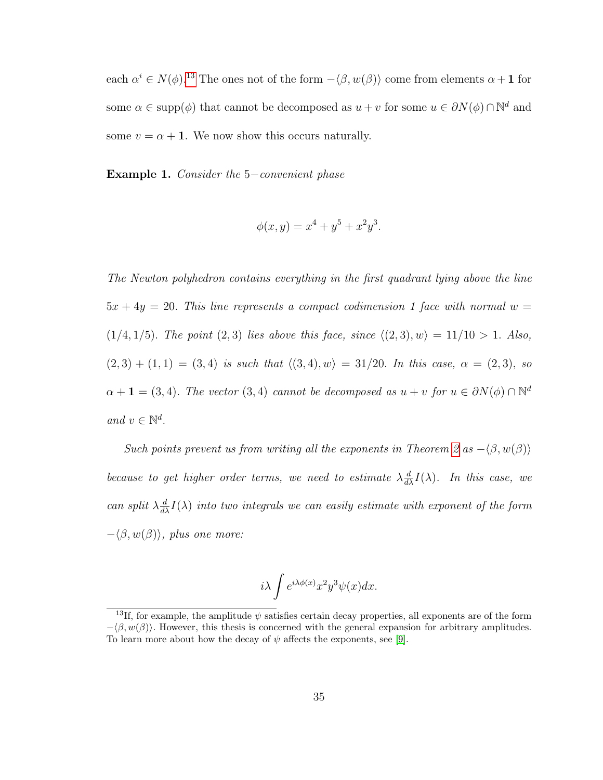each  $\alpha^i \in N(\phi)$ .<sup>[13](#page-44-0)</sup> The ones not of the form  $-\langle \beta, w(\beta) \rangle$  come from elements  $\alpha + 1$  for some  $\alpha \in \text{supp}(\phi)$  that cannot be decomposed as  $u + v$  for some  $u \in \partial N(\phi) \cap \mathbb{N}^d$  and some  $v = \alpha + 1$ . We now show this occurs naturally.

<span id="page-44-1"></span>Example 1. Consider the 5−convenient phase

$$
\phi(x, y) = x^4 + y^5 + x^2 y^3.
$$

The Newton polyhedron contains everything in the first quadrant lying above the line  $5x + 4y = 20$ . This line represents a compact codimension 1 face with normal  $w =$  $(1/4, 1/5)$ . The point  $(2, 3)$  lies above this face, since  $\langle (2, 3), w \rangle = 11/10 > 1$ . Also,  $(2, 3) + (1, 1) = (3, 4)$  is such that  $\langle (3, 4), w \rangle = 31/20$ . In this case,  $\alpha = (2, 3)$ , so  $\alpha + 1 = (3, 4)$ . The vector  $(3, 4)$  cannot be decomposed as  $u + v$  for  $u \in \partial N(\phi) \cap \mathbb{N}^d$ and  $v \in \mathbb{N}^d$ .

Such points prevent us from writing all the exponents in Theorem [2](#page-24-0) as  $-\langle \beta, w(\beta) \rangle$ because to get higher order terms, we need to estimate  $\lambda \frac{d}{d\lambda} I(\lambda)$ . In this case, we can split  $\lambda \frac{d}{dx} I(\lambda)$  into two integrals we can easily estimate with exponent of the form  $-\langle \beta, w(\beta) \rangle$ , plus one more:

$$
i\lambda \int e^{i\lambda \phi(x)} x^2 y^3 \psi(x) dx.
$$

<span id="page-44-0"></span><sup>&</sup>lt;sup>13</sup>If, for example, the amplitude  $\psi$  satisfies certain decay properties, all exponents are of the form  $-\langle \beta, w(\beta) \rangle$ . However, this thesis is concerned with the general expansion for arbitrary amplitudes. To learn more about how the decay of  $\psi$  affects the exponents, see [\[9\]](#page-116-0).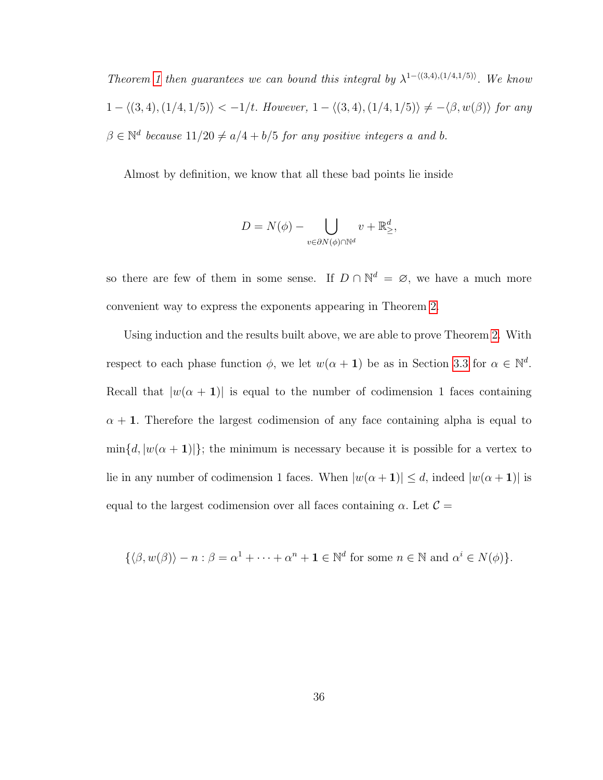Theorem [1](#page-23-0) then guarantees we can bound this integral by  $\lambda^{1-\langle(3,4),(1/4,1/5)\rangle}$ . We know  $1 - \langle (3, 4), (1/4, 1/5) \rangle < -1/t$ . However,  $1 - \langle (3, 4), (1/4, 1/5) \rangle \neq -\langle \beta, w(\beta) \rangle$  for any  $\beta \in \mathbb{N}^d$  because  $11/20 \neq a/4 + b/5$  for any positive integers a and b.

Almost by definition, we know that all these bad points lie inside

$$
D = N(\phi) - \bigcup_{v \in \partial N(\phi) \cap \mathbb{N}^d} v + \mathbb{R}^d_{\geq},
$$

so there are few of them in some sense. If  $D \cap \mathbb{N}^d = \emptyset$ , we have a much more convenient way to express the exponents appearing in Theorem [2.](#page-24-0)

Using induction and the results built above, we are able to prove Theorem [2.](#page-24-0) With respect to each phase function  $\phi$ , we let  $w(\alpha + 1)$  be as in Section [3.3](#page-37-1) for  $\alpha \in \mathbb{N}^d$ . Recall that  $|w(\alpha + 1)|$  is equal to the number of codimension 1 faces containing  $\alpha + 1$ . Therefore the largest codimension of any face containing alpha is equal to  $\min\{d, |w(\alpha + 1)|\}$ ; the minimum is necessary because it is possible for a vertex to lie in any number of codimension 1 faces. When  $|w(\alpha + 1)| \le d$ , indeed  $|w(\alpha + 1)|$  is equal to the largest codimension over all faces containing  $\alpha$ . Let  $\mathcal{C} =$ 

$$
\{\langle \beta, w(\beta) \rangle - n : \beta = \alpha^1 + \dots + \alpha^n + 1 \in \mathbb{N}^d \text{ for some } n \in \mathbb{N} \text{ and } \alpha^i \in N(\phi) \}.
$$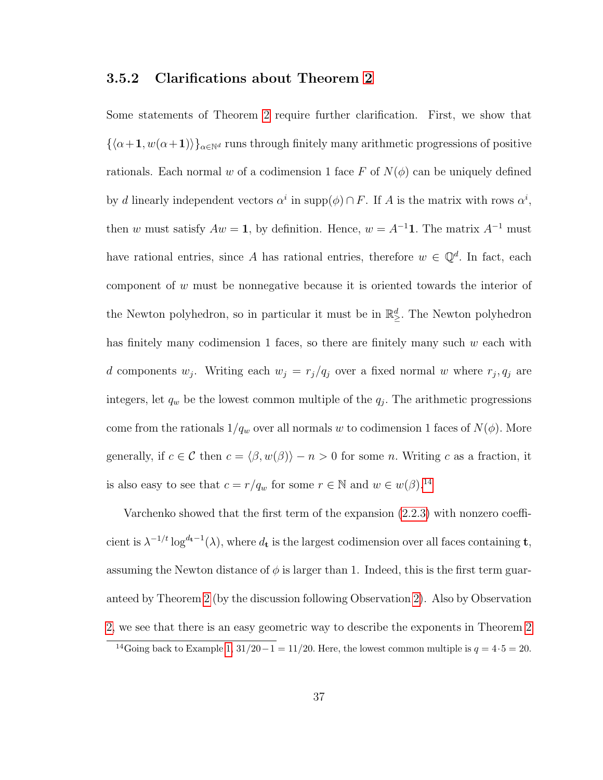#### 3.5.2 Clarifications about Theorem [2](#page-24-0)

Some statements of Theorem [2](#page-24-0) require further clarification. First, we show that  $\{\langle \alpha+1, w(\alpha+1)\rangle\}_{\alpha\in\mathbb{N}^d}$  runs through finitely many arithmetic progressions of positive rationals. Each normal w of a codimension 1 face F of  $N(\phi)$  can be uniquely defined by d linearly independent vectors  $\alpha^i$  in supp $(\phi) \cap F$ . If A is the matrix with rows  $\alpha^i$ , then w must satisfy  $Aw = 1$ , by definition. Hence,  $w = A^{-1}\mathbf{1}$ . The matrix  $A^{-1}$  must have rational entries, since A has rational entries, therefore  $w \in \mathbb{Q}^d$ . In fact, each component of w must be nonnegative because it is oriented towards the interior of the Newton polyhedron, so in particular it must be in  $\mathbb{R}^d_{\geq}$ . The Newton polyhedron has finitely many codimension 1 faces, so there are finitely many such  $w$  each with d components  $w_j$ . Writing each  $w_j = r_j/q_j$  over a fixed normal w where  $r_j, q_j$  are integers, let  $q_w$  be the lowest common multiple of the  $q_j$ . The arithmetic progressions come from the rationals  $1/q_w$  over all normals w to codimension 1 faces of  $N(\phi)$ . More generally, if  $c \in \mathcal{C}$  then  $c = \langle \beta, w(\beta) \rangle - n > 0$  for some n. Writing c as a fraction, it is also easy to see that  $c = r/q_w$  for some  $r \in \mathbb{N}$  and  $w \in w(\beta)$ .<sup>[14](#page-46-0)</sup>

Varchenko showed that the first term of the expansion [\(2.2.3\)](#page-24-0) with nonzero coefficient is  $\lambda^{-1/t} \log^{d_t-1}(\lambda)$ , where  $d_t$  is the largest codimension over all faces containing **t**, assuming the Newton distance of  $\phi$  is larger than 1. Indeed, this is the first term guaranteed by Theorem [2](#page-24-0) (by the discussion following Observation [2\)](#page-40-0). Also by Observation [2,](#page-40-0) we see that there is an easy geometric way to describe the exponents in Theorem [2](#page-24-0)

<span id="page-46-0"></span><sup>&</sup>lt;sup>14</sup>Going back to Example [1,](#page-44-1)  $31/20-1 = 11/20$ . Here, the lowest common multiple is  $q = 4.5 = 20$ .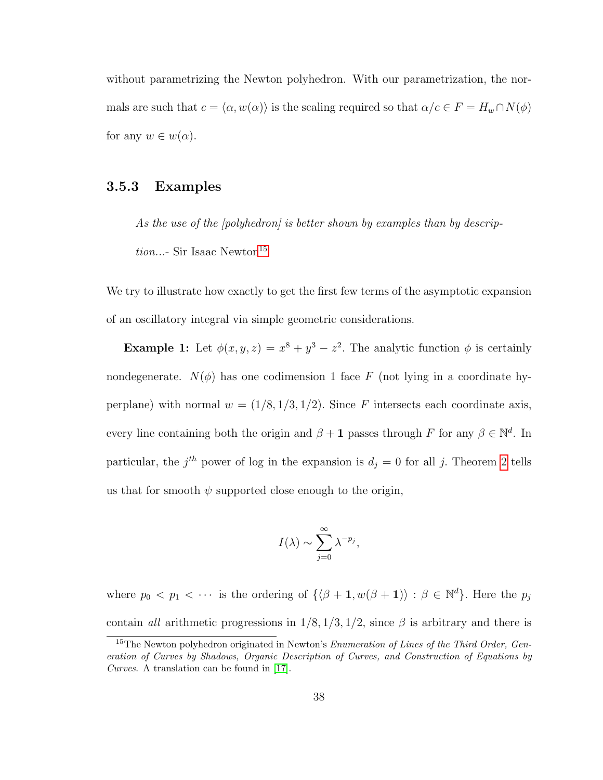without parametrizing the Newton polyhedron. With our parametrization, the normals are such that  $c = \langle \alpha, w(\alpha) \rangle$  is the scaling required so that  $\alpha/c \in F = H_w \cap N(\phi)$ for any  $w \in w(\alpha)$ .

#### 3.5.3 Examples

As the use of the [polyhedron] is better shown by examples than by descrip $tion...$ - Sir Isaac Newton<sup>[15](#page-47-0)</sup>

We try to illustrate how exactly to get the first few terms of the asymptotic expansion of an oscillatory integral via simple geometric considerations.

**Example 1:** Let  $\phi(x, y, z) = x^8 + y^3 - z^2$ . The analytic function  $\phi$  is certainly nondegenerate.  $N(\phi)$  has one codimension 1 face F (not lying in a coordinate hyperplane) with normal  $w = (1/8, 1/3, 1/2)$ . Since F intersects each coordinate axis, every line containing both the origin and  $\beta + 1$  passes through F for any  $\beta \in \mathbb{N}^d$ . In particular, the  $j<sup>th</sup>$  power of log in the expansion is  $d_j = 0$  for all j. Theorem [2](#page-24-0) tells us that for smooth  $\psi$  supported close enough to the origin,

$$
I(\lambda) \sim \sum_{j=0}^{\infty} \lambda^{-p_j},
$$

where  $p_0 < p_1 < \cdots$  is the ordering of  $\{\langle \beta + 1, w(\beta + 1) \rangle : \beta \in \mathbb{N}^d\}$ . Here the  $p_j$ contain all arithmetic progressions in  $1/8$ ,  $1/3$ ,  $1/2$ , since  $\beta$  is arbitrary and there is

<span id="page-47-0"></span> $15$ The Newton polyhedron originated in Newton's *Enumeration of Lines of the Third Order, Gen*eration of Curves by Shadows, Organic Description of Curves, and Construction of Equations by Curves. A translation can be found in [\[17\]](#page-117-2).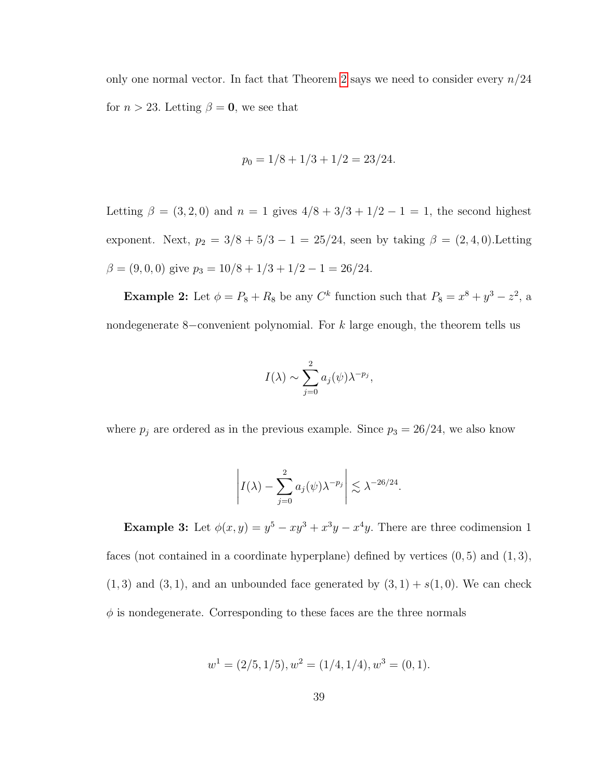only one normal vector. In fact that Theorem [2](#page-24-0) says we need to consider every  $n/24$ for  $n > 23$ . Letting  $\beta = 0$ , we see that

$$
p_0 = 1/8 + 1/3 + 1/2 = 23/24.
$$

Letting  $\beta = (3, 2, 0)$  and  $n = 1$  gives  $4/8 + 3/3 + 1/2 - 1 = 1$ , the second highest exponent. Next,  $p_2 = 3/8 + 5/3 - 1 = 25/24$ , seen by taking  $\beta = (2, 4, 0)$ . Letting  $\beta = (9, 0, 0)$  give  $p_3 = 10/8 + 1/3 + 1/2 - 1 = 26/24$ .

**Example 2:** Let  $\phi = P_8 + R_8$  be any  $C^k$  function such that  $P_8 = x^8 + y^3 - z^2$ , a nondegenerate 8–convenient polynomial. For k large enough, the theorem tells us

$$
I(\lambda) \sim \sum_{j=0}^{2} a_j(\psi) \lambda^{-p_j},
$$

where  $p_j$  are ordered as in the previous example. Since  $p_3 = 26/24$ , we also know

$$
\left| I(\lambda) - \sum_{j=0}^2 a_j(\psi) \lambda^{-p_j} \right| \lesssim \lambda^{-26/24}.
$$

**Example 3:** Let  $\phi(x, y) = y^5 - xy^3 + x^3y - x^4y$ . There are three codimension 1 faces (not contained in a coordinate hyperplane) defined by vertices  $(0, 5)$  and  $(1, 3)$ ,  $(1, 3)$  and  $(3, 1)$ , and an unbounded face generated by  $(3, 1) + s(1, 0)$ . We can check  $\phi$  is nondegenerate. Corresponding to these faces are the three normals

$$
w1 = (2/5, 1/5), w2 = (1/4, 1/4), w3 = (0, 1).
$$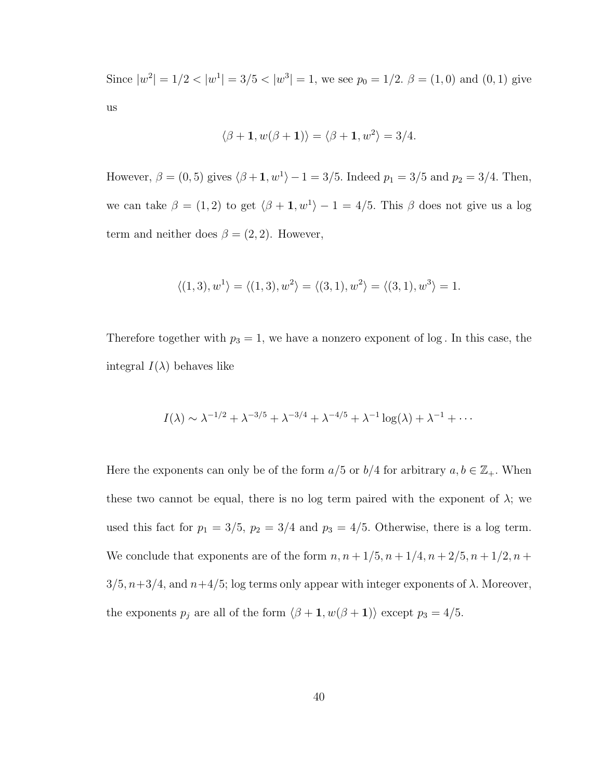Since  $|w^2| = 1/2 < |w^1| = 3/5 < |w^3| = 1$ , we see  $p_0 = 1/2$ .  $\beta = (1, 0)$  and  $(0, 1)$  give us

$$
\langle \beta + 1, w(\beta + 1) \rangle = \langle \beta + 1, w^2 \rangle = 3/4.
$$

However,  $\beta = (0, 5)$  gives  $\langle \beta +1, w^1 \rangle -1 = 3/5$ . Indeed  $p_1 = 3/5$  and  $p_2 = 3/4$ . Then, we can take  $\beta = (1, 2)$  to get  $\langle \beta + 1, w^1 \rangle - 1 = 4/5$ . This  $\beta$  does not give us a log term and neither does  $\beta = (2, 2)$ . However,

$$
\langle (1,3), w^1 \rangle = \langle (1,3), w^2 \rangle = \langle (3,1), w^2 \rangle = \langle (3,1), w^3 \rangle = 1.
$$

Therefore together with  $p_3 = 1$ , we have a nonzero exponent of log. In this case, the integral  $I(\lambda)$  behaves like

$$
I(\lambda) \sim \lambda^{-1/2} + \lambda^{-3/5} + \lambda^{-3/4} + \lambda^{-4/5} + \lambda^{-1} \log(\lambda) + \lambda^{-1} + \cdots
$$

Here the exponents can only be of the form  $a/5$  or  $b/4$  for arbitrary  $a, b \in \mathbb{Z}_+$ . When these two cannot be equal, there is no log term paired with the exponent of  $\lambda$ ; we used this fact for  $p_1 = 3/5$ ,  $p_2 = 3/4$  and  $p_3 = 4/5$ . Otherwise, there is a log term. We conclude that exponents are of the form  $n, n + 1/5, n + 1/4, n + 2/5, n + 1/2, n +$  $3/5, n+3/4$ , and  $n+4/5$ ; log terms only appear with integer exponents of  $\lambda$ . Moreover, the exponents  $p_j$  are all of the form  $\langle \beta + 1, w(\beta + 1) \rangle$  except  $p_3 = 4/5$ .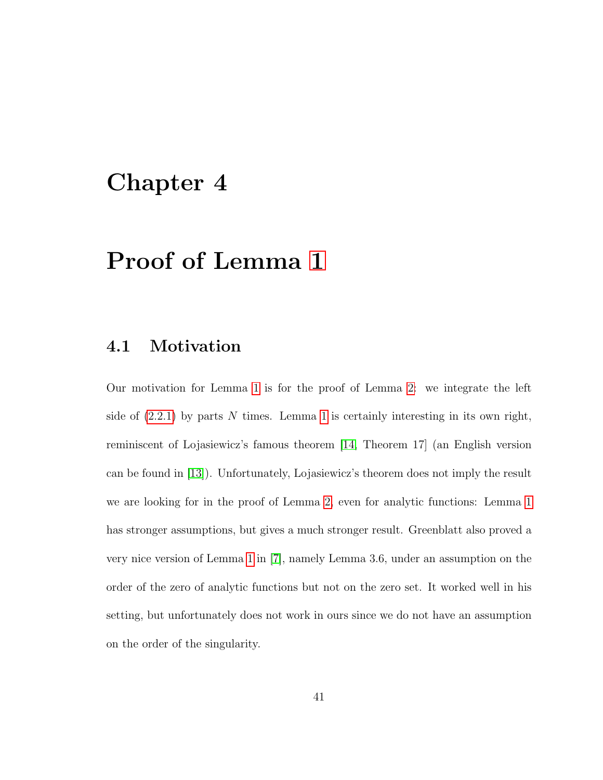# Chapter 4

# Proof of Lemma [1](#page-22-0)

### 4.1 Motivation

Our motivation for Lemma [1](#page-22-0) is for the proof of Lemma [2:](#page-22-1) we integrate the left side of  $(2.2.1)$  by parts N times. Lemma [1](#page-22-0) is certainly interesting in its own right, reminiscent of Lojasiewicz's famous theorem [\[14,](#page-116-1) Theorem 17] (an English version can be found in [\[13\]](#page-116-2)). Unfortunately, Lojasiewicz's theorem does not imply the result we are looking for in the proof of Lemma [2,](#page-22-1) even for analytic functions: Lemma [1](#page-22-0) has stronger assumptions, but gives a much stronger result. Greenblatt also proved a very nice version of Lemma [1](#page-22-0) in [\[7\]](#page-116-3), namely Lemma 3.6, under an assumption on the order of the zero of analytic functions but not on the zero set. It worked well in his setting, but unfortunately does not work in ours since we do not have an assumption on the order of the singularity.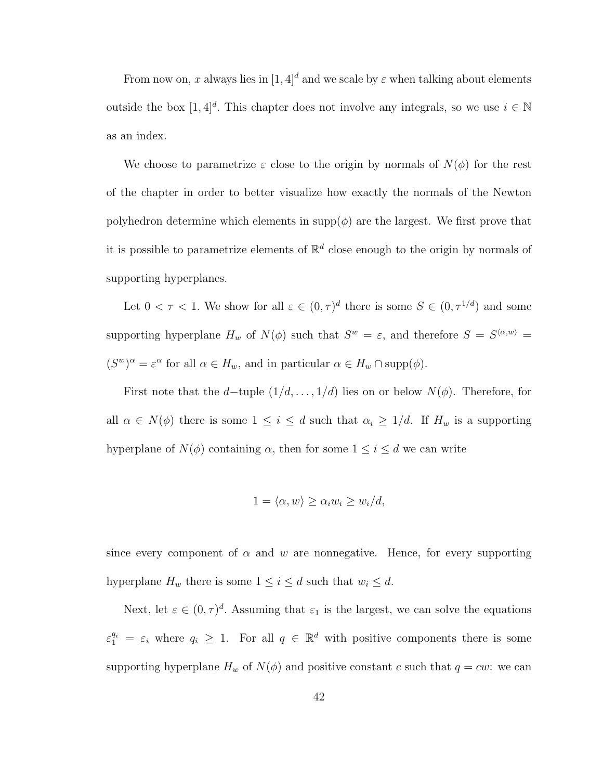From now on, x always lies in  $[1, 4]^d$  and we scale by  $\varepsilon$  when talking about elements outside the box  $[1, 4]^d$ . This chapter does not involve any integrals, so we use  $i \in \mathbb{N}$ as an index.

We choose to parametrize  $\varepsilon$  close to the origin by normals of  $N(\phi)$  for the rest of the chapter in order to better visualize how exactly the normals of the Newton polyhedron determine which elements in  $supp(\phi)$  are the largest. We first prove that it is possible to parametrize elements of  $\mathbb{R}^d$  close enough to the origin by normals of supporting hyperplanes.

Let  $0 < \tau < 1$ . We show for all  $\varepsilon \in (0, \tau)^d$  there is some  $S \in (0, \tau^{1/d})$  and some supporting hyperplane  $H_w$  of  $N(\phi)$  such that  $S^w = \varepsilon$ , and therefore  $S = S^{\langle \alpha, w \rangle} =$  $(S^w)^\alpha = \varepsilon^\alpha$  for all  $\alpha \in H_w$ , and in particular  $\alpha \in H_w \cap \text{supp}(\phi)$ .

First note that the d–tuple  $(1/d, \ldots, 1/d)$  lies on or below  $N(\phi)$ . Therefore, for all  $\alpha \in N(\phi)$  there is some  $1 \leq i \leq d$  such that  $\alpha_i \geq 1/d$ . If  $H_w$  is a supporting hyperplane of  $N(\phi)$  containing  $\alpha$ , then for some  $1 \leq i \leq d$  we can write

$$
1 = \langle \alpha, w \rangle \ge \alpha_i w_i \ge w_i / d,
$$

since every component of  $\alpha$  and w are nonnegative. Hence, for every supporting hyperplane  $H_w$  there is some  $1 \leq i \leq d$  such that  $w_i \leq d$ .

Next, let  $\varepsilon \in (0, \tau)^d$ . Assuming that  $\varepsilon_1$  is the largest, we can solve the equations  $\varepsilon_1^{q_i} = \varepsilon_i$  where  $q_i \geq 1$ . For all  $q \in \mathbb{R}^d$  with positive components there is some supporting hyperplane  $H_w$  of  $N(\phi)$  and positive constant c such that  $q = cw$ : we can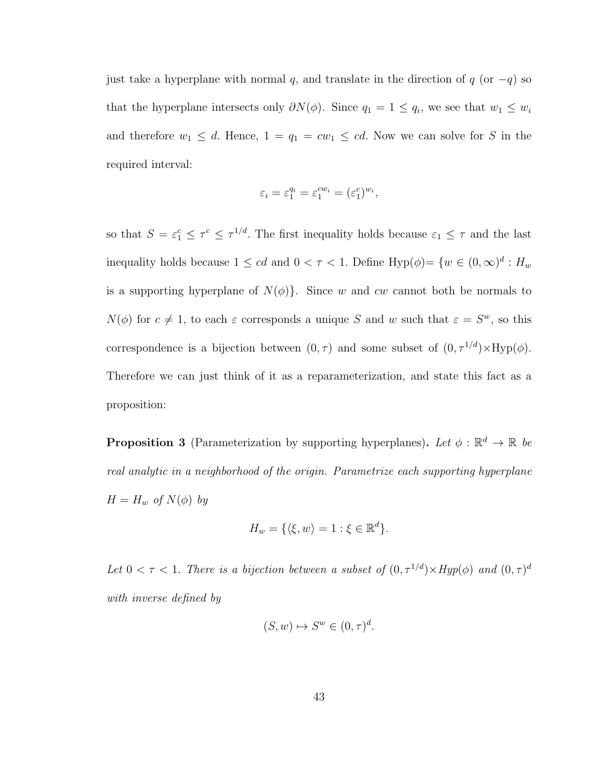just take a hyperplane with normal q, and translate in the direction of  $q$  (or  $-q$ ) so that the hyperplane intersects only  $\partial N(\phi)$ . Since  $q_1 = 1 \leq q_i$ , we see that  $w_1 \leq w_i$ and therefore  $w_1 \leq d$ . Hence,  $1 = q_1 = cw_1 \leq cd$ . Now we can solve for S in the required interval:

$$
\varepsilon_i = \varepsilon_1^{q_i} = \varepsilon_1^{cw_i} = (\varepsilon_1^c)^{w_i},
$$

so that  $S = \varepsilon_1^c \leq \tau^{1/d}$ . The first inequality holds because  $\varepsilon_1 \leq \tau$  and the last inequality holds because  $1 \le cd$  and  $0 < \tau < 1$ . Define Hyp $(\phi) = \{w \in (0, \infty)^d : H_w\}$ is a supporting hyperplane of  $N(\phi)$ . Since w and cw cannot both be normals to  $N(\phi)$  for  $c \neq 1$ , to each  $\varepsilon$  corresponds a unique S and w such that  $\varepsilon = S^w$ , so this correspondence is a bijection between  $(0, \tau)$  and some subset of  $(0, \tau^{1/d}) \times Hyp(\phi)$ . Therefore we can just think of it as a reparameterization, and state this fact as a proposition:

<span id="page-52-0"></span>**Proposition 3** (Parameterization by supporting hyperplanes). Let  $\phi : \mathbb{R}^d \to \mathbb{R}$  be real analytic in a neighborhood of the origin. Parametrize each supporting hyperplane  $H = H_w$  of  $N(\phi)$  by

$$
H_w = \{ \langle \xi, w \rangle = 1 : \xi \in \mathbb{R}^d \}.
$$

Let  $0 < \tau < 1$ . There is a bijection between a subset of  $(0, \tau^{1/d}) \times Hyp(\phi)$  and  $(0, \tau)^d$ with inverse defined by

$$
(S, w) \mapsto S^w \in (0, \tau)^d.
$$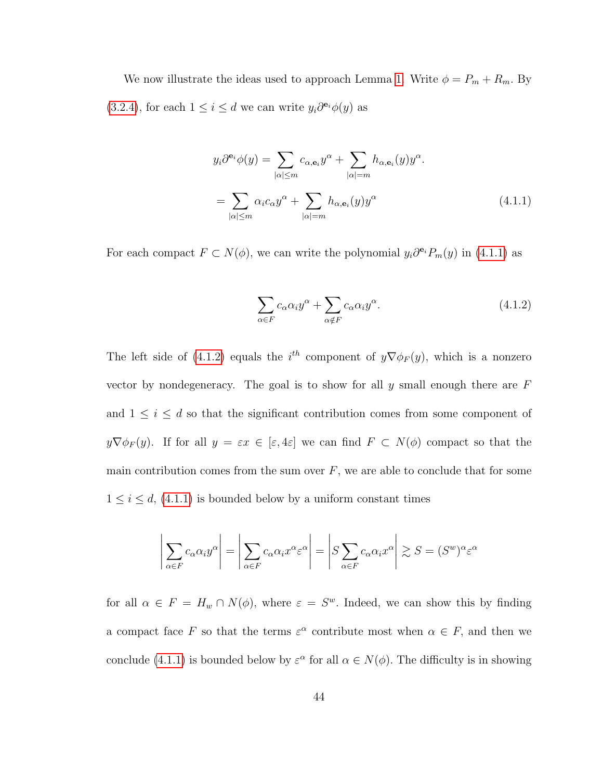We now illustrate the ideas used to approach Lemma [1.](#page-22-0) Write  $\phi = P_m + R_m$ . By [\(3.2.4\)](#page-37-2), for each  $1 \leq i \leq d$  we can write  $y_i \partial^{e_i} \phi(y)$  as

$$
y_i \partial^{\mathbf{e}_i} \phi(y) = \sum_{|\alpha| \le m} c_{\alpha, \mathbf{e}_i} y^{\alpha} + \sum_{|\alpha| = m} h_{\alpha, \mathbf{e}_i}(y) y^{\alpha}.
$$
  
= 
$$
\sum_{|\alpha| \le m} \alpha_i c_{\alpha} y^{\alpha} + \sum_{|\alpha| = m} h_{\alpha, \mathbf{e}_i}(y) y^{\alpha}
$$
(4.1.1)

For each compact  $F \subset N(\phi)$ , we can write the polynomial  $y_i \partial^{e_i} P_m(y)$  in [\(4.1.1\)](#page-53-0) as

<span id="page-53-1"></span><span id="page-53-0"></span>
$$
\sum_{\alpha \in F} c_{\alpha} \alpha_i y^{\alpha} + \sum_{\alpha \notin F} c_{\alpha} \alpha_i y^{\alpha}.
$$
 (4.1.2)

The left side of [\(4.1.2\)](#page-53-1) equals the  $i^{th}$  component of  $y\nabla\phi_F(y)$ , which is a nonzero vector by nondegeneracy. The goal is to show for all y small enough there are  $F$ and  $1 \leq i \leq d$  so that the significant contribution comes from some component of  $y\nabla\phi_F(y)$ . If for all  $y = \varepsilon x \in [\varepsilon, 4\varepsilon]$  we can find  $F \subset N(\phi)$  compact so that the main contribution comes from the sum over  $F$ , we are able to conclude that for some  $1 \leq i \leq d$ , [\(4.1.1\)](#page-53-0) is bounded below by a uniform constant times

$$
\left| \sum_{\alpha \in F} c_{\alpha} \alpha_i y^{\alpha} \right| = \left| \sum_{\alpha \in F} c_{\alpha} \alpha_i x^{\alpha} \varepsilon^{\alpha} \right| = \left| S \sum_{\alpha \in F} c_{\alpha} \alpha_i x^{\alpha} \right| \gtrsim S = (S^w)^{\alpha} \varepsilon^{\alpha}
$$

for all  $\alpha \in F = H_w \cap N(\phi)$ , where  $\varepsilon = S^w$ . Indeed, we can show this by finding a compact face F so that the terms  $\varepsilon^{\alpha}$  contribute most when  $\alpha \in F$ , and then we conclude [\(4.1.1\)](#page-53-0) is bounded below by  $\varepsilon^{\alpha}$  for all  $\alpha \in N(\phi)$ . The difficulty is in showing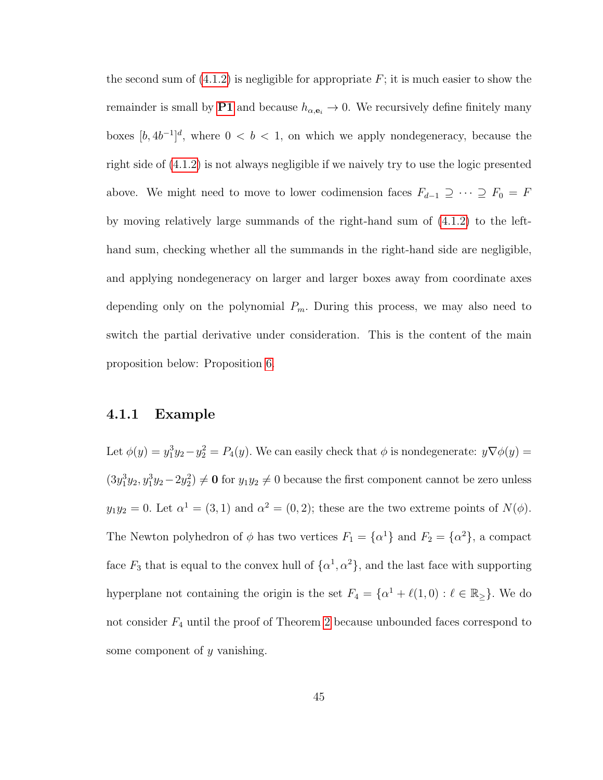the second sum of  $(4.1.2)$  is negligible for appropriate  $F$ ; it is much easier to show the remainder is small by [P1](#page-35-1) and because  $h_{\alpha, \mathbf{e}_i} \to 0$ . We recursively define finitely many boxes  $[b, 4b^{-1}]^d$ , where  $0 < b < 1$ , on which we apply nondegeneracy, because the right side of [\(4.1.2\)](#page-53-1) is not always negligible if we naively try to use the logic presented above. We might need to move to lower codimension faces  $F_{d-1} \supseteq \cdots \supseteq F_0 = F$ by moving relatively large summands of the right-hand sum of [\(4.1.2\)](#page-53-1) to the lefthand sum, checking whether all the summands in the right-hand side are negligible, and applying nondegeneracy on larger and larger boxes away from coordinate axes depending only on the polynomial  $P_m$ . During this process, we may also need to switch the partial derivative under consideration. This is the content of the main proposition below: Proposition [6.](#page-62-0)

#### 4.1.1 Example

Let  $\phi(y) = y_1^3 y_2 - y_2^2 = P_4(y)$ . We can easily check that  $\phi$  is nondegenerate:  $y \nabla \phi(y) =$  $(3y_1^3y_2, y_1^3y_2 - 2y_2^2) \neq \mathbf{0}$  for  $y_1y_2 \neq 0$  because the first component cannot be zero unless  $y_1y_2 = 0$ . Let  $\alpha^1 = (3, 1)$  and  $\alpha^2 = (0, 2)$ ; these are the two extreme points of  $N(\phi)$ . The Newton polyhedron of  $\phi$  has two vertices  $F_1 = {\alpha^1}$  and  $F_2 = {\alpha^2}$ , a compact face  $F_3$  that is equal to the convex hull of  $\{\alpha^1, \alpha^2\}$ , and the last face with supporting hyperplane not containing the origin is the set  $F_4 = \{ \alpha^1 + \ell(1, 0) : \ell \in \mathbb{R}^2 \}$ . We do not consider  $F_4$  until the proof of Theorem [2](#page-24-0) because unbounded faces correspond to some component of y vanishing.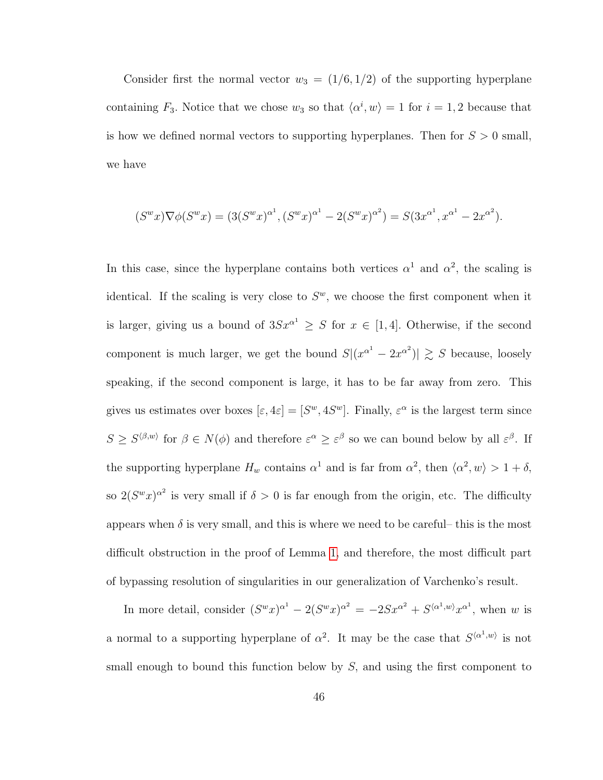Consider first the normal vector  $w_3 = (1/6, 1/2)$  of the supporting hyperplane containing  $F_3$ . Notice that we chose  $w_3$  so that  $\langle \alpha^i, w \rangle = 1$  for  $i = 1, 2$  because that is how we defined normal vectors to supporting hyperplanes. Then for  $S > 0$  small, we have

$$
(S^w x)\nabla \phi(S^w x) = (3(S^w x)^{\alpha^1}, (S^w x)^{\alpha^1} - 2(S^w x)^{\alpha^2}) = S(3x^{\alpha^1}, x^{\alpha^1} - 2x^{\alpha^2}).
$$

In this case, since the hyperplane contains both vertices  $\alpha^1$  and  $\alpha^2$ , the scaling is identical. If the scaling is very close to  $S^w$ , we choose the first component when it is larger, giving us a bound of  $3Sx^{\alpha^1} \geq S$  for  $x \in [1,4]$ . Otherwise, if the second component is much larger, we get the bound  $S|(x^{\alpha^1} - 2x^{\alpha^2})| \geq S$  because, loosely speaking, if the second component is large, it has to be far away from zero. This gives us estimates over boxes  $[\varepsilon, 4\varepsilon] = [S^w, 4S^w]$ . Finally,  $\varepsilon^{\alpha}$  is the largest term since  $S \geq S^{\langle \beta,w \rangle}$  for  $\beta \in N(\phi)$  and therefore  $\varepsilon^{\alpha} \geq \varepsilon^{\beta}$  so we can bound below by all  $\varepsilon^{\beta}$ . If the supporting hyperplane  $H_w$  contains  $\alpha^1$  and is far from  $\alpha^2$ , then  $\langle \alpha^2, w \rangle > 1 + \delta$ , so  $2(S^w x)^{\alpha^2}$  is very small if  $\delta > 0$  is far enough from the origin, etc. The difficulty appears when  $\delta$  is very small, and this is where we need to be careful– this is the most difficult obstruction in the proof of Lemma [1,](#page-22-0) and therefore, the most difficult part of bypassing resolution of singularities in our generalization of Varchenko's result.

In more detail, consider  $(S^w x)^{\alpha^1} - 2(S^w x)^{\alpha^2} = -2Sx^{\alpha^2} + S^{\langle \alpha^1, w \rangle} x^{\alpha^1}$ , when w is a normal to a supporting hyperplane of  $\alpha^2$ . It may be the case that  $S^{\langle \alpha^1,w \rangle}$  is not small enough to bound this function below by  $S$ , and using the first component to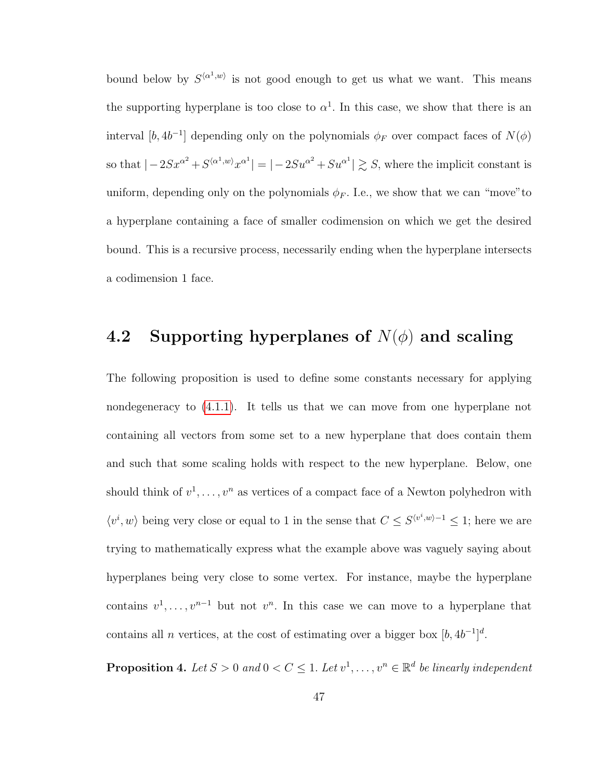bound below by  $S^{\langle \alpha^1,w\rangle}$  is not good enough to get us what we want. This means the supporting hyperplane is too close to  $\alpha^1$ . In this case, we show that there is an interval  $[b, 4b^{-1}]$  depending only on the polynomials  $\phi_F$  over compact faces of  $N(\phi)$ so that  $|-2Sx^{\alpha^2}+S^{\langle \alpha^1,w\rangle}x^{\alpha^1}| = |-2Su^{\alpha^2}+Su^{\alpha^1}| \gtrsim S$ , where the implicit constant is uniform, depending only on the polynomials  $\phi_F$ . I.e., we show that we can "move" to a hyperplane containing a face of smaller codimension on which we get the desired bound. This is a recursive process, necessarily ending when the hyperplane intersects a codimension 1 face.

## 4.2 Supporting hyperplanes of  $N(\phi)$  and scaling

The following proposition is used to define some constants necessary for applying nondegeneracy to [\(4.1.1\)](#page-53-0). It tells us that we can move from one hyperplane not containing all vectors from some set to a new hyperplane that does contain them and such that some scaling holds with respect to the new hyperplane. Below, one should think of  $v^1, \ldots, v^n$  as vertices of a compact face of a Newton polyhedron with  $\langle v^i, w \rangle$  being very close or equal to 1 in the sense that  $C \leq S^{\langle v^i, w \rangle - 1} \leq 1$ ; here we are trying to mathematically express what the example above was vaguely saying about hyperplanes being very close to some vertex. For instance, maybe the hyperplane contains  $v^1, \ldots, v^{n-1}$  but not  $v^n$ . In this case we can move to a hyperplane that contains all *n* vertices, at the cost of estimating over a bigger box  $[b, 4b^{-1}]^d$ .

**Proposition 4.** Let  $S > 0$  and  $0 < C \leq 1$ . Let  $v^1, \ldots, v^n \in \mathbb{R}^d$  be linearly independent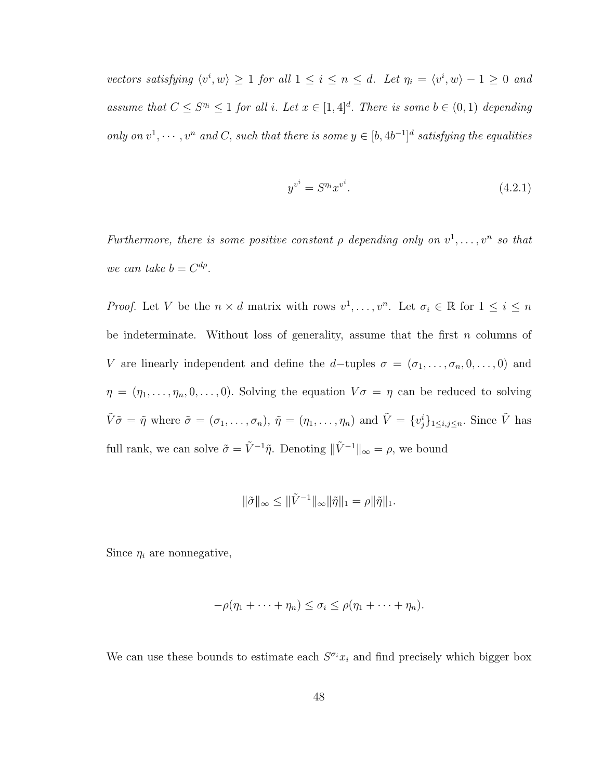vectors satisfying  $\langle v^i, w \rangle \ge 1$  for all  $1 \le i \le n \le d$ . Let  $\eta_i = \langle v^i, w \rangle - 1 \ge 0$  and assume that  $C \leq S^{n_i} \leq 1$  for all i. Let  $x \in [1, 4]^d$ . There is some  $b \in (0, 1)$  depending only on  $v^1, \dots, v^n$  and C, such that there is some  $y \in [b, 4b^{-1}]^d$  satisfying the equalities

<span id="page-57-0"></span>
$$
y^{v^i} = S^{\eta_i} x^{v^i}.
$$
\n
$$
(4.2.1)
$$

Furthermore, there is some positive constant  $\rho$  depending only on  $v^1, \ldots, v^n$  so that we can take  $b = C^{d\rho}$ .

*Proof.* Let V be the  $n \times d$  matrix with rows  $v^1, \ldots, v^n$ . Let  $\sigma_i \in \mathbb{R}$  for  $1 \leq i \leq n$ be indeterminate. Without loss of generality, assume that the first  $n$  columns of V are linearly independent and define the d-tuples  $\sigma = (\sigma_1, \ldots, \sigma_n, 0, \ldots, 0)$  and  $\eta = (\eta_1, \ldots, \eta_n, 0, \ldots, 0)$ . Solving the equation  $V\sigma = \eta$  can be reduced to solving  $\tilde{V}\tilde{\sigma} = \tilde{\eta}$  where  $\tilde{\sigma} = (\sigma_1, \ldots, \sigma_n)$ ,  $\tilde{\eta} = (\eta_1, \ldots, \eta_n)$  and  $\tilde{V} = \{v_j^i\}_{1 \leq i,j \leq n}$ . Since  $\tilde{V}$  has full rank, we can solve  $\tilde{\sigma} = \tilde{V}^{-1} \tilde{\eta}$ . Denoting  $\|\tilde{V}^{-1}\|_{\infty} = \rho$ , we bound

$$
\|\tilde{\sigma}\|_{\infty} \leq \|\tilde{V}^{-1}\|_{\infty} \|\tilde{\eta}\|_{1} = \rho \|\tilde{\eta}\|_{1}.
$$

Since  $\eta_i$  are nonnegative,

$$
-\rho(\eta_1+\cdots+\eta_n)\leq \sigma_i\leq \rho(\eta_1+\cdots+\eta_n).
$$

We can use these bounds to estimate each  $S^{\sigma_i}x_i$  and find precisely which bigger box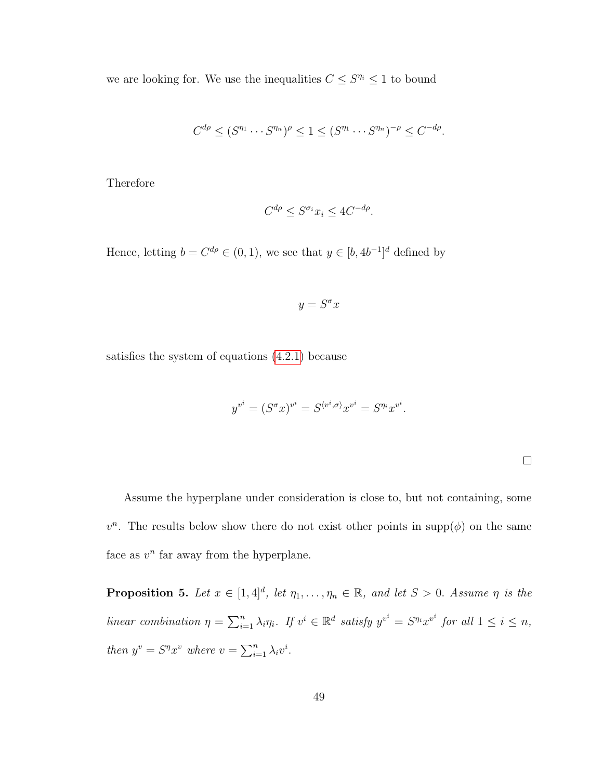we are looking for. We use the inequalities  $C \leq S^{n_i} \leq 1$  to bound

$$
C^{d\rho} \le (S^{\eta_1} \cdots S^{\eta_n})^{\rho} \le 1 \le (S^{\eta_1} \cdots S^{\eta_n})^{-\rho} \le C^{-d\rho}.
$$

Therefore

$$
C^{d\rho} \le S^{\sigma_i} x_i \le 4C^{-d\rho}.
$$

Hence, letting  $b = C^{d\rho} \in (0, 1)$ , we see that  $y \in [b, 4b^{-1}]^d$  defined by

$$
y = S^{\sigma} x
$$

satisfies the system of equations [\(4.2.1\)](#page-57-0) because

$$
y^{v^i} = (S^{\sigma} x)^{v^i} = S^{\langle v^i, \sigma \rangle} x^{v^i} = S^{\eta_i} x^{v^i}.
$$

 $\Box$ 

Assume the hyperplane under consideration is close to, but not containing, some  $v^n$ . The results below show there do not exist other points in supp $(\phi)$  on the same face as  $v^n$  far away from the hyperplane.

<span id="page-58-0"></span>**Proposition 5.** Let  $x \in [1, 4]^d$ , let  $\eta_1, \ldots, \eta_n \in \mathbb{R}$ , and let  $S > 0$ . Assume  $\eta$  is the linear combination  $\eta = \sum_{i=1}^n \lambda_i \eta_i$ . If  $v^i \in \mathbb{R}^d$  satisfy  $y^{v^i} = S^{\eta_i} x^{v^i}$  for all  $1 \leq i \leq n$ , then  $y^v = S^n x^v$  where  $v = \sum_{i=1}^n \lambda_i v^i$ .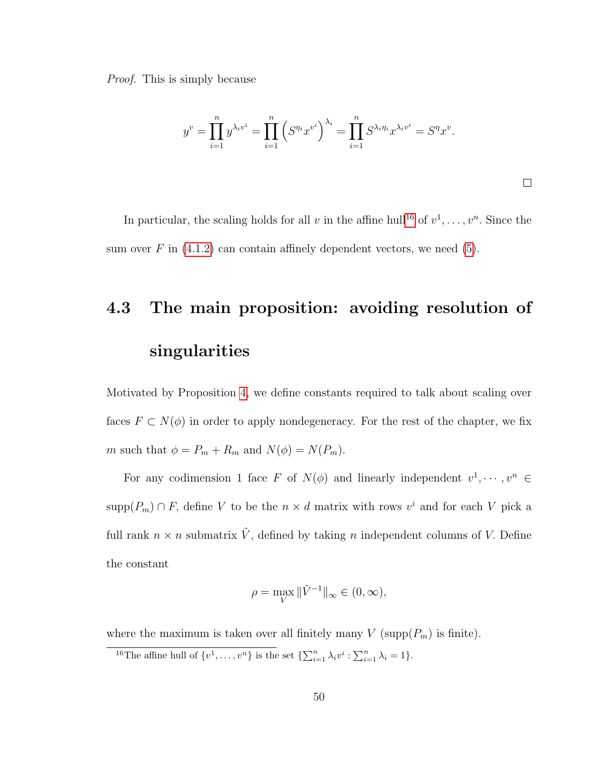Proof. This is simply because

$$
y^{v} = \prod_{i=1}^{n} y^{\lambda_i v^i} = \prod_{i=1}^{n} \left( S^{\eta_i} x^{v^i} \right)^{\lambda_i} = \prod_{i=1}^{n} S^{\lambda_i \eta_i} x^{\lambda_i v^i} = S^{\eta} x^{v}.
$$

In particular, the scaling holds for all v in the affine hull<sup>[16](#page-59-0)</sup> of  $v^1, \ldots, v^n$ . Since the sum over  $F$  in [\(4.1.2\)](#page-53-1) can contain affinely dependent vectors, we need [\(5\)](#page-58-0).

# 4.3 The main proposition: avoiding resolution of singularities

Motivated by Proposition [4,](#page-57-0) we define constants required to talk about scaling over faces  $F \subset N(\phi)$  in order to apply nondegeneracy. For the rest of the chapter, we fix m such that  $\phi = P_m + R_m$  and  $N(\phi) = N(P_m)$ .

For any codimension 1 face F of  $N(\phi)$  and linearly independent  $v^1, \dots, v^n \in$ supp $(P_m) \cap F$ , define V to be the  $n \times d$  matrix with rows  $v^i$  and for each V pick a full rank  $n \times n$  submatrix  $\tilde{V}$ , defined by taking n independent columns of V. Define the constant

$$
\rho = \max_{V} \|\tilde{V}^{-1}\|_{\infty} \in (0, \infty),
$$

where the maximum is taken over all finitely many  $V$  (supp $(P_m)$  is finite).

<span id="page-59-0"></span><sup>16</sup>The affine hull of  $\{v^1, \ldots, v^n\}$  is the set  $\{\sum_{i=1}^n \lambda_i v^i : \sum_{i=1}^n \lambda_i = 1\}.$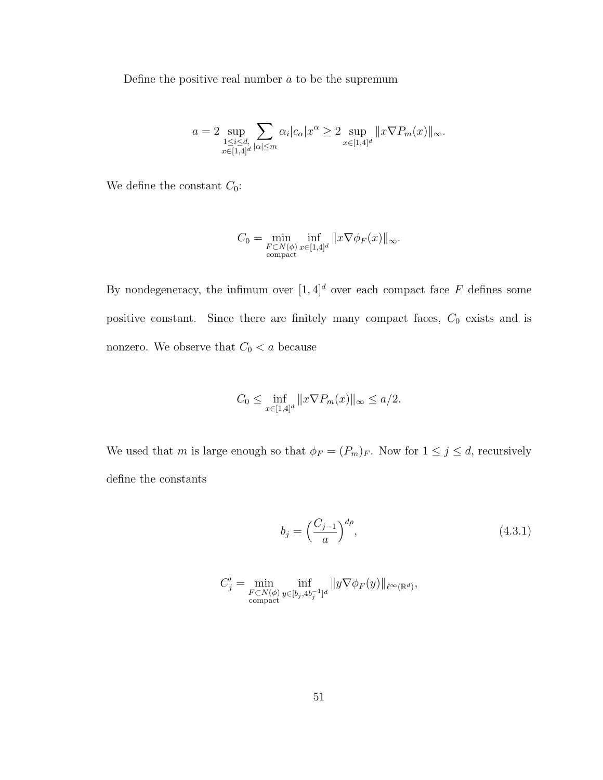Define the positive real number  $a$  to be the supremum

$$
a = 2 \sup_{\substack{1 \leq i \leq d, \\ x \in [1,4]^d}} \sum_{|\alpha| \leq m} \alpha_i |c_\alpha| x^\alpha \geq 2 \sup_{x \in [1,4]^d} ||x \nabla P_m(x)||_{\infty}.
$$

We define the constant  $C_0$ :

$$
C_0 = \min_{\substack{F \subset N(\phi) \\ \text{compact}}} \inf_{x \in [1,4]^d} ||x \nabla \phi_F(x)||_{\infty}.
$$

By nondegeneracy, the infimum over  $[1,4]^d$  over each compact face  $F$  defines some positive constant. Since there are finitely many compact faces,  $C_0$  exists and is nonzero. We observe that  $C_0 < a$  because

$$
C_0 \le \inf_{x \in [1,4]^d} ||x \nabla P_m(x)||_{\infty} \le a/2.
$$

We used that m is large enough so that  $\phi_F = (P_m)_F$ . Now for  $1 \le j \le d$ , recursively define the constants

<span id="page-60-0"></span>
$$
b_j = \left(\frac{C_{j-1}}{a}\right)^{d\rho},\tag{4.3.1}
$$

$$
C'_j = \min_{\substack{F \subset N(\phi) \\ \text{compact}}} \inf_{y \in [b_j, 4b_j^{-1}]^d} \|y \nabla \phi_F(y)\|_{\ell^{\infty}(\mathbb{R}^d)},
$$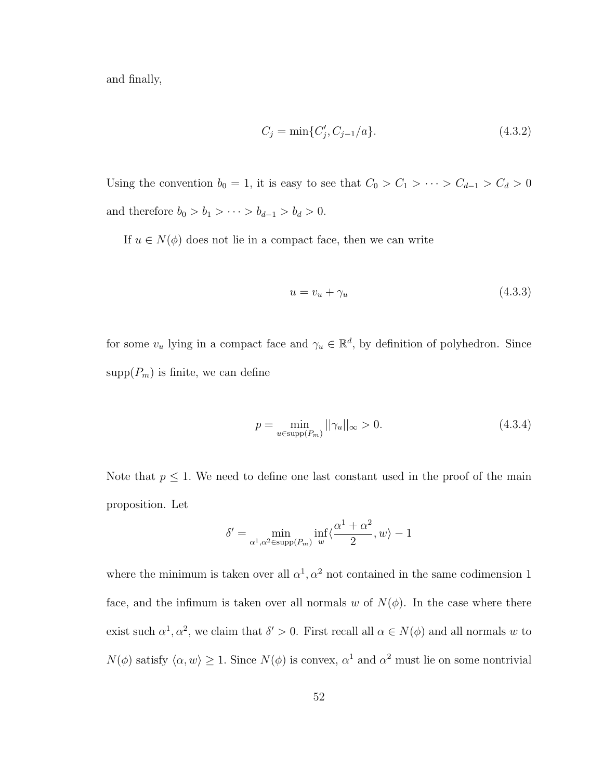and finally,

<span id="page-61-0"></span>
$$
C_j = \min\{C'_j, C_{j-1}/a\}.\tag{4.3.2}
$$

Using the convention  $b_0 = 1$ , it is easy to see that  $C_0 > C_1 > \cdots > C_{d-1} > C_d > 0$ and therefore  $b_0 > b_1 > \cdots > b_{d-1} > b_d > 0$ .

If  $u \in N(\phi)$  does not lie in a compact face, then we can write

<span id="page-61-2"></span><span id="page-61-1"></span>
$$
u = v_u + \gamma_u \tag{4.3.3}
$$

for some  $v_u$  lying in a compact face and  $\gamma_u \in \mathbb{R}^d$ , by definition of polyhedron. Since  $\text{supp}(P_m)$  is finite, we can define

$$
p = \min_{u \in \text{supp}(P_m)} ||\gamma_u||_{\infty} > 0.
$$
 (4.3.4)

Note that  $p \leq 1$ . We need to define one last constant used in the proof of the main proposition. Let

$$
\delta' = \min_{\alpha^1, \alpha^2 \in \text{supp}(P_m)} \inf_w \langle \frac{\alpha^1 + \alpha^2}{2}, w \rangle - 1
$$

where the minimum is taken over all  $\alpha^1, \alpha^2$  not contained in the same codimension 1 face, and the infimum is taken over all normals w of  $N(\phi)$ . In the case where there exist such  $\alpha^1, \alpha^2$ , we claim that  $\delta' > 0$ . First recall all  $\alpha \in N(\phi)$  and all normals w to  $N(\phi)$  satisfy  $\langle \alpha, w \rangle \ge 1$ . Since  $N(\phi)$  is convex,  $\alpha^1$  and  $\alpha^2$  must lie on some nontrivial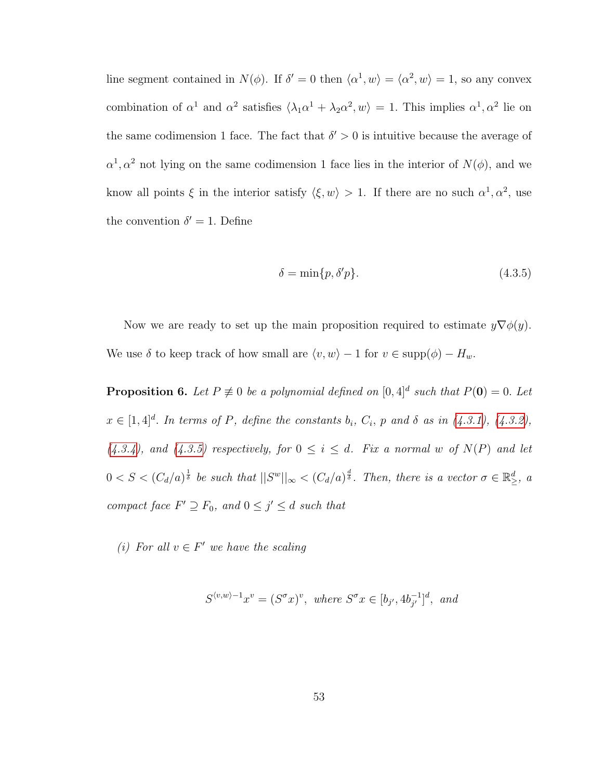line segment contained in  $N(\phi)$ . If  $\delta' = 0$  then  $\langle \alpha^1, w \rangle = \langle \alpha^2, w \rangle = 1$ , so any convex combination of  $\alpha^1$  and  $\alpha^2$  satisfies  $\langle \lambda_1 \alpha^1 + \lambda_2 \alpha^2, w \rangle = 1$ . This implies  $\alpha^1, \alpha^2$  lie on the same codimension 1 face. The fact that  $\delta' > 0$  is intuitive because the average of  $\alpha^1, \alpha^2$  not lying on the same codimension 1 face lies in the interior of  $N(\phi)$ , and we know all points  $\xi$  in the interior satisfy  $\langle \xi, w \rangle > 1$ . If there are no such  $\alpha^1, \alpha^2$ , use the convention  $\delta' = 1$ . Define

<span id="page-62-1"></span>
$$
\delta = \min\{p, \delta' p\}.\tag{4.3.5}
$$

Now we are ready to set up the main proposition required to estimate  $y\nabla\phi(y)$ . We use  $\delta$  to keep track of how small are  $\langle v, w \rangle - 1$  for  $v \in \text{supp}(\phi) - H_w$ .

<span id="page-62-0"></span>**Proposition 6.** Let  $P \not\equiv 0$  be a polynomial defined on  $[0, 4]^d$  such that  $P(\mathbf{0}) = 0$ . Let  $x \in [1,4]^d$ . In terms of P, define the constants  $b_i$ ,  $C_i$ , p and  $\delta$  as in [\(4.3.1\)](#page-60-0), [\(4.3.2\)](#page-61-0),  $(4.3.4)$ , and  $(4.3.5)$  respectively, for  $0 \le i \le d$ . Fix a normal w of  $N(P)$  and let  $0 < S < (C_d/a)^{\frac{1}{\delta}}$  be such that  $||S^w||_{\infty} < (C_d/a)^{\frac{d}{\delta}}$ . Then, there is a vector  $\sigma \in \mathbb{R}^d_{\geq}$ , a compact face  $F' \supseteq F_0$ , and  $0 \leq j' \leq d$  such that

(i) For all  $v \in F'$  we have the scaling

$$
S^{\langle v,w\rangle-1}x^v = (S^{\sigma}x)^v
$$
, where  $S^{\sigma}x \in [b_{j'}, 4b_{j'}^{-1}]^d$ , and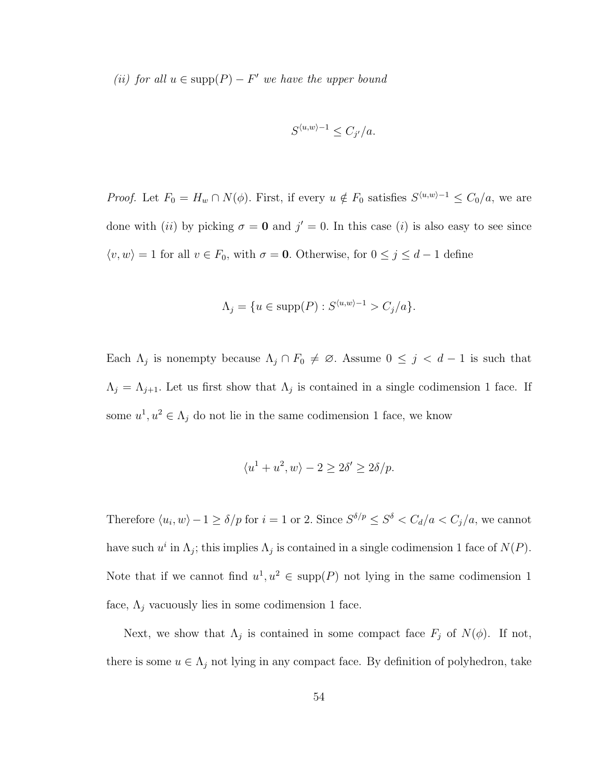(ii) for all  $u \in \text{supp}(P) - F'$  we have the upper bound

$$
S^{\langle u, w \rangle - 1} \le C_{j'}/a.
$$

*Proof.* Let  $F_0 = H_w \cap N(\phi)$ . First, if every  $u \notin F_0$  satisfies  $S^{\langle u,w \rangle-1} \leq C_0/a$ , we are done with (ii) by picking  $\sigma = 0$  and  $j' = 0$ . In this case (i) is also easy to see since  $\langle v, w \rangle = 1$  for all  $v \in F_0$ , with  $\sigma = 0$ . Otherwise, for  $0 \le j \le d - 1$  define

$$
\Lambda_j = \{ u \in \text{supp}(P) : S^{\langle u, w \rangle - 1} > C_j / a \}.
$$

Each  $\Lambda_j$  is nonempty because  $\Lambda_j \cap F_0 \neq \emptyset$ . Assume  $0 \leq j \leq d-1$  is such that  $\Lambda_j = \Lambda_{j+1}$ . Let us first show that  $\Lambda_j$  is contained in a single codimension 1 face. If some  $u^1, u^2 \in \Lambda_j$  do not lie in the same codimension 1 face, we know

$$
\langle u^1 + u^2, w \rangle - 2 \ge 2\delta' \ge 2\delta/p.
$$

Therefore  $\langle u_i, w \rangle -1 \ge \delta / p$  for  $i = 1$  or 2. Since  $S^{\delta/p} \le S^{\delta} < C_d/a < C_j/a$ , we cannot have such  $u^i$  in  $\Lambda_j$ ; this implies  $\Lambda_j$  is contained in a single codimension 1 face of  $N(P)$ . Note that if we cannot find  $u^1, u^2 \in \text{supp}(P)$  not lying in the same codimension 1 face,  $\Lambda_j$  vacuously lies in some codimension 1 face.

Next, we show that  $\Lambda_j$  is contained in some compact face  $F_j$  of  $N(\phi)$ . If not, there is some  $u \in \Lambda_j$  not lying in any compact face. By definition of polyhedron, take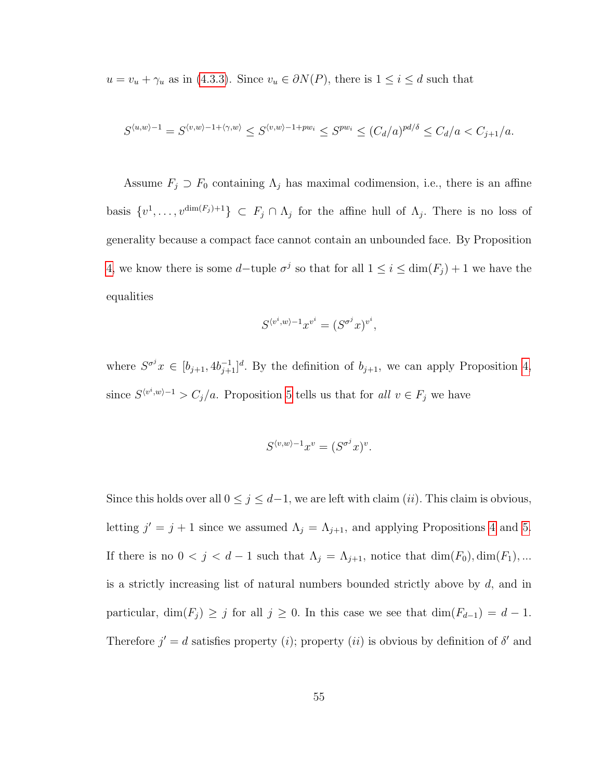$u = v_u + \gamma_u$  as in [\(4.3.3\)](#page-61-2). Since  $v_u \in \partial N(P)$ , there is  $1 \leq i \leq d$  such that

$$
S^{\langle u,w\rangle-1}=S^{\langle v,w\rangle-1+\langle \gamma,w\rangle}\leq S^{\langle v,w\rangle-1+pw_i}\leq S^{pw_i}\leq (C_d/a)^{pd/\delta}\leq C_d/a
$$

Assume  $F_j \supset F_0$  containing  $\Lambda_j$  has maximal codimension, i.e., there is an affine basis  $\{v^1,\ldots,v^{\dim(F_j)+1}\}\subset F_j\cap\Lambda_j$  for the affine hull of  $\Lambda_j$ . There is no loss of generality because a compact face cannot contain an unbounded face. By Proposition [4,](#page-57-0) we know there is some d–tuple  $\sigma^j$  so that for all  $1 \leq i \leq \dim(F_j) + 1$  we have the equalities

$$
S^{\langle v^i, w \rangle - 1} x^{v^i} = (S^{\sigma^j} x)^{v^i},
$$

where  $S^{\sigma^j}x \in [b_{j+1}, 4b_{j+1}^{-1}]^d$ . By the definition of  $b_{j+1}$ , we can apply Proposition [4,](#page-57-0) since  $S^{\langle v^i,w\rangle-1} > C_j/a$ . Proposition [5](#page-58-0) tells us that for all  $v \in F_j$  we have

$$
S^{\langle v, w \rangle - 1} x^v = (S^{\sigma^j} x)^v.
$$

Since this holds over all  $0 \le j \le d-1$ , we are left with claim (*ii*). This claim is obvious, letting  $j' = j + 1$  since we assumed  $\Lambda_j = \Lambda_{j+1}$ , and applying Propositions [4](#page-57-0) and [5.](#page-58-0) If there is no  $0 < j < d-1$  such that  $\Lambda_j = \Lambda_{j+1}$ , notice that  $\dim(F_0), \dim(F_1), \ldots$ is a strictly increasing list of natural numbers bounded strictly above by  $d$ , and in particular, dim( $F_j$ ) ≥ j for all  $j \geq 0$ . In this case we see that dim( $F_{d-1}$ ) =  $d-1$ . Therefore  $j' = d$  satisfies property (*i*); property (*ii*) is obvious by definition of  $\delta'$  and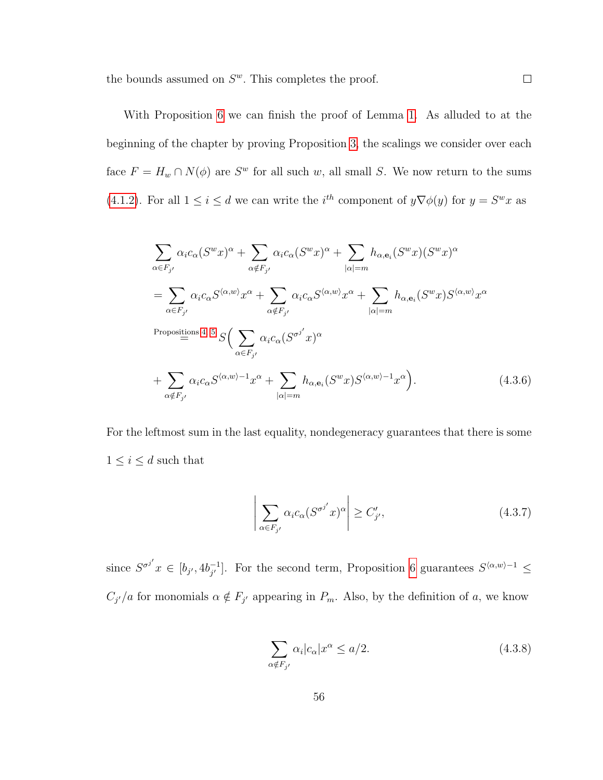the bounds assumed on  $S^w$ . This completes the proof.

With Proposition [6](#page-62-0) we can finish the proof of Lemma [1.](#page-22-0) As alluded to at the beginning of the chapter by proving Proposition [3,](#page-52-0) the scalings we consider over each face  $F = H_w \cap N(\phi)$  are  $S^w$  for all such w, all small S. We now return to the sums [\(4.1.2\)](#page-53-1). For all  $1 \leq i \leq d$  we can write the  $i^{th}$  component of  $y \nabla \phi(y)$  for  $y = S^w x$  as

$$
\sum_{\alpha \in F_{j'}} \alpha_i c_{\alpha} (S^w x)^{\alpha} + \sum_{\alpha \notin F_{j'}} \alpha_i c_{\alpha} (S^w x)^{\alpha} + \sum_{|\alpha| = m} h_{\alpha, \mathbf{e}_i} (S^w x) (S^w x)^{\alpha}
$$
\n
$$
= \sum_{\alpha \in F_{j'}} \alpha_i c_{\alpha} S^{\langle \alpha, w \rangle} x^{\alpha} + \sum_{\alpha \notin F_{j'}} \alpha_i c_{\alpha} S^{\langle \alpha, w \rangle} x^{\alpha} + \sum_{|\alpha| = m} h_{\alpha, \mathbf{e}_i} (S^w x) S^{\langle \alpha, w \rangle} x^{\alpha}
$$
\n
$$
\xrightarrow{\text{Proposition 4, 5}} S \Big( \sum_{\alpha \in F_{j'}} \alpha_i c_{\alpha} (S^{\sigma j'} x)^{\alpha}
$$
\n
$$
+ \sum_{\alpha \notin F_{j'}} \alpha_i c_{\alpha} S^{\langle \alpha, w \rangle - 1} x^{\alpha} + \sum_{|\alpha| = m} h_{\alpha, \mathbf{e}_i} (S^w x) S^{\langle \alpha, w \rangle - 1} x^{\alpha} \Big).
$$
\n(4.3.6)

For the leftmost sum in the last equality, nondegeneracy guarantees that there is some  $1\leq i\leq d$  such that

<span id="page-65-2"></span><span id="page-65-0"></span>
$$
\left| \sum_{\alpha \in F_{j'}} \alpha_i c_{\alpha} (S^{\sigma^{j'}} x)^{\alpha} \right| \ge C'_{j'}, \tag{4.3.7}
$$

since  $S^{\sigma^{j'}} x \in [b_{j'}, 4b_{j'}^{-1}]$  $\frac{1}{j'}$ . For the second term, Proposition [6](#page-62-0) guarantees  $S^{(α,w)-1}$  ≤  $C_{j'}/a$  for monomials  $\alpha \notin F_{j'}$  appearing in  $P_m$ . Also, by the definition of a, we know

<span id="page-65-1"></span>
$$
\sum_{\alpha \notin F_{j'}} \alpha_i |c_{\alpha}| x^{\alpha} \le a/2. \tag{4.3.8}
$$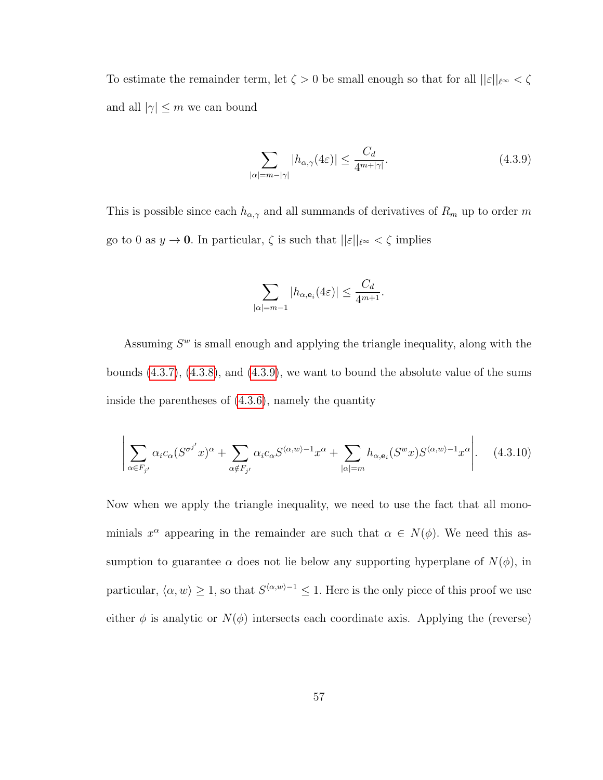To estimate the remainder term, let  $\zeta>0$  be small enough so that for all  $||\varepsilon||_{\ell^\infty}<\zeta$ and all  $|\gamma| \leq m$  we can bound

<span id="page-66-0"></span>
$$
\sum_{|\alpha|=m-|\gamma|} |h_{\alpha,\gamma}(4\varepsilon)| \le \frac{C_d}{4^{m+|\gamma|}}.\tag{4.3.9}
$$

This is possible since each  $h_{\alpha,\gamma}$  and all summands of derivatives of  $R_m$  up to order m go to 0 as  $y \to \mathbf{0}$ . In particular,  $\zeta$  is such that  $||\varepsilon||_{\ell^{\infty}} < \zeta$  implies

<span id="page-66-1"></span>
$$
\sum_{|\alpha|=m-1} |h_{\alpha,\mathbf{e}_i}(4\varepsilon)| \le \frac{C_d}{4^{m+1}}.
$$

Assuming  $S<sup>w</sup>$  is small enough and applying the triangle inequality, along with the bounds [\(4.3.7\)](#page-65-0), [\(4.3.8\)](#page-65-1), and [\(4.3.9\)](#page-66-0), we want to bound the absolute value of the sums inside the parentheses of [\(4.3.6\)](#page-65-2), namely the quantity

$$
\left| \sum_{\alpha \in F_{j'}} \alpha_i c_{\alpha} (S^{\sigma^{j'}} x)^{\alpha} + \sum_{\alpha \notin F_{j'}} \alpha_i c_{\alpha} S^{\langle \alpha, w \rangle - 1} x^{\alpha} + \sum_{|\alpha| = m} h_{\alpha, \mathbf{e}_i} (S^w x) S^{\langle \alpha, w \rangle - 1} x^{\alpha} \right|.
$$
 (4.3.10)

Now when we apply the triangle inequality, we need to use the fact that all monominials  $x^{\alpha}$  appearing in the remainder are such that  $\alpha \in N(\phi)$ . We need this assumption to guarantee  $\alpha$  does not lie below any supporting hyperplane of  $N(\phi)$ , in particular,  $\langle \alpha, w \rangle \geq 1$ , so that  $S^{\langle \alpha, w \rangle - 1} \leq 1$ . Here is the only piece of this proof we use either  $\phi$  is analytic or  $N(\phi)$  intersects each coordinate axis. Applying the (reverse)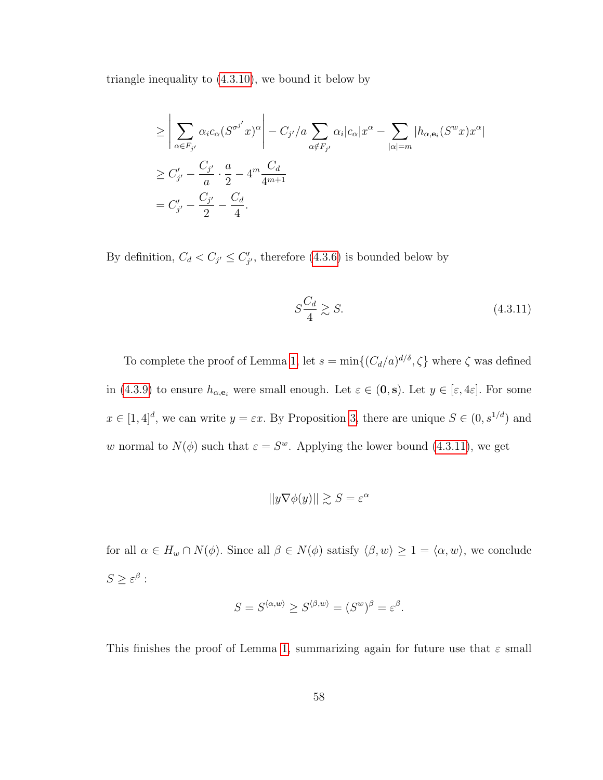triangle inequality to [\(4.3.10\)](#page-66-1), we bound it below by

$$
\geq \left| \sum_{\alpha \in F_{j'}} \alpha_i c_{\alpha} (S^{\sigma^{j'}} x)^{\alpha} \right| - C_{j'} / a \sum_{\alpha \notin F_{j'}} \alpha_i |c_{\alpha}| x^{\alpha} - \sum_{|\alpha| = m} |h_{\alpha, \mathbf{e}_i} (S^w x) x^{\alpha}|
$$
  
\n
$$
\geq C'_{j'} - \frac{C_{j'}}{a} \cdot \frac{a}{2} - 4^m \frac{C_d}{4^{m+1}}
$$
  
\n
$$
= C'_{j'} - \frac{C_{j'}}{2} - \frac{C_d}{4}.
$$

By definition,  $C_d < C_{j'} \leq C'_{j'}$ , therefore [\(4.3.6\)](#page-65-2) is bounded below by

<span id="page-67-0"></span>
$$
S\frac{C_d}{4} \gtrsim S. \tag{4.3.11}
$$

To complete the proof of Lemma [1,](#page-22-0) let  $s = \min\{(C_d/a)^{d/\delta}, \zeta\}$  where  $\zeta$  was defined in [\(4.3.9\)](#page-66-0) to ensure  $h_{\alpha,\mathbf{e}_i}$  were small enough. Let  $\varepsilon \in (\mathbf{0},\mathbf{s})$ . Let  $y \in [\varepsilon,4\varepsilon]$ . For some  $x \in [1, 4]^d$ , we can write  $y = \varepsilon x$ . By Proposition [3,](#page-52-0) there are unique  $S \in (0, s^{1/d})$  and w normal to  $N(\phi)$  such that  $\varepsilon = S^w$ . Applying the lower bound [\(4.3.11\)](#page-67-0), we get

$$
||y\nabla\phi(y)|| \gtrsim S = \varepsilon^{\alpha}
$$

for all  $\alpha \in H_w \cap N(\phi)$ . Since all  $\beta \in N(\phi)$  satisfy  $\langle \beta, w \rangle \ge 1 = \langle \alpha, w \rangle$ , we conclude  $S \geq \varepsilon^{\beta}$  :

$$
S = S^{\langle \alpha, w \rangle} \ge S^{\langle \beta, w \rangle} = (S^w)^\beta = \varepsilon^\beta.
$$

This finishes the proof of Lemma [1,](#page-22-0) summarizing again for future use that  $\varepsilon$  small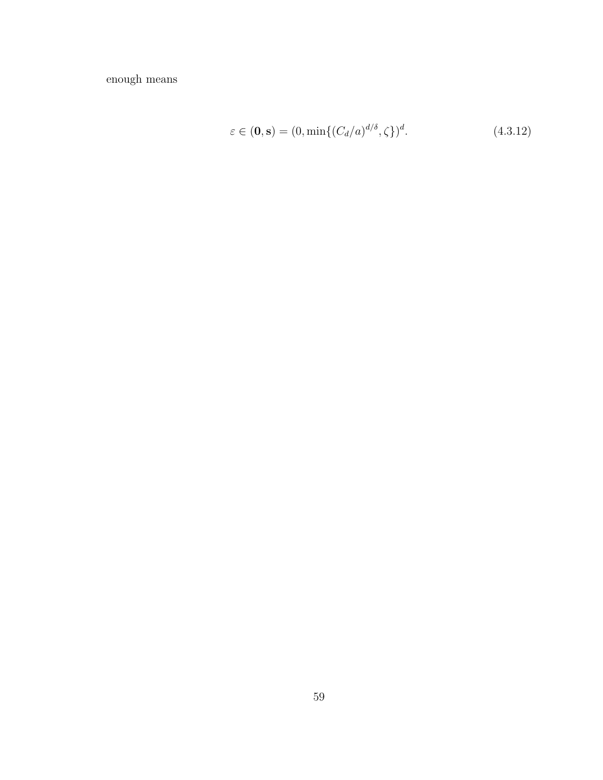enough means

$$
\varepsilon \in (0, \mathbf{s}) = (0, \min\{(C_d/a)^{d/\delta}, \zeta\})^d. \tag{4.3.12}
$$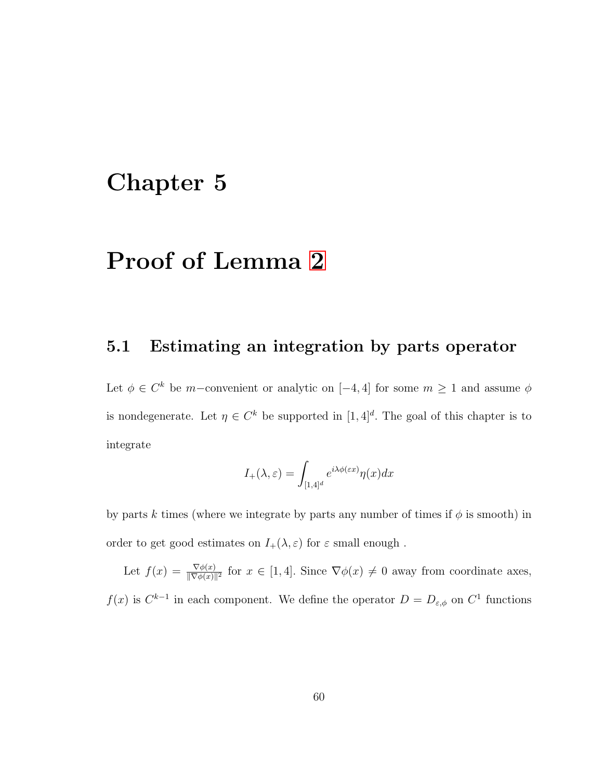# Chapter 5

## Proof of Lemma [2](#page-22-1)

#### 5.1 Estimating an integration by parts operator

Let  $\phi \in C^k$  be m-convenient or analytic on  $[-4, 4]$  for some  $m \geq 1$  and assume  $\phi$ is nondegenerate. Let  $\eta \in C^k$  be supported in  $[1, 4]^d$ . The goal of this chapter is to integrate

$$
I_{+}(\lambda,\varepsilon) = \int_{[1,4]^{d}} e^{i\lambda\phi(\varepsilon x)} \eta(x) dx
$$

by parts k times (where we integrate by parts any number of times if  $\phi$  is smooth) in order to get good estimates on  $I_+(\lambda, \varepsilon)$  for  $\varepsilon$  small enough.

Let  $f(x) = \frac{\nabla \phi(x)}{\|\nabla \phi(x)\|^2}$  for  $x \in [1, 4]$ . Since  $\nabla \phi(x) \neq 0$  away from coordinate axes,  $f(x)$  is  $C^{k-1}$  in each component. We define the operator  $D = D_{\varepsilon,\phi}$  on  $C^1$  functions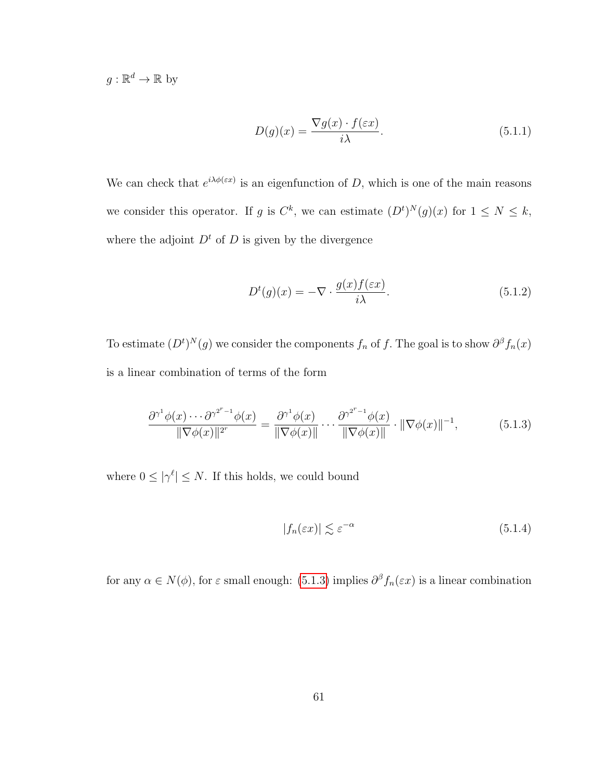$g: \mathbb{R}^d \to \mathbb{R}$  by

$$
D(g)(x) = \frac{\nabla g(x) \cdot f(\varepsilon x)}{i\lambda}.
$$
\n(5.1.1)

We can check that  $e^{i\lambda \phi(\varepsilon x)}$  is an eigenfunction of D, which is one of the main reasons we consider this operator. If g is  $C^k$ , we can estimate  $(D^t)^N(g)(x)$  for  $1 \leq N \leq k$ , where the adjoint  $D<sup>t</sup>$  of D is given by the divergence

$$
D^{t}(g)(x) = -\nabla \cdot \frac{g(x)f(\varepsilon x)}{i\lambda}.
$$
 (5.1.2)

To estimate  $(D^t)^N(g)$  we consider the components  $f_n$  of f. The goal is to show  $\partial^\beta f_n(x)$ is a linear combination of terms of the form

$$
\frac{\partial^{\gamma^1} \phi(x) \cdots \partial^{\gamma^{2^r - 1}} \phi(x)}{\|\nabla \phi(x)\|^{2^r}} = \frac{\partial^{\gamma^1} \phi(x)}{\|\nabla \phi(x)\|} \cdots \frac{\partial^{\gamma^{2^r - 1}} \phi(x)}{\|\nabla \phi(x)\|} \cdot \|\nabla \phi(x)\|^{-1},\tag{5.1.3}
$$

where  $0 \leq |\gamma^{\ell}| \leq N$ . If this holds, we could bound

<span id="page-70-0"></span>
$$
|f_n(\varepsilon x)| \lesssim \varepsilon^{-\alpha} \tag{5.1.4}
$$

for any  $\alpha \in N(\phi)$ , for  $\varepsilon$  small enough: [\(5.1.3\)](#page-70-0) implies  $\partial^{\beta} f_n(\varepsilon x)$  is a linear combination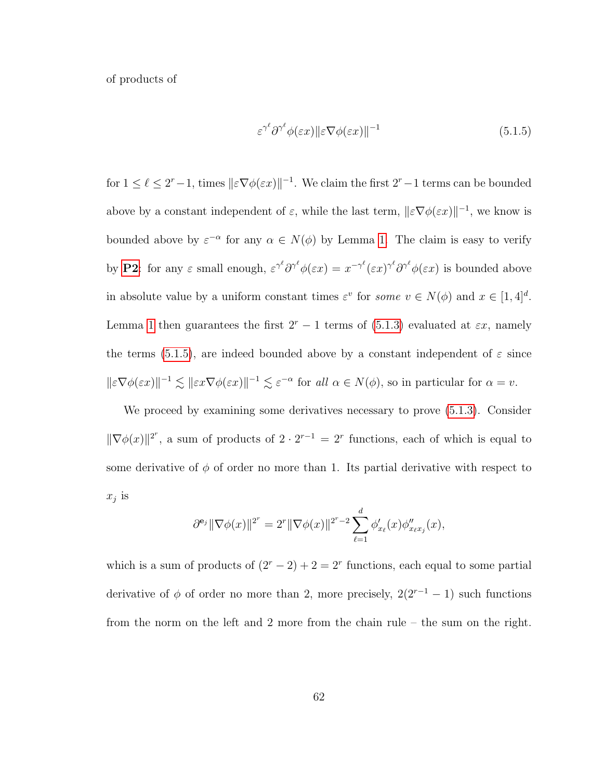of products of

<span id="page-71-0"></span>
$$
\varepsilon^{\gamma^{\ell}} \partial^{\gamma^{\ell}} \phi(\varepsilon x) \|\varepsilon \nabla \phi(\varepsilon x)\|^{-1} \tag{5.1.5}
$$

for  $1 \leq \ell \leq 2^r - 1$ , times  $||\varepsilon \nabla \phi(\varepsilon x)||^{-1}$ . We claim the first  $2^r - 1$  terms can be bounded above by a constant independent of  $\varepsilon$ , while the last term,  $\|\varepsilon \nabla \phi(\varepsilon x)\|^{-1}$ , we know is bounded above by  $\varepsilon^{-\alpha}$  for any  $\alpha \in N(\phi)$  by Lemma [1.](#page-22-0) The claim is easy to verify by **[P2](#page-35-0)**: for any  $\varepsilon$  small enough,  $\varepsilon^{\gamma^{\ell}} \partial^{\gamma^{\ell}} \phi(\varepsilon x) = x^{-\gamma^{\ell}} (\varepsilon x)^{\gamma^{\ell}} \partial^{\gamma^{\ell}} \phi(\varepsilon x)$  is bounded above in absolute value by a uniform constant times  $\varepsilon^v$  for some  $v \in N(\phi)$  and  $x \in [1, 4]^d$ . Lemma [1](#page-22-0) then guarantees the first  $2^r - 1$  terms of [\(5.1.3\)](#page-70-0) evaluated at  $\varepsilon x$ , namely the terms [\(5.1.5\)](#page-71-0), are indeed bounded above by a constant independent of  $\varepsilon$  since  $\|\varepsilon \nabla \phi(\varepsilon x)\|^{-1} \lesssim \|\varepsilon x \nabla \phi(\varepsilon x)\|^{-1} \lesssim \varepsilon^{-\alpha}$  for all  $\alpha \in N(\phi)$ , so in particular for  $\alpha = v$ .

We proceed by examining some derivatives necessary to prove [\(5.1.3\)](#page-70-0). Consider  $\|\nabla \phi(x)\|^{2^r}$ , a sum of products of  $2 \cdot 2^{r-1} = 2^r$  functions, each of which is equal to some derivative of  $\phi$  of order no more than 1. Its partial derivative with respect to  $x_j$  is

$$
\partial^{\mathbf{e}_j} \|\nabla \phi(x)\|^{2^r} = 2^r \|\nabla \phi(x)\|^{2^r - 2} \sum_{\ell=1}^d \phi'_{x_\ell}(x) \phi''_{x_\ell x_j}(x),
$$

which is a sum of products of  $(2<sup>r</sup> - 2) + 2 = 2<sup>r</sup>$  functions, each equal to some partial derivative of  $\phi$  of order no more than 2, more precisely,  $2(2^{r-1} - 1)$  such functions from the norm on the left and 2 more from the chain rule – the sum on the right.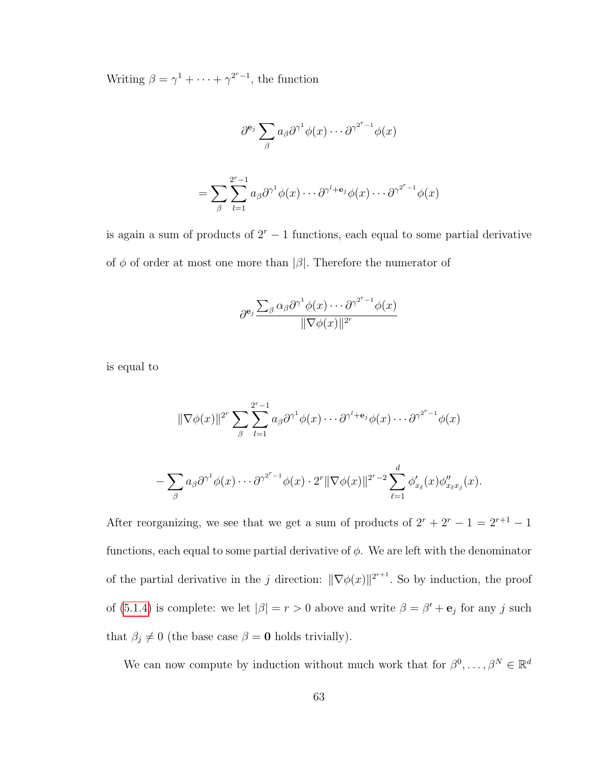Writing  $\beta = \gamma^1 + \cdots + \gamma^{2^r-1}$ , the function

$$
\partial^{\mathbf{e}_j} \sum_{\beta} a_{\beta} \partial^{\gamma^1} \phi(x) \cdots \partial^{\gamma^{2^r-1}} \phi(x)
$$

$$
= \sum_{\beta} \sum_{l=1}^{2^r-1} a_{\beta} \partial^{\gamma^1} \phi(x) \cdots \partial^{\gamma^l+ \mathbf{e}_j} \phi(x) \cdots \partial^{\gamma^{2^r-1}} \phi(x)
$$

is again a sum of products of  $2<sup>r</sup> - 1$  functions, each equal to some partial derivative of  $\phi$  of order at most one more than  $|\beta|$ . Therefore the numerator of

$$
\partial^{\mathbf{e}_j} \frac{\sum_{\beta} \alpha_{\beta} \partial^{\gamma^1} \phi(x) \cdots \partial^{\gamma^{2^r-1}} \phi(x)}{\|\nabla \phi(x)\|^{2^r}}
$$

is equal to

$$
\|\nabla \phi(x)\|^{2^{r}} \sum_{\beta} \sum_{l=1}^{2^{r}-1} a_{\beta} \partial^{\gamma^{1}} \phi(x) \cdots \partial^{\gamma^{l+1}} \phi(x) \cdots \partial^{\gamma^{2^{r}-1}} \phi(x)
$$

$$
-\sum_{\beta} a_{\beta} \partial^{\gamma^{1}} \phi(x) \cdots \partial^{\gamma^{2^{r}-1}} \phi(x) \cdot 2^{r} \|\nabla \phi(x)\|^{2^{r}-2} \sum_{\ell=1}^{d} \phi_{x_{\ell}}'(x) \phi_{x_{\ell}x_{\ell}}''(x).
$$

After reorganizing, we see that we get a sum of products of  $2^r + 2^r - 1 = 2^{r+1} - 1$ functions, each equal to some partial derivative of  $\phi$ . We are left with the denominator of the partial derivative in the j direction:  $\|\nabla \phi(x)\|^{2^{r+1}}$ . So by induction, the proof of [\(5.1.4\)](#page-70-0) is complete: we let  $|\beta| = r > 0$  above and write  $\beta = \beta' + e_j$  for any j such that  $\beta_j \neq 0$  (the base case  $\beta = 0$  holds trivially).

We can now compute by induction without much work that for  $\beta^0, \ldots, \beta^N \in \mathbb{R}^d$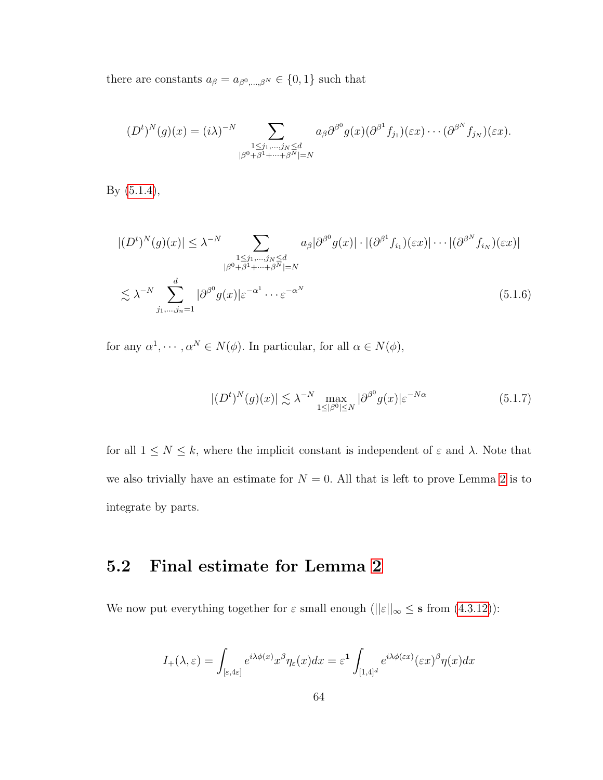there are constants  $a_\beta=a_{\beta^0,\ldots,\beta^N}\in\{0,1\}$  such that

$$
(Dt)N(g)(x) = (i\lambda)-N \sum_{\substack{1 \le j_1, \dots, j_N \le d \\ |\beta^0 + \beta^1 + \dots + \beta^N| = N}} a_{\beta} \partial^{\beta^0} g(x) (\partial^{\beta^1} f_{j_1})(\varepsilon x) \cdots (\partial^{\beta^N} f_{j_N})(\varepsilon x).
$$

By [\(5.1.4\)](#page-70-0),

$$
|(D^t)^N(g)(x)| \leq \lambda^{-N} \sum_{\substack{1 \leq j_1, \dots, j_N \leq d \\ |\beta^0 + \beta^1 + \dots + \beta^N| = N}} a_{\beta} |\partial^{\beta^0} g(x)| \cdot |(\partial^{\beta^1} f_{i_1})(\varepsilon x)| \cdots |(\partial^{\beta^N} f_{i_N})(\varepsilon x)|
$$
  

$$
\lesssim \lambda^{-N} \sum_{j_1, \dots, j_n = 1}^d |\partial^{\beta^0} g(x)| \varepsilon^{-\alpha^1} \cdots \varepsilon^{-\alpha^N}
$$
 (5.1.6)

for any  $\alpha^1, \cdots, \alpha^N \in N(\phi)$ . In particular, for all  $\alpha \in N(\phi)$ ,

<span id="page-73-0"></span>
$$
|(D^t)^N(g)(x)| \lesssim \lambda^{-N} \max_{1 \leq |\beta^0| \leq N} |\partial^{\beta^0} g(x)| \varepsilon^{-N\alpha} \tag{5.1.7}
$$

for all  $1 \leq N \leq k$ , where the implicit constant is independent of  $\varepsilon$  and  $\lambda$ . Note that we also trivially have an estimate for  $N = 0$ . All that is left to prove Lemma [2](#page-22-0) is to integrate by parts.

## 5.2 Final estimate for Lemma [2](#page-22-0)

We now put everything together for  $\varepsilon$  small enough  $(||\varepsilon||_{\infty} \leq$  s from  $(4.3.12)$ ):

$$
I_{+}(\lambda,\varepsilon)=\int_{[\varepsilon,4\varepsilon]}e^{i\lambda\phi(x)}x^{\beta}\eta_{\varepsilon}(x)dx=\varepsilon^{1}\int_{[1,4]^{d}}e^{i\lambda\phi(\varepsilon x)}(\varepsilon x)^{\beta}\eta(x)dx
$$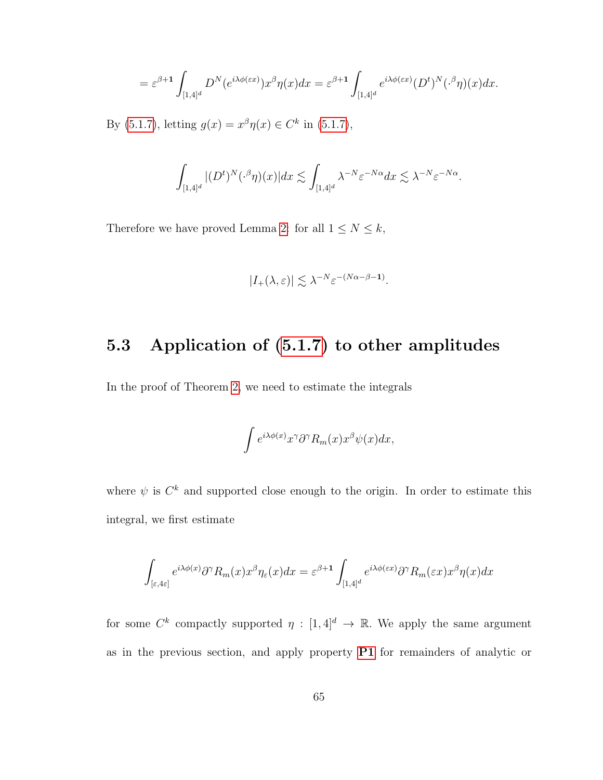$$
= \varepsilon^{\beta+1} \int_{[1,4]^d} D^N(e^{i\lambda \phi(\varepsilon x)}) x^\beta \eta(x) dx = \varepsilon^{\beta+1} \int_{[1,4]^d} e^{i\lambda \phi(\varepsilon x)} (D^t)^N(\cdot^\beta \eta)(x) dx.
$$

By [\(5.1.7\)](#page-73-0), letting  $g(x) = x^{\beta} \eta(x) \in C^{k}$  in (5.1.7),

$$
\int_{[1,4]^d} |(D^t)^N(\cdot^{\beta} \eta)(x)| dx \lesssim \int_{[1,4]^d} \lambda^{-N} \varepsilon^{-N\alpha} dx \lesssim \lambda^{-N} \varepsilon^{-N\alpha}.
$$

Therefore we have proved Lemma [2:](#page-22-0) for all  $1 \leq N \leq k$ ,

$$
|I_{+}(\lambda,\varepsilon)| \lesssim \lambda^{-N} \varepsilon^{-(N\alpha-\beta-1)}.
$$

## 5.3 Application of [\(5.1.7\)](#page-73-0) to other amplitudes

In the proof of Theorem [2,](#page-24-0) we need to estimate the integrals

$$
\int e^{i\lambda \phi(x)} x^{\gamma} \partial^{\gamma} R_m(x) x^{\beta} \psi(x) dx,
$$

where  $\psi$  is  $C^k$  and supported close enough to the origin. In order to estimate this integral, we first estimate

$$
\int_{[\varepsilon,4\varepsilon]} e^{i\lambda\phi(x)} \partial^\gamma R_m(x) x^\beta \eta_\varepsilon(x) dx = \varepsilon^{\beta+1} \int_{[1,4]^d} e^{i\lambda\phi(\varepsilon x)} \partial^\gamma R_m(\varepsilon x) x^\beta \eta(x) dx
$$

for some  $C^k$  compactly supported  $\eta : [1, 4]^d \to \mathbb{R}$ . We apply the same argument as in the previous section, and apply property [P1](#page-35-0) for remainders of analytic or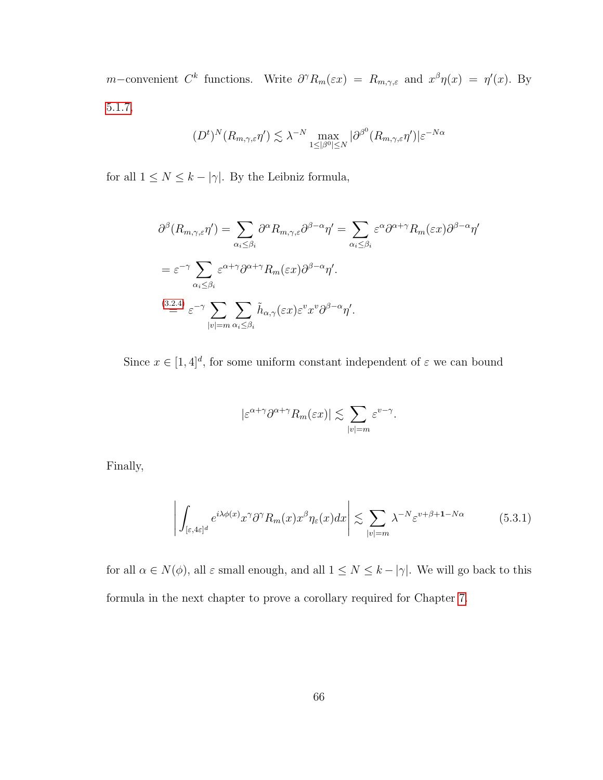m–convenient  $C^k$  functions. Write  $\partial^\gamma R_m(\varepsilon x) = R_{m,\gamma,\varepsilon}$  and  $x^\beta \eta(x) = \eta'(x)$ . By [5.1.7,](#page-73-0)

$$
(D^t)^N(R_{m,\gamma,\varepsilon}\eta') \lesssim \lambda^{-N} \max_{1 \leq |\beta^0| \leq N} |\partial^{\beta^0}(R_{m,\gamma,\varepsilon}\eta')| \varepsilon^{-N\alpha}
$$

for all  $1 \leq N \leq k - |\gamma|$ . By the Leibniz formula,

$$
\partial^{\beta}(R_{m,\gamma,\varepsilon}\eta') = \sum_{\alpha_i \leq \beta_i} \partial^{\alpha}R_{m,\gamma,\varepsilon} \partial^{\beta-\alpha}\eta' = \sum_{\alpha_i \leq \beta_i} \varepsilon^{\alpha} \partial^{\alpha+\gamma}R_m(\varepsilon x)\partial^{\beta-\alpha}\eta'
$$
  

$$
= \varepsilon^{-\gamma} \sum_{\alpha_i \leq \beta_i} \varepsilon^{\alpha+\gamma} \partial^{\alpha+\gamma}R_m(\varepsilon x)\partial^{\beta-\alpha}\eta'.
$$
  

$$
\stackrel{(3.2.4)}{=} \varepsilon^{-\gamma} \sum_{|v|=m} \sum_{\alpha_i \leq \beta_i} \tilde{h}_{\alpha,\gamma}(\varepsilon x)\varepsilon^v x^v \partial^{\beta-\alpha}\eta'.
$$

Since  $x \in [1, 4]^d$ , for some uniform constant independent of  $\varepsilon$  we can bound

<span id="page-75-0"></span>
$$
|\varepsilon^{\alpha+\gamma}\partial^{\alpha+\gamma}R_{m}(\varepsilon x)|\lesssim \sum_{|v|=m}\varepsilon^{v-\gamma}.
$$

Finally,

$$
\left| \int_{[\varepsilon, 4\varepsilon]^d} e^{i\lambda \phi(x)} x^{\gamma} \partial^{\gamma} R_m(x) x^{\beta} \eta_{\varepsilon}(x) dx \right| \lesssim \sum_{|v|=m} \lambda^{-N} \varepsilon^{v+\beta+1-N\alpha} \tag{5.3.1}
$$

for all  $\alpha \in N(\phi)$ , all  $\varepsilon$  small enough, and all  $1 \leq N \leq k - |\gamma|$ . We will go back to this formula in the next chapter to prove a corollary required for Chapter [7.](#page-87-0)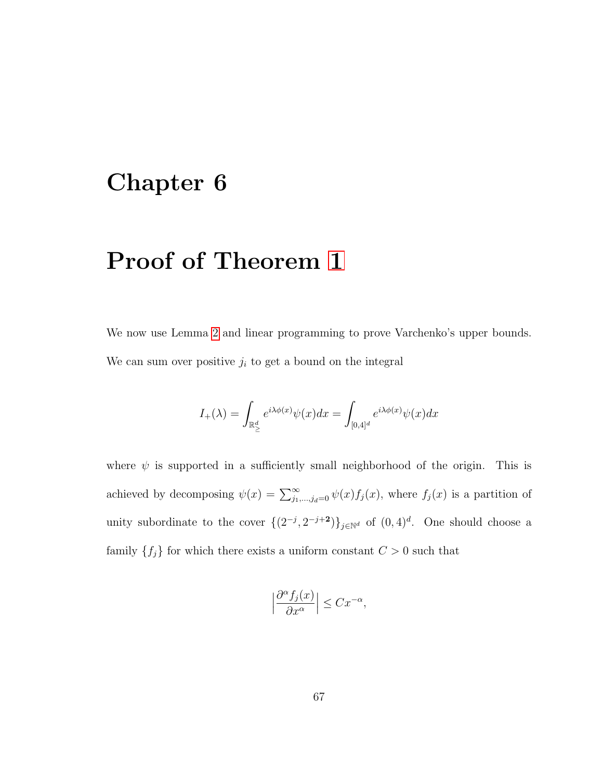## Chapter 6

# Proof of Theorem [1](#page-23-0)

We now use Lemma [2](#page-22-0) and linear programming to prove Varchenko's upper bounds. We can sum over positive  $j_i$  to get a bound on the integral

$$
I_{+}(\lambda)=\int_{\mathbb{R}_{\geq}^{d}}e^{i\lambda\phi(x)}\psi(x)dx=\int_{[0,4]^{d}}e^{i\lambda\phi(x)}\psi(x)dx
$$

where  $\psi$  is supported in a sufficiently small neighborhood of the origin. This is achieved by decomposing  $\psi(x) = \sum_{j_1,\dots,j_d=0}^{\infty} \psi(x) f_j(x)$ , where  $f_j(x)$  is a partition of unity subordinate to the cover  $\{(2^{-j}, 2^{-j+2})\}_{j\in\mathbb{N}^d}$  of  $(0,4)^d$ . One should choose a family  $\{f_j\}$  for which there exists a uniform constant  $C > 0$  such that

$$
\Big|\frac{\partial^{\alpha} f_j(x)}{\partial x^{\alpha}}\Big|\leq C x^{-\alpha},
$$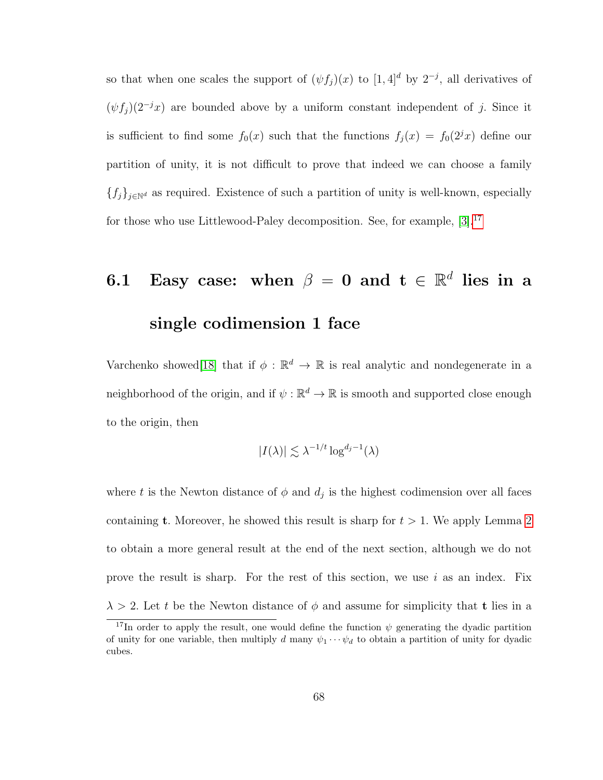so that when one scales the support of  $(\psi f_j)(x)$  to  $[1, 4]^d$  by  $2^{-j}$ , all derivatives of  $(\psi f_i)(2^{-j}x)$  are bounded above by a uniform constant independent of j. Since it is sufficient to find some  $f_0(x)$  such that the functions  $f_j(x) = f_0(2^jx)$  define our partition of unity, it is not difficult to prove that indeed we can choose a family  ${f_j}_{j∈\mathbb{N}^d}$  as required. Existence of such a partition of unity is well-known, especially for those who use Littlewood-Paley decomposition. See, for example, [\[3\]](#page-115-0).[17](#page-77-0)

# 6.1 Easy case: when  $\beta = 0$  and  $\mathbf{t} \in \mathbb{R}^d$  lies in a single codimension 1 face

Varchenko showed<sup>[\[18\]](#page-117-0)</sup> that if  $\phi : \mathbb{R}^d \to \mathbb{R}$  is real analytic and nondegenerate in a neighborhood of the origin, and if  $\psi : \mathbb{R}^d \to \mathbb{R}$  is smooth and supported close enough to the origin, then

$$
|I(\lambda)| \lesssim \lambda^{-1/t} \log^{d_j - 1}(\lambda)
$$

where t is the Newton distance of  $\phi$  and  $d_j$  is the highest codimension over all faces containing **t**. Moreover, he showed this result is sharp for  $t > 1$ . We apply Lemma [2](#page-22-0) to obtain a more general result at the end of the next section, although we do not prove the result is sharp. For the rest of this section, we use i as an index. Fix  $\lambda > 2$ . Let t be the Newton distance of  $\phi$  and assume for simplicity that t lies in a

<span id="page-77-0"></span><sup>&</sup>lt;sup>17</sup>In order to apply the result, one would define the function  $\psi$  generating the dyadic partition of unity for one variable, then multiply d many  $\psi_1 \cdots \psi_d$  to obtain a partition of unity for dyadic cubes.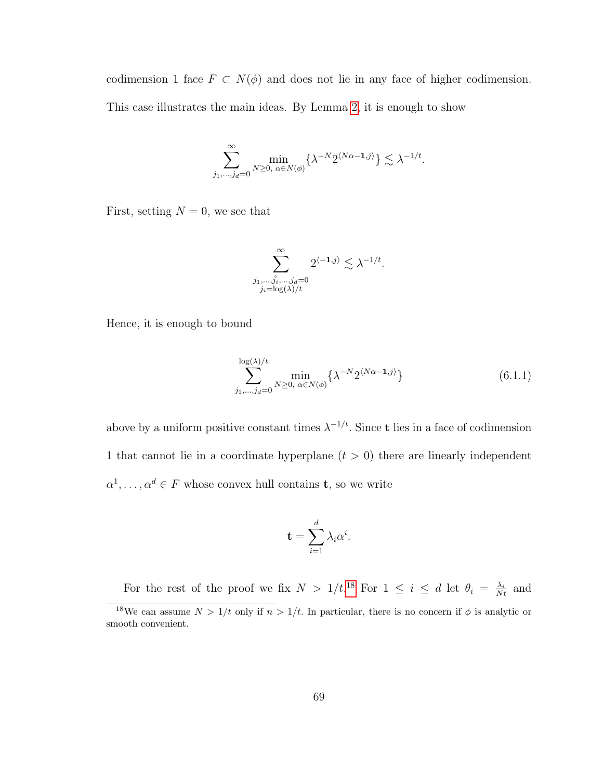codimension 1 face  $F \subset N(\phi)$  and does not lie in any face of higher codimension. This case illustrates the main ideas. By Lemma [2,](#page-22-0) it is enough to show

$$
\sum_{j_1,\dots,j_d=0}^{\infty} \min_{N\geq 0, \ \alpha\in N(\phi)} \{\lambda^{-N} 2^{\langle N\alpha-1,j\rangle}\} \lesssim \lambda^{-1/t}.
$$

First, setting  $N = 0$ , we see that

$$
\sum_{\substack{j_1,\ldots,\hat{j}_i,\ldots,j_d=0\\j_i=\log(\lambda)/t}}^{\infty} 2^{\langle -1,j\rangle} \lesssim \lambda^{-1/t}.
$$

Hence, it is enough to bound

<span id="page-78-1"></span>
$$
\sum_{j_1,\ldots,j_d=0}^{\log(\lambda)/t} \min_{N\geq 0, \alpha\in N(\phi)} \{\lambda^{-N} 2^{\langle N\alpha-1,j\rangle}\}\n\tag{6.1.1}
$$

above by a uniform positive constant times  $\lambda^{-1/t}$ . Since **t** lies in a face of codimension 1 that cannot lie in a coordinate hyperplane  $(t > 0)$  there are linearly independent  $\alpha^1, \ldots, \alpha^d \in F$  whose convex hull contains **t**, so we write

$$
\mathbf{t} = \sum_{i=1}^d \lambda_i \alpha^i.
$$

<span id="page-78-0"></span>For the rest of the proof we fix  $N > 1/t^{18}$  $N > 1/t^{18}$  $N > 1/t^{18}$  For  $1 \le i \le d$  let  $\theta_i = \frac{\lambda_i}{Nt}$  and <sup>18</sup>We can assume  $N > 1/t$  only if  $n > 1/t$ . In particular, there is no concern if  $\phi$  is analytic or smooth convenient.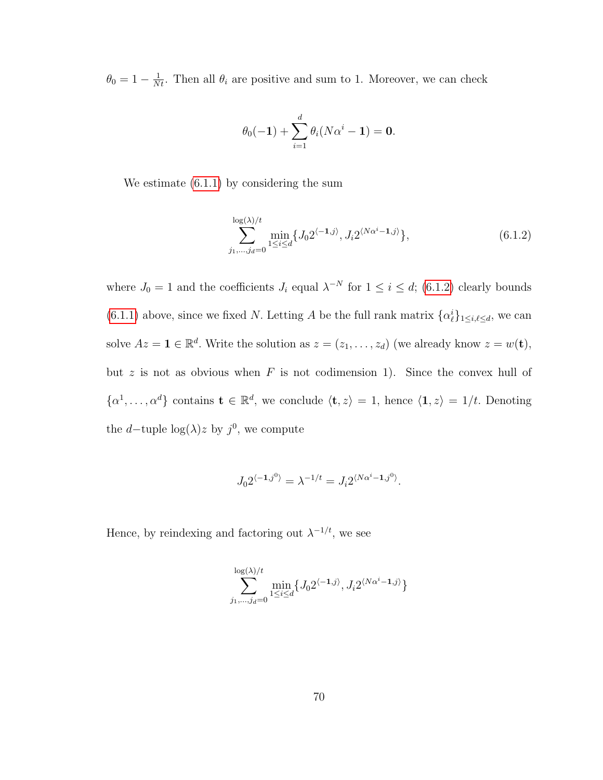$\theta_0 = 1 - \frac{1}{Nt}$ . Then all  $\theta_i$  are positive and sum to 1. Moreover, we can check

$$
\theta_0(-1)+\sum_{i=1}^d\theta_i(N\alpha^i-1)=0.
$$

We estimate [\(6.1.1\)](#page-78-1) by considering the sum

<span id="page-79-0"></span>
$$
\sum_{j_1,\dots,j_d=0}^{\log(\lambda)/t} \min_{1 \le i \le d} \{ J_0 2^{\langle -1,j \rangle}, J_i 2^{\langle N\alpha^i - 1,j \rangle} \},\tag{6.1.2}
$$

where  $J_0 = 1$  and the coefficients  $J_i$  equal  $\lambda^{-N}$  for  $1 \leq i \leq d$ ; [\(6.1.2\)](#page-79-0) clearly bounds [\(6.1.1\)](#page-78-1) above, since we fixed N. Letting A be the full rank matrix  $\{\alpha_\ell^i\}_{1 \leq i,\ell \leq d}$ , we can solve  $Az = \mathbf{1} \in \mathbb{R}^d$ . Write the solution as  $z = (z_1, \ldots, z_d)$  (we already know  $z = w(\mathbf{t}),$ but z is not as obvious when  $F$  is not codimension 1). Since the convex hull of  $\{\alpha^1,\ldots,\alpha^d\}$  contains  $\mathbf{t} \in \mathbb{R}^d$ , we conclude  $\langle \mathbf{t}, z \rangle = 1$ , hence  $\langle \mathbf{1}, z \rangle = 1/t$ . Denoting the d–tuple  $log(\lambda)z$  by  $j^0$ , we compute

$$
J_0 2^{\langle -1, j^0 \rangle} = \lambda^{-1/t} = J_i 2^{\langle N\alpha^i -1, j^0 \rangle}.
$$

Hence, by reindexing and factoring out  $\lambda^{-1/t}$ , we see

$$
\sum_{j_1,\dots,j_d=0}^{\log(\lambda)/t} \min_{1 \le i \le d} \{ J_0 2^{\langle -1, j \rangle}, J_i 2^{\langle N\alpha^i -1, j \rangle} \}
$$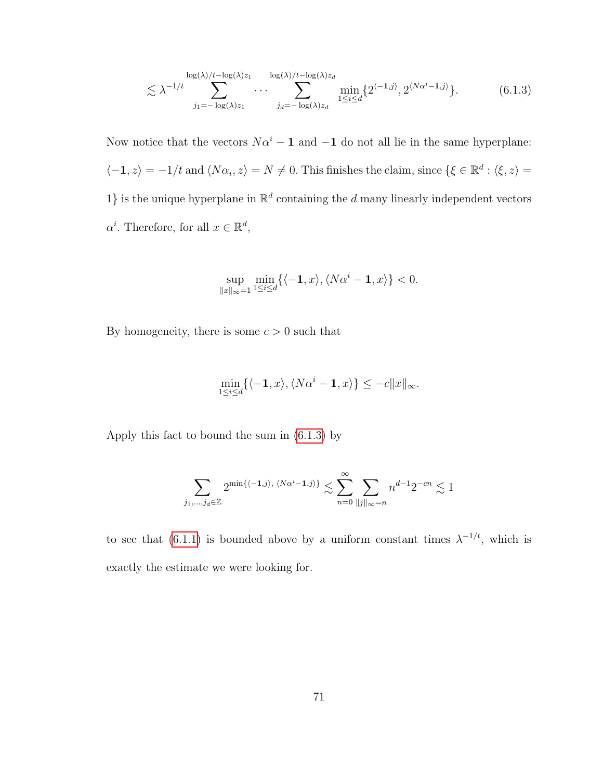$$
\lesssim \lambda^{-1/t} \sum_{j_1 = -\log(\lambda)z_1}^{\log(\lambda)/t - \log(\lambda)z_1} \cdots \sum_{j_d = -\log(\lambda)z_d}^{\log(\lambda)/t - \log(\lambda)z_d} \min_{1 \le i \le d} \{2^{\langle -1, j \rangle}, 2^{\langle N\alpha^i - 1, j \rangle} \}.
$$
(6.1.3)

Now notice that the vectors  $N\alpha^{i} - 1$  and  $-1$  do not all lie in the same hyperplane:  $\langle -1, z \rangle = -1/t$  and  $\langle N\alpha_i, z \rangle = N \neq 0$ . This finishes the claim, since  $\{\xi \in \mathbb{R}^d : \langle \xi, z \rangle = 0\}$ 1} is the unique hyperplane in  $\mathbb{R}^d$  containing the d many linearly independent vectors  $\alpha^i$ . Therefore, for all  $x \in \mathbb{R}^d$ ,

<span id="page-80-0"></span>
$$
\sup_{\|x\|_{\infty}=1} \min_{1\leq i\leq d} \{\langle -1, x\rangle, \langle N\alpha^i-1, x\rangle\} < 0.
$$

By homogeneity, there is some  $c > 0$  such that

$$
\min_{1 \le i \le d} \{ \langle -\mathbf{1}, x \rangle, \langle N\alpha^i - \mathbf{1}, x \rangle \} \le -c \|x\|_{\infty}.
$$

Apply this fact to bound the sum in [\(6.1.3\)](#page-80-0) by

$$
\sum_{j_1,\dots,j_d \in \mathbb{Z}} 2^{\min\{\langle -1,j \rangle, \ \langle N\alpha^i-1,j \rangle\}} \lesssim \sum_{n=0}^{\infty} \sum_{\|j\|_{\infty}=n} n^{d-1} 2^{-cn} \lesssim 1
$$

to see that (6.1.[1\)](#page-78-1) is bounded above by a uniform constant times  $\lambda^{-1/t}$ , which is exactly the estimate we were looking for.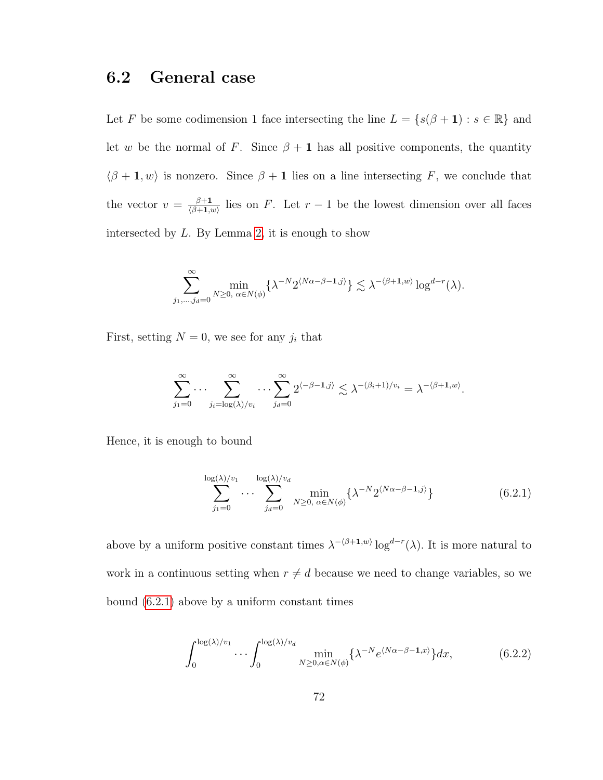## 6.2 General case

Let F be some codimension 1 face intersecting the line  $L = \{s(\beta + 1) : s \in \mathbb{R}\}\)$  and let w be the normal of F. Since  $\beta + 1$  has all positive components, the quantity  $\langle \beta + \mathbf{1}, w \rangle$  is nonzero. Since  $\beta + \mathbf{1}$  lies on a line intersecting F, we conclude that the vector  $v = \frac{\beta+1}{\beta+1}$  $\frac{\beta+1}{(\beta+1,w)}$  lies on F. Let  $r-1$  be the lowest dimension over all faces intersected by  $L$ . By Lemma [2,](#page-22-0) it is enough to show

$$
\sum_{j_1,\ldots,j_d=0}^{\infty} \min_{N\geq 0,\ \alpha\in N(\phi)} \{\lambda^{-N} 2^{\langle N\alpha-\beta-1,j\rangle}\}\lesssim \lambda^{-\langle \beta+1,w\rangle}\log^{d-r}(\lambda).
$$

First, setting  $N = 0$ , we see for any  $j_i$  that

$$
\sum_{j_1=0}^{\infty} \cdots \sum_{j_i=\log(\lambda)/v_i}^{\infty} \cdots \sum_{j_d=0}^{\infty} 2^{\langle -\beta-1,j\rangle} \lesssim \lambda^{-(\beta_i+1)/v_i} = \lambda^{-\langle \beta+1,w\rangle}
$$

Hence, it is enough to bound

$$
\sum_{j_1=0}^{\log(\lambda)/v_1} \cdots \sum_{j_d=0}^{\log(\lambda)/v_d} \min_{N \ge 0, \ \alpha \in N(\phi)} \{\lambda^{-N} 2^{\langle N\alpha - \beta - 1, j \rangle}\}
$$
(6.2.1)

<span id="page-81-1"></span><span id="page-81-0"></span>.

above by a uniform positive constant times  $\lambda^{-\langle \beta+1,w \rangle} \log^{d-r}(\lambda)$ . It is more natural to work in a continuous setting when  $r \neq d$  because we need to change variables, so we bound [\(6.2.1\)](#page-81-0) above by a uniform constant times

$$
\int_0^{\log(\lambda)/v_1} \cdots \int_0^{\log(\lambda)/v_d} \min_{N \ge 0, \alpha \in N(\phi)} \{\lambda^{-N} e^{\langle N\alpha - \beta - 1, x \rangle}\} dx, \tag{6.2.2}
$$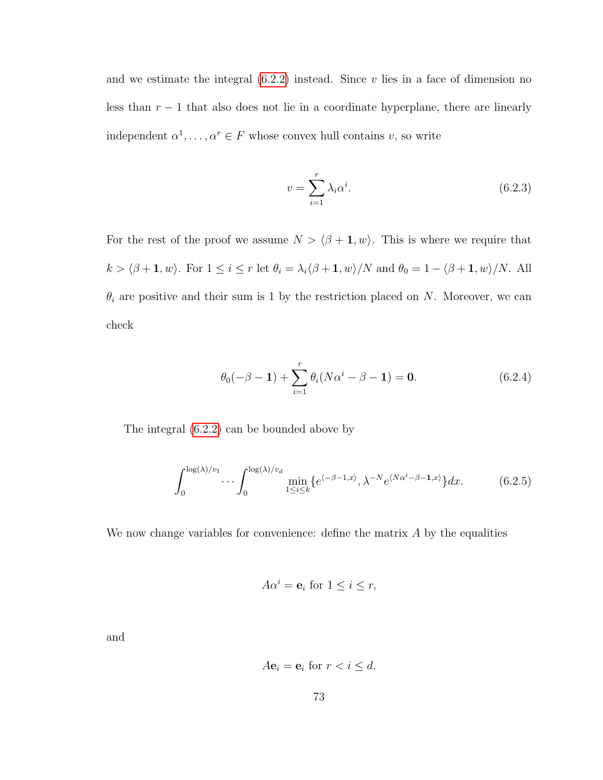and we estimate the integral  $(6.2.2)$  instead. Since v lies in a face of dimension no less than  $r - 1$  that also does not lie in a coordinate hyperplane, there are linearly independent  $\alpha^1, \ldots, \alpha^r \in F$  whose convex hull contains v, so write

<span id="page-82-2"></span><span id="page-82-1"></span>
$$
v = \sum_{i=1}^{r} \lambda_i \alpha^i.
$$
\n(6.2.3)

For the rest of the proof we assume  $N > \langle \beta + \mathbf{1}, w \rangle$ . This is where we require that  $k > \langle \beta + 1, w \rangle$ . For  $1 \le i \le r$  let  $\theta_i = \lambda_i \langle \beta + 1, w \rangle / N$  and  $\theta_0 = 1 - \langle \beta + 1, w \rangle / N$ . All  $\theta_i$  are positive and their sum is 1 by the restriction placed on N. Moreover, we can check

$$
\theta_0(-\beta - 1) + \sum_{i=1}^r \theta_i (N\alpha^i - \beta - 1) = 0.
$$
 (6.2.4)

The integral [\(6.2.2\)](#page-81-1) can be bounded above by

$$
\int_0^{\log(\lambda)/v_1} \cdots \int_0^{\log(\lambda)/v_d} \min_{1 \le i \le k} \{e^{\langle -\beta - 1, x \rangle}, \lambda^{-N} e^{\langle N\alpha^i - \beta - 1, x \rangle} \} dx.
$$
 (6.2.5)

We now change variables for convenience: define the matrix  $A$  by the equalities

<span id="page-82-0"></span>
$$
A\alpha^i = \mathbf{e}_i \text{ for } 1 \le i \le r,
$$

and

$$
A\mathbf{e}_i = \mathbf{e}_i \text{ for } r < i \leq d.
$$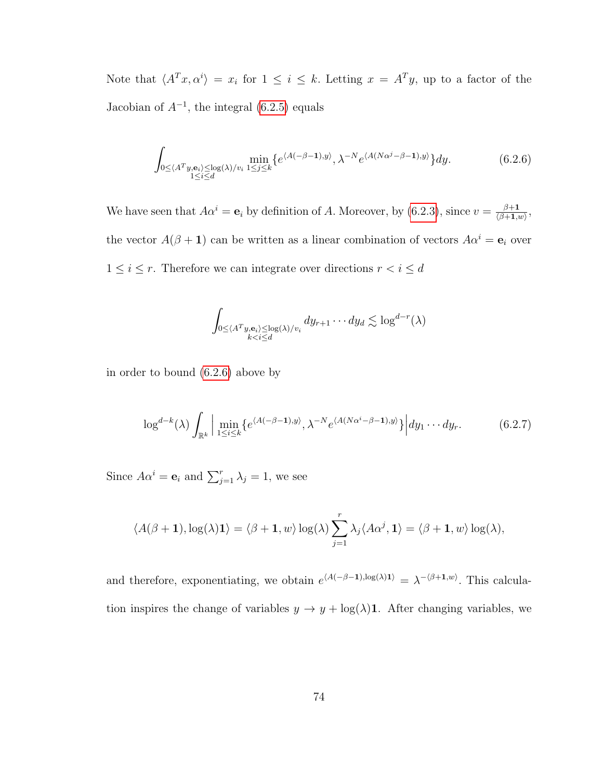Note that  $\langle A^T x, \alpha^i \rangle = x_i$  for  $1 \leq i \leq k$ . Letting  $x = A^T y$ , up to a factor of the Jacobian of  $A^{-1}$ , the integral [\(6.2.5\)](#page-82-0) equals

$$
\int_{0 \le \langle A^T y, \mathbf{e}_i \rangle \le \log(\lambda)/v_i} \min_{1 \le j \le k} \{ e^{\langle A(-\beta - 1), y \rangle}, \lambda^{-N} e^{\langle A(N\alpha^j - \beta - 1), y \rangle} \} dy.
$$
 (6.2.6)

We have seen that  $A\alpha^i = \mathbf{e}_i$  by definition of A. Moreover, by [\(6.2.3\)](#page-82-1), since  $v = \frac{\beta+1}{(\beta+1)^i}$  $\frac{\beta+1}{\langle \beta+1,w\rangle},$ the vector  $A(\beta + 1)$  can be written as a linear combination of vectors  $A\alpha^i = e_i$  over  $1\leq i\leq r.$  Therefore we can integrate over directions  $r < i\leq d$ 

<span id="page-83-1"></span><span id="page-83-0"></span>
$$
\int_{0 \le \langle A^T y, \mathbf{e}_i \rangle \le \log(\lambda)/v_i} dy_{r+1} \cdots dy_d \lesssim \log^{d-r}(\lambda)
$$

in order to bound [\(6.2.6\)](#page-83-0) above by

$$
\log^{d-k}(\lambda)\int_{\mathbb{R}^k} \Big|\min_{1\leq i\leq k} \{e^{\langle A(-\beta-1),y\rangle}, \lambda^{-N}e^{\langle A(N\alpha^i-\beta-1),y\rangle}\}\Big| dy_1\cdots dy_r. \tag{6.2.7}
$$

Since  $A\alpha^i = \mathbf{e}_i$  and  $\sum_{j=1}^r \lambda_j = 1$ , we see

$$
\langle A(\beta+1), \log(\lambda)\mathbf{1}\rangle = \langle \beta+1, w \rangle \log(\lambda) \sum_{j=1}^r \lambda_j \langle A\alpha^j, \mathbf{1}\rangle = \langle \beta+1, w \rangle \log(\lambda),
$$

and therefore, exponentiating, we obtain  $e^{A(-\beta-1),\log(\lambda)1)} = \lambda^{-\langle \beta+1,w \rangle}$ . This calculation inspires the change of variables  $y \to y + \log(\lambda)$ 1. After changing variables, we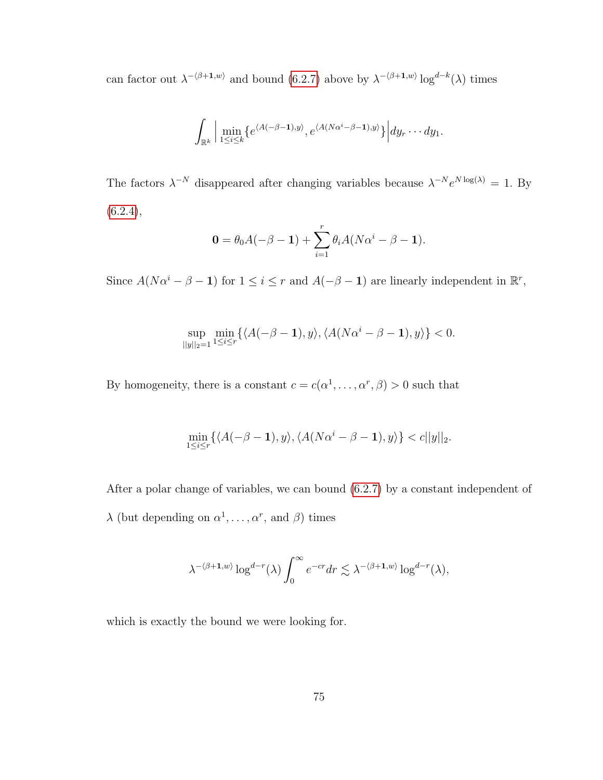can factor out  $\lambda^{-(\beta+1,w)}$  and bound [\(6.2.7\)](#page-83-1) above by  $\lambda^{-(\beta+1,w)} \log^{d-k}(\lambda)$  times

$$
\int_{\mathbb{R}^k} \Big| \min_{1 \leq i \leq k} \{ e^{\langle A(-\beta-1),y \rangle}, e^{\langle A(N\alpha^i-\beta-1),y \rangle} \} \Big| dy_r \cdots dy_1.
$$

The factors  $\lambda^{-N}$  disappeared after changing variables because  $\lambda^{-N}e^{N\log(\lambda)}=1$ . By  $(6.2.4),$  $(6.2.4),$ 

$$
0 = \theta_0 A(-\beta - 1) + \sum_{i=1}^r \theta_i A(N\alpha^i - \beta - 1).
$$

Since  $A(N\alpha^i - \beta - 1)$  for  $1 \leq i \leq r$  and  $A(-\beta - 1)$  are linearly independent in  $\mathbb{R}^r$ ,

$$
\sup_{||y||_2=1} \min_{1\leq i\leq r} \{ \langle A(-\beta-1), y \rangle, \langle A(N\alpha^i-\beta-1), y \rangle \} < 0.
$$

By homogeneity, there is a constant  $c = c(\alpha^1, \dots, \alpha^r, \beta) > 0$  such that

$$
\min_{1 \le i \le r} \{ \langle A(-\beta - \mathbf{1}), y \rangle, \langle A(N\alpha^i - \beta - \mathbf{1}), y \rangle \} < c ||y||_2.
$$

After a polar change of variables, we can bound [\(6.2.7\)](#page-83-1) by a constant independent of  $\lambda$  (but depending on  $\alpha^1, \ldots, \alpha^r$ , and  $\beta$ ) times

$$
\lambda^{-\langle \beta+1, w \rangle} \log^{d-r}(\lambda) \int_0^\infty e^{-cr} dr \lesssim \lambda^{-\langle \beta+1, w \rangle} \log^{d-r}(\lambda),
$$

which is exactly the bound we were looking for.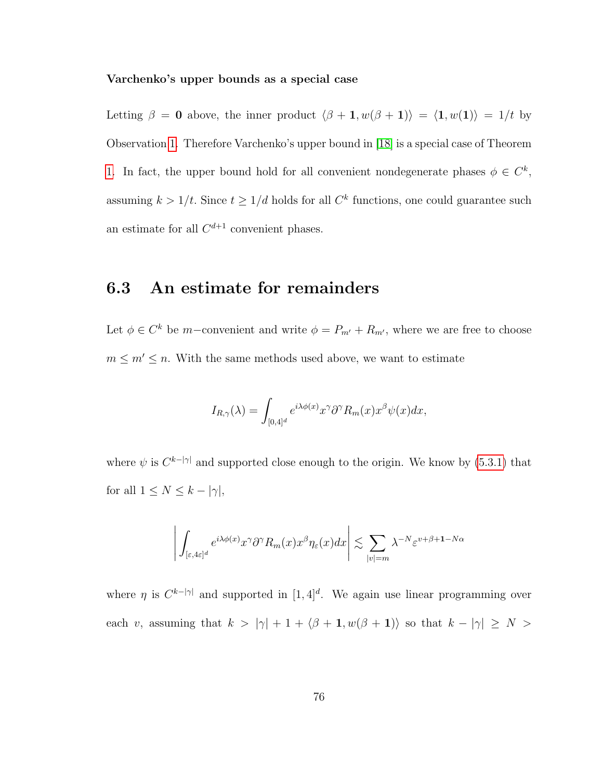#### Varchenko's upper bounds as a special case

Letting  $\beta = 0$  above, the inner product  $\langle \beta + 1, w(\beta + 1) \rangle = \langle 1, w(1) \rangle = 1/t$  by Observation [1.](#page-23-0) Therefore Varchenko's upper bound in [\[18\]](#page-117-0) is a special case of Theorem [1.](#page-23-0) In fact, the upper bound hold for all convenient nondegenerate phases  $\phi \in C^k$ , assuming  $k > 1/t$ . Since  $t \geq 1/d$  holds for all  $C<sup>k</sup>$  functions, one could guarantee such an estimate for all  $C^{d+1}$  convenient phases.

#### 6.3 An estimate for remainders

Let  $\phi \in C^k$  be m-convenient and write  $\phi = P_{m'} + R_{m'}$ , where we are free to choose  $m \leq m' \leq n$ . With the same methods used above, we want to estimate

$$
I_{R,\gamma}(\lambda) = \int_{[0,4]^d} e^{i\lambda \phi(x)} x^{\gamma} \partial^{\gamma} R_m(x) x^{\beta} \psi(x) dx,
$$

where  $\psi$  is  $C^{k-|\gamma|}$  and supported close enough to the origin. We know by [\(5.3.1\)](#page-75-0) that for all  $1 \leq N \leq k - |\gamma|$ ,

$$
\left| \int_{[\varepsilon, 4\varepsilon]^d} e^{i\lambda \phi(x)} x^{\gamma} \partial^{\gamma} R_m(x) x^{\beta} \eta_{\varepsilon}(x) dx \right| \lesssim \sum_{|v| = m} \lambda^{-N} \varepsilon^{v + \beta + 1 - N\alpha}
$$

where  $\eta$  is  $C^{k-|\gamma|}$  and supported in [1,4]<sup>d</sup>. We again use linear programming over each v, assuming that  $k > |\gamma| + 1 + \langle \beta + \mathbf{1}, w(\beta + \mathbf{1}) \rangle$  so that  $k - |\gamma| \ge N >$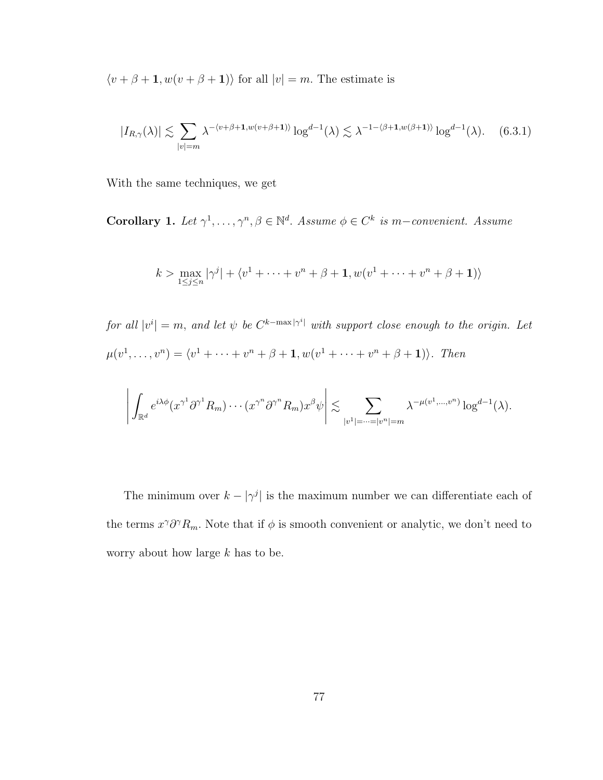$\langle v + \beta + \mathbf{1}, w(v + \beta + \mathbf{1}) \rangle$  for all  $|v| = m$ . The estimate is

$$
|I_{R,\gamma}(\lambda)| \lesssim \sum_{|v|=m} \lambda^{-(v+\beta+1,w(v+\beta+1))} \log^{d-1}(\lambda) \lesssim \lambda^{-1-(\beta+1,w(\beta+1))} \log^{d-1}(\lambda). \tag{6.3.1}
$$

With the same techniques, we get

<span id="page-86-0"></span>Corollary 1. Let  $\gamma^1, \ldots, \gamma^n, \beta \in \mathbb{N}^d$ . Assume  $\phi \in C^k$  is m-convenient. Assume

$$
k > \max_{1 \le j \le n} |\gamma^{j}| + \langle v^{1} + \dots + v^{n} + \beta + \mathbf{1}, w(v^{1} + \dots + v^{n} + \beta + \mathbf{1}) \rangle
$$

for all  $|v^i| = m$ , and let  $\psi$  be  $C^{k-\max|\gamma^i|}$  with support close enough to the origin. Let  $\mu(v^1, \ldots, v^n) = \langle v^1 + \cdots + v^n + \beta + 1, w(v^1 + \cdots + v^n + \beta + 1) \rangle$ . Then

$$
\left| \int_{\mathbb{R}^d} e^{i\lambda \phi} (x^{\gamma^1} \partial^{\gamma^1} R_m) \cdots (x^{\gamma^n} \partial^{\gamma^n} R_m) x^{\beta} \psi \right| \lesssim \sum_{|v^1| = \dots = |v^n| = m} \lambda^{-\mu(v^1, \dots, v^n)} \log^{d-1}(\lambda).
$$

The minimum over  $k - |\gamma^j|$  is the maximum number we can differentiate each of the terms  $x^{\gamma} \partial^{\gamma} R_m$ . Note that if  $\phi$  is smooth convenient or analytic, we don't need to worry about how large  $k$  has to be.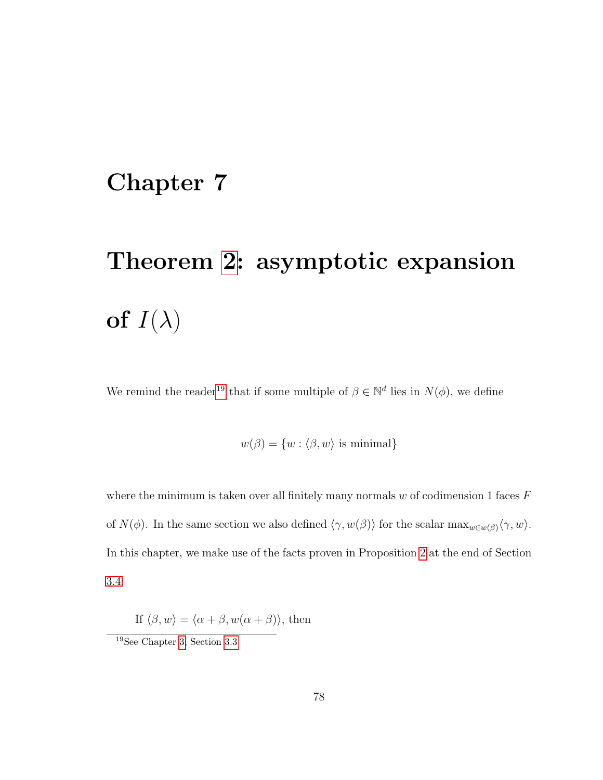## <span id="page-87-0"></span>Chapter 7

# Theorem [2:](#page-24-0) asymptotic expansion of  $I(\lambda)$

We remind the reader<sup>[19](#page-87-1)</sup> that if some multiple of  $\beta \in \mathbb{N}^d$  lies in  $N(\phi)$ , we define

 $w(\beta) = \{w : \langle \beta, w \rangle \text{ is minimal}\}\$ 

where the minimum is taken over all finitely many normals  $w$  of codimension 1 faces  $F$ of  $N(\phi)$ . In the same section we also defined  $\langle \gamma, w(\beta) \rangle$  for the scalar max $w \in W(\beta) \langle \gamma, w \rangle$ . In this chapter, we make use of the facts proven in Proposition [2](#page-41-0) at the end of Section [3.4:](#page-41-1)

If  $\langle \beta, w \rangle = \langle \alpha + \beta, w(\alpha + \beta) \rangle$ , then

<span id="page-87-1"></span><sup>19</sup>See Chapter [3,](#page-26-0) Section [3.3](#page-37-1)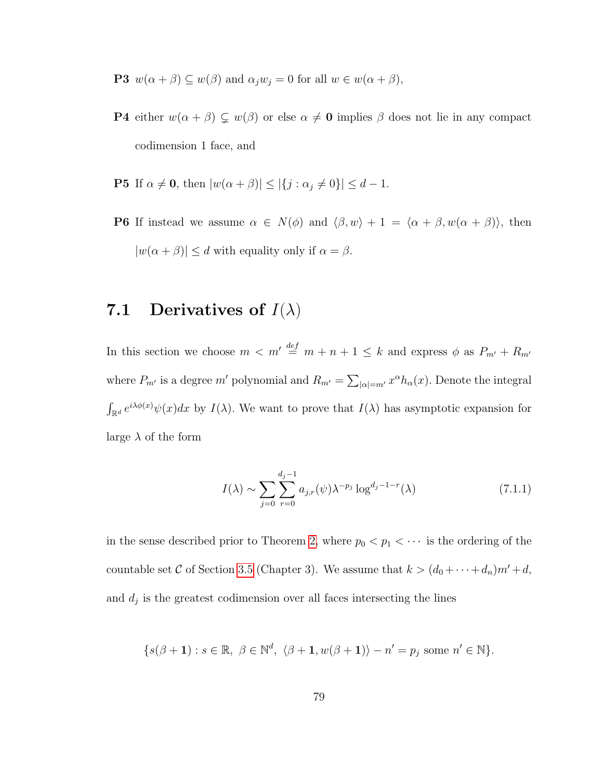**P3**  $w(\alpha + \beta) \subseteq w(\beta)$  and  $\alpha_j w_j = 0$  for all  $w \in w(\alpha + \beta)$ ,

- **P4** either  $w(\alpha + \beta) \subsetneq w(\beta)$  or else  $\alpha \neq \mathbf{0}$  implies  $\beta$  does not lie in any compact codimension 1 face, and
- **P5** If  $\alpha \neq \mathbf{0}$ , then  $|w(\alpha + \beta)| \leq |\{j : \alpha_j \neq 0\}| \leq d 1$ .
- **P6** If instead we assume  $\alpha \in N(\phi)$  and  $\langle \beta, w \rangle + 1 = \langle \alpha + \beta, w(\alpha + \beta) \rangle$ , then  $|w(\alpha + \beta)| \le d$  with equality only if  $\alpha = \beta$ .

## 7.1 Derivatives of  $I(\lambda)$

In this section we choose  $m < m' \stackrel{def}{=} m + n + 1 \leq k$  and express  $\phi$  as  $P_{m'} + R_{m'}$ where  $P_{m'}$  is a degree m' polynomial and  $R_{m'} = \sum_{|\alpha|=m'} x^{\alpha} h_{\alpha}(x)$ . Denote the integral  $\int_{\mathbb{R}^d} e^{i\lambda \phi(x)} \psi(x) dx$  by  $I(\lambda)$ . We want to prove that  $I(\lambda)$  has asymptotic expansion for large  $\lambda$  of the form

<span id="page-88-0"></span>
$$
I(\lambda) \sim \sum_{j=0}^{\infty} \sum_{r=0}^{d_j - 1} a_{j,r}(\psi) \lambda^{-p_j} \log^{d_j - 1 - r}(\lambda)
$$
 (7.1.1)

in the sense described prior to Theorem [2,](#page-24-0) where  $p_0 < p_1 < \cdots$  is the ordering of the countable set C of Section [3.5](#page-43-0) (Chapter 3). We assume that  $k > (d_0 + \cdots + d_n)m' + d$ , and  $d_j$  is the greatest codimension over all faces intersecting the lines

$$
\{s(\beta+1):s\in\mathbb{R},\ \beta\in\mathbb{N}^d,\ \langle\beta+1,w(\beta+1)\rangle-n'=p_j\text{ some }n'\in\mathbb{N}\}.
$$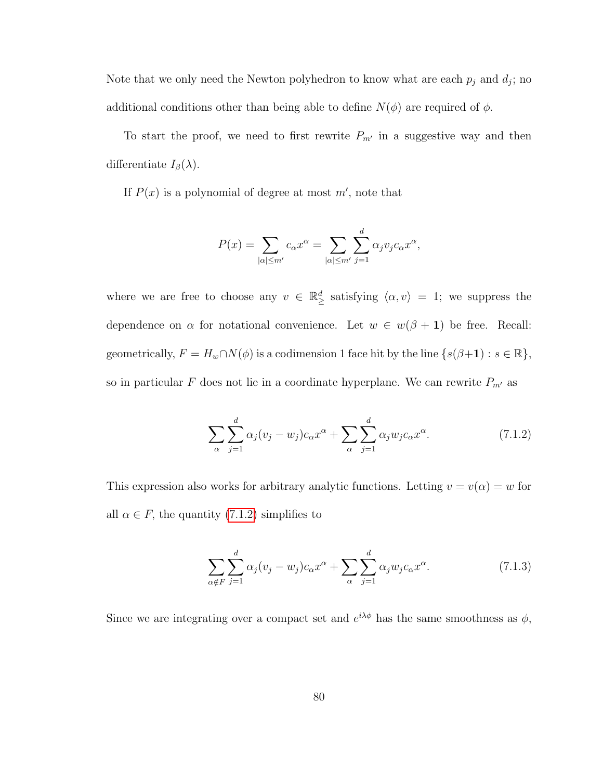Note that we only need the Newton polyhedron to know what are each  $p_j$  and  $d_j$ ; no additional conditions other than being able to define  $N(\phi)$  are required of  $\phi$ .

To start the proof, we need to first rewrite  $P_{m'}$  in a suggestive way and then differentiate  $I_{\beta}(\lambda)$ .

If  $P(x)$  is a polynomial of degree at most  $m'$ , note that

$$
P(x) = \sum_{|\alpha| \leq m'} c_{\alpha} x^{\alpha} = \sum_{|\alpha| \leq m'} \sum_{j=1}^{d} \alpha_j v_j c_{\alpha} x^{\alpha},
$$

where we are free to choose any  $v \in \mathbb{R}^d$  satisfying  $\langle \alpha, v \rangle = 1$ ; we suppress the dependence on  $\alpha$  for notational convenience. Let  $w \in w(\beta + 1)$  be free. Recall: geometrically,  $F = H_w \cap N(\phi)$  is a codimension 1 face hit by the line  $\{s(\beta+1) : s \in \mathbb{R}\},$ so in particular  $F$  does not lie in a coordinate hyperplane. We can rewrite  $P_{m'}$  as

<span id="page-89-0"></span>
$$
\sum_{\alpha} \sum_{j=1}^{d} \alpha_j (v_j - w_j) c_{\alpha} x^{\alpha} + \sum_{\alpha} \sum_{j=1}^{d} \alpha_j w_j c_{\alpha} x^{\alpha}.
$$
 (7.1.2)

This expression also works for arbitrary analytic functions. Letting  $v = v(\alpha) = w$  for all  $\alpha \in F$ , the quantity [\(7.1.2\)](#page-89-0) simplifies to

<span id="page-89-1"></span>
$$
\sum_{\alpha \notin F} \sum_{j=1}^{d} \alpha_j (v_j - w_j) c_\alpha x^\alpha + \sum_{\alpha} \sum_{j=1}^{d} \alpha_j w_j c_\alpha x^\alpha.
$$
 (7.1.3)

Since we are integrating over a compact set and  $e^{i\lambda\phi}$  has the same smoothness as  $\phi$ ,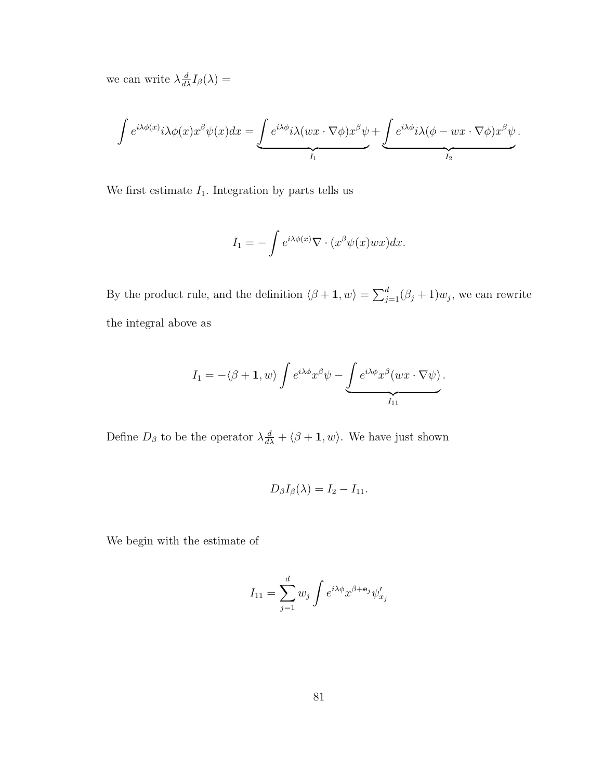we can write  $\lambda \frac{d}{d\lambda} I_{\beta}(\lambda) =$ 

$$
\int e^{i\lambda \phi(x)} i\lambda \phi(x) x^{\beta} \psi(x) dx = \underbrace{\int e^{i\lambda \phi} i\lambda (wx \cdot \nabla \phi) x^{\beta} \psi}_{I_1} + \underbrace{\int e^{i\lambda \phi} i\lambda (\phi - wx \cdot \nabla \phi) x^{\beta} \psi}_{I_2}.
$$

We first estimate  $I_1.$  Integration by parts tells us

$$
I_1 = -\int e^{i\lambda \phi(x)} \nabla \cdot (x^{\beta} \psi(x) wx) dx.
$$

By the product rule, and the definition  $\langle \beta + 1, w \rangle = \sum_{j=1}^d (\beta_j + 1)w_j$ , we can rewrite the integral above as

$$
I_1 = -\langle \beta + 1, w \rangle \int e^{i\lambda \phi} x^{\beta} \psi - \underbrace{\int e^{i\lambda \phi} x^{\beta} (wx \cdot \nabla \psi)}_{I_{11}}.
$$

Define  $D_{\beta}$  to be the operator  $\lambda \frac{d}{d\lambda} + \langle \beta + \mathbf{1}, w \rangle$ . We have just shown

$$
D_{\beta}I_{\beta}(\lambda)=I_2-I_{11}.
$$

We begin with the estimate of

$$
I_{11} = \sum_{j=1}^{d} w_j \int e^{i\lambda \phi} x^{\beta + \mathbf{e}_j} \psi'_{x_j}
$$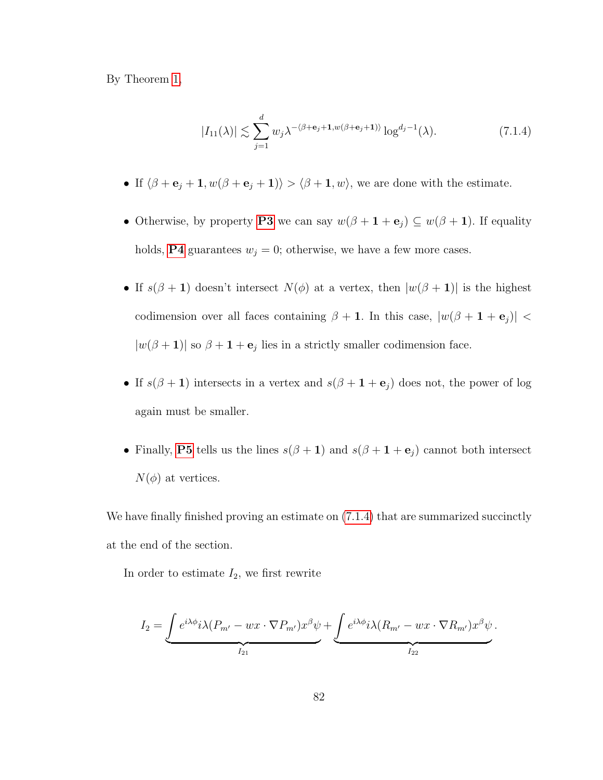By Theorem [1,](#page-23-0)

<span id="page-91-0"></span>
$$
|I_{11}(\lambda)| \lesssim \sum_{j=1}^{d} w_j \lambda^{-\langle \beta + \mathbf{e}_j + \mathbf{1}, w(\beta + \mathbf{e}_j + \mathbf{1}) \rangle} \log^{d_j - 1}(\lambda). \tag{7.1.4}
$$

- If  $\langle \beta + \mathbf{e}_j + \mathbf{1}, w(\beta + \mathbf{e}_j + \mathbf{1}) \rangle > \langle \beta + \mathbf{1}, w \rangle$ , we are done with the estimate.
- Otherwise, by property [P3](#page-41-2) we can say  $w(\beta + 1 + e_j) \subseteq w(\beta + 1)$ . If equality holds, **[P4](#page-41-3)** guarantees  $w_j = 0$ ; otherwise, we have a few more cases.
- If  $s(\beta + 1)$  doesn't intersect  $N(\phi)$  at a vertex, then  $|w(\beta + 1)|$  is the highest codimension over all faces containing  $\beta + 1$ . In this case,  $|w(\beta + 1 + e_j)|$  <  $|w(\beta+1)|$  so  $\beta+1+e_j$  lies in a strictly smaller codimension face.
- If  $s(\beta + 1)$  intersects in a vertex and  $s(\beta + 1 + e_j)$  does not, the power of log again must be smaller.
- Finally, [P5](#page-41-4) tells us the lines  $s(\beta + 1)$  and  $s(\beta + 1 + e_j)$  cannot both intersect  $N(\phi)$  at vertices.

We have finally finished proving an estimate on  $(7.1.4)$  that are summarized succinctly at the end of the section.

In order to estimate  $I_2$ , we first rewrite

$$
I_2 = \underbrace{\int e^{i\lambda\phi} i\lambda (P_{m'} - wx \cdot \nabla P_{m'}) x^{\beta} \psi}_{I_{21}} + \underbrace{\int e^{i\lambda\phi} i\lambda (R_{m'} - wx \cdot \nabla R_{m'}) x^{\beta} \psi}_{I_{22}}.
$$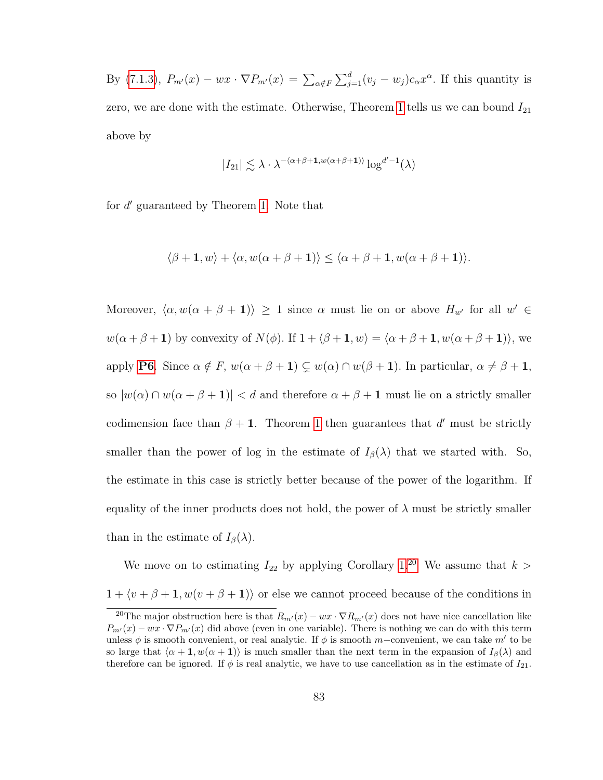By [\(7.1.3\)](#page-89-1),  $P_{m'}(x) - wx \cdot \nabla P_{m'}(x) = \sum_{\alpha \notin F} \sum_{j=1}^d (v_j - w_j) c_\alpha x^\alpha$ . If this quantity is zero, we are done with the estimate. Otherwise, Theorem [1](#page-23-0) tells us we can bound  $I_{21}$ above by

$$
|I_{21}| \lesssim \lambda \cdot \lambda^{-(\alpha+\beta+1, w(\alpha+\beta+1))} \log^{d'-1}(\lambda)
$$

for d' guaranteed by Theorem [1.](#page-23-0) Note that

$$
\langle \beta + 1, w \rangle + \langle \alpha, w(\alpha + \beta + 1) \rangle \le \langle \alpha + \beta + 1, w(\alpha + \beta + 1) \rangle.
$$

Moreover,  $\langle \alpha, w(\alpha + \beta + 1) \rangle \ge 1$  since  $\alpha$  must lie on or above  $H_{w'}$  for all  $w' \in$  $w(\alpha + \beta + 1)$  by convexity of  $N(\phi)$ . If  $1 + \langle \beta + 1, w \rangle = \langle \alpha + \beta + 1, w(\alpha + \beta + 1) \rangle$ , we apply **[P6](#page-41-0)**. Since  $\alpha \notin F$ ,  $w(\alpha + \beta + 1) \subsetneq w(\alpha) \cap w(\beta + 1)$ . In particular,  $\alpha \neq \beta + 1$ , so  $|w(\alpha) \cap w(\alpha + \beta + 1)| < d$  and therefore  $\alpha + \beta + 1$  must lie on a strictly smaller codimension face than  $\beta + 1$  $\beta + 1$ . Theorem 1 then guarantees that d' must be strictly smaller than the power of log in the estimate of  $I_\beta(\lambda)$  that we started with. So, the estimate in this case is strictly better because of the power of the logarithm. If equality of the inner products does not hold, the power of  $\lambda$  must be strictly smaller than in the estimate of  $I_\beta(\lambda)$ .

We move on to estimating  $I_{22}$  by applying Corollary [1.](#page-86-0)<sup>[20](#page-92-0)</sup> We assume that  $k >$  $1 + \langle v + \beta + 1, w(v + \beta + 1) \rangle$  or else we cannot proceed because of the conditions in

<span id="page-92-0"></span><sup>&</sup>lt;sup>20</sup>The major obstruction here is that  $R_{m'}(x) - wx \cdot \nabla R_{m'}(x)$  does not have nice cancellation like  $P_{m'}(x) - wx \cdot \nabla P_{m'}(x)$  did above (even in one variable). There is nothing we can do with this term unless  $\phi$  is smooth convenient, or real analytic. If  $\phi$  is smooth m–convenient, we can take m' to be so large that  $\langle \alpha + 1, w(\alpha + 1) \rangle$  is much smaller than the next term in the expansion of  $I_\beta(\lambda)$  and therefore can be ignored. If  $\phi$  is real analytic, we have to use cancellation as in the estimate of  $I_{21}$ .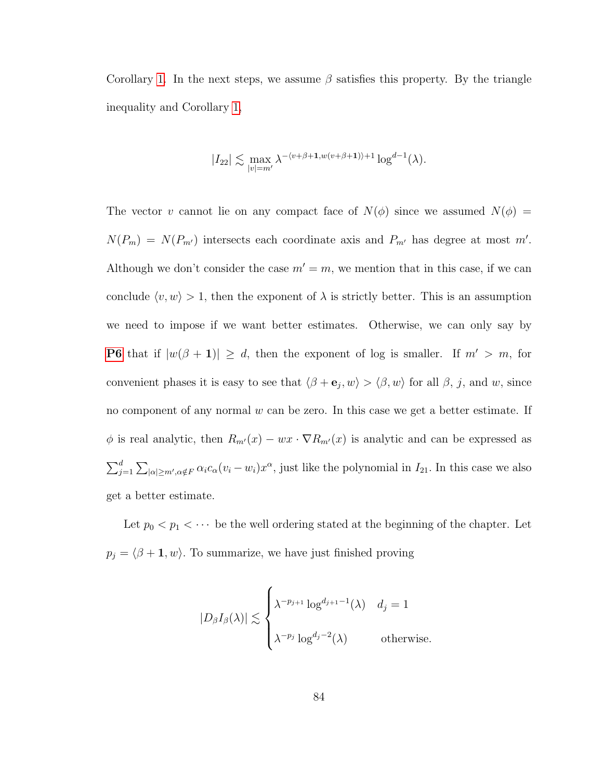Corollary [1.](#page-86-0) In the next steps, we assume  $\beta$  satisfies this property. By the triangle inequality and Corollary [1,](#page-86-0)

$$
|I_{22}| \lesssim \max_{|v|=m'} \lambda^{-(v+\beta+1,w(v+\beta+1))+1} \log^{d-1}(\lambda).
$$

The vector v cannot lie on any compact face of  $N(\phi)$  since we assumed  $N(\phi)$  =  $N(P_m) = N(P_{m'})$  intersects each coordinate axis and  $P_{m'}$  has degree at most m'. Although we don't consider the case  $m' = m$ , we mention that in this case, if we can conclude  $\langle v, w \rangle > 1$ , then the exponent of  $\lambda$  is strictly better. This is an assumption we need to impose if we want better estimates. Otherwise, we can only say by **[P6](#page-41-0)** that if  $|w(\beta + 1)| \geq d$ , then the exponent of log is smaller. If  $m' > m$ , for convenient phases it is easy to see that  $\langle \beta + \mathbf{e}_j, w \rangle > \langle \beta, w \rangle$  for all  $\beta$ , j, and w, since no component of any normal  $w$  can be zero. In this case we get a better estimate. If  $\phi$  is real analytic, then  $R_{m'}(x) - wx \cdot \nabla R_{m'}(x)$  is analytic and can be expressed as  $\sum_{j=1}^d \sum_{|\alpha| \ge m', \alpha \notin F} \alpha_i c_\alpha (v_i - w_i) x^\alpha$ , just like the polynomial in  $I_{21}$ . In this case we also get a better estimate.

Let  $p_0 < p_1 < \cdots$  be the well ordering stated at the beginning of the chapter. Let  $p_j = \langle \beta + \mathbf{1}, w \rangle$ . To summarize, we have just finished proving

$$
|D_{\beta}I_{\beta}(\lambda)| \lesssim \begin{cases} \lambda^{-p_{j+1}} \log^{d_{j+1}-1}(\lambda) & d_j = 1 \\ \lambda^{-p_j} \log^{d_j-2}(\lambda) & \text{otherwise.} \end{cases}
$$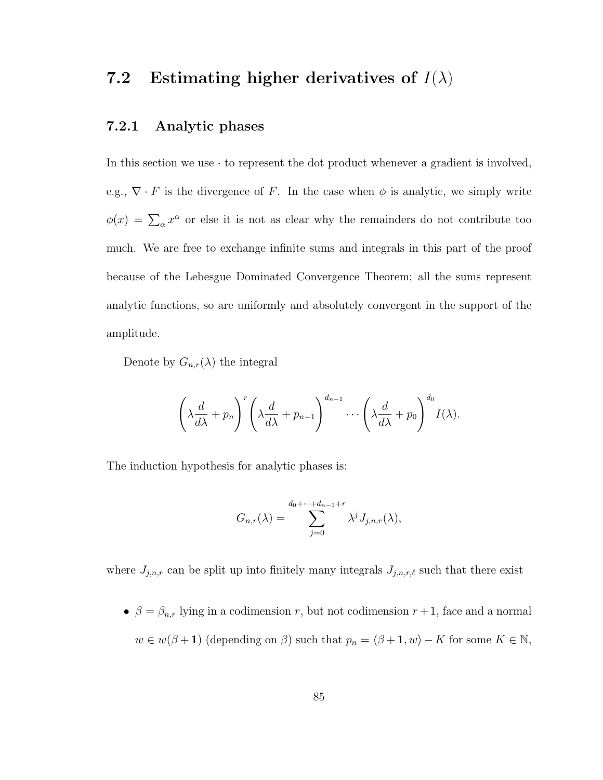## 7.2 Estimating higher derivatives of  $I(\lambda)$

#### 7.2.1 Analytic phases

In this section we use  $\cdot$  to represent the dot product whenever a gradient is involved, e.g.,  $\nabla \cdot F$  is the divergence of F. In the case when  $\phi$  is analytic, we simply write  $\phi(x) = \sum_{\alpha} x^{\alpha}$  or else it is not as clear why the remainders do not contribute too much. We are free to exchange infinite sums and integrals in this part of the proof because of the Lebesgue Dominated Convergence Theorem; all the sums represent analytic functions, so are uniformly and absolutely convergent in the support of the amplitude.

Denote by  $G_{n,r}(\lambda)$  the integral

$$
\left(\lambda \frac{d}{d\lambda} + p_n\right)^r \left(\lambda \frac{d}{d\lambda} + p_{n-1}\right)^{d_{n-1}} \cdots \left(\lambda \frac{d}{d\lambda} + p_0\right)^{d_0} I(\lambda).
$$

The induction hypothesis for analytic phases is:

$$
G_{n,r}(\lambda) = \sum_{j=0}^{d_0+\cdots+d_{n-1}+r} \lambda^j J_{j,n,r}(\lambda),
$$

where  $J_{j,n,r}$  can be split up into finitely many integrals  $J_{j,n,r,\ell}$  such that there exist

•  $\beta = \beta_{n,r}$  lying in a codimension r, but not codimension  $r + 1$ , face and a normal  $w \in w(\beta + 1)$  (depending on  $\beta$ ) such that  $p_n = \langle \beta + 1, w \rangle - K$  for some  $K \in \mathbb{N}$ ,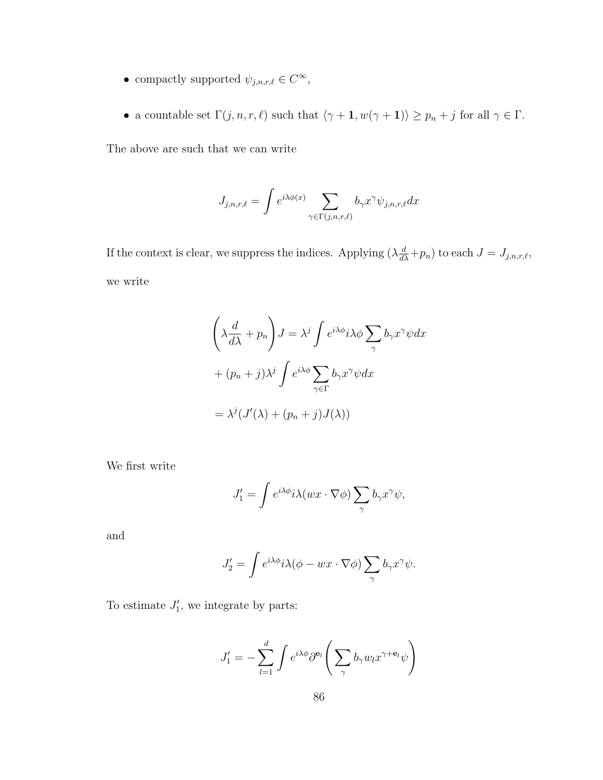- compactly supported  $\psi_{j,n,r,\ell} \in C^{\infty}$ ,
- a countable set  $\Gamma(j, n, r, \ell)$  such that  $\langle \gamma + \mathbf{1}, w(\gamma + \mathbf{1}) \rangle \ge p_n + j$  for all  $\gamma \in \Gamma$ .

The above are such that we can write

$$
J_{j,n,r,\ell} = \int e^{i\lambda \phi(x)} \sum_{\gamma \in \Gamma(j,n,r,\ell)} b_{\gamma} x^{\gamma} \psi_{j,n,r,\ell} dx
$$

If the context is clear, we suppress the indices. Applying  $(\lambda \frac{d}{d\lambda} + p_n)$  to each  $J = J_{j,n,r,\ell}$ , we write

$$
\left(\lambda \frac{d}{d\lambda} + p_n\right) J = \lambda^j \int e^{i\lambda \phi} i\lambda \phi \sum_{\gamma} b_{\gamma} x^{\gamma} \psi dx
$$

$$
+ (p_n + j) \lambda^j \int e^{i\lambda \phi} \sum_{\gamma \in \Gamma} b_{\gamma} x^{\gamma} \psi dx
$$

$$
= \lambda^j (J'(\lambda) + (p_n + j) J(\lambda))
$$

We first write

$$
J_1' = \int e^{i\lambda \phi} i\lambda (wx \cdot \nabla \phi) \sum_{\gamma} b_{\gamma} x^{\gamma} \psi,
$$

and

$$
J_2' = \int e^{i\lambda \phi} i\lambda (\phi - wx \cdot \nabla \phi) \sum_{\gamma} b_{\gamma} x^{\gamma} \psi.
$$

To estimate  $J_1'$ , we integrate by parts:

$$
J_1' = -\sum_{l=1}^d \int e^{i\lambda \phi} \partial^{\mathbf{e}_l} \Bigg( \sum_{\gamma} b_{\gamma} w_l x^{\gamma + \mathbf{e}_l} \psi \Bigg)
$$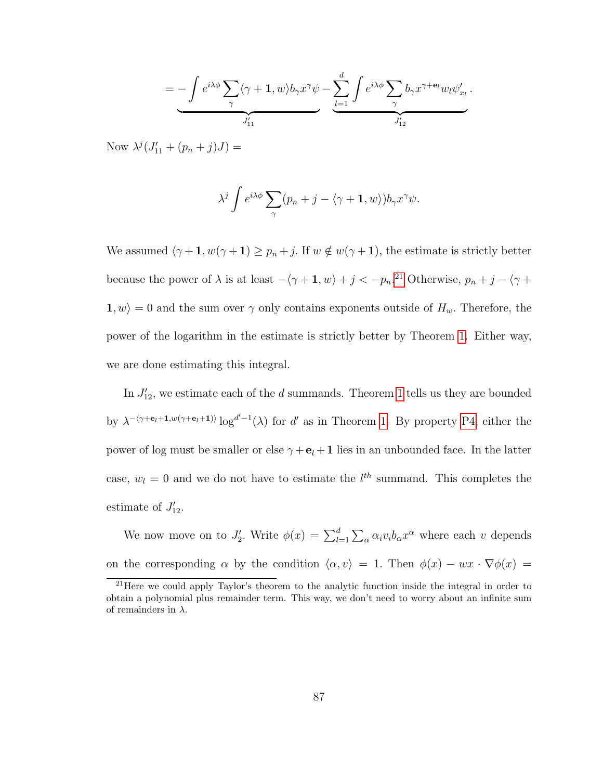$$
= - \int e^{i\lambda \phi} \sum_{\gamma} \langle \gamma + 1, w \rangle b_{\gamma} x^{\gamma} \psi - \underbrace{\sum_{l=1}^{d} \int e^{i\lambda \phi} \sum_{\gamma} b_{\gamma} x^{\gamma + \mathbf{e}_l} w_l \psi'_{x_l}}_{J'_{12}}.
$$

Now  $\lambda^{j}(J'_{11} + (p_{n} + j)J) =$ 

$$
\lambda^j \int e^{i\lambda \phi} \sum_{\gamma} (p_n + j - \langle \gamma + \mathbf{1}, w \rangle) b_{\gamma} x^{\gamma} \psi.
$$

We assumed  $\langle \gamma + \mathbf{1}, w(\gamma + \mathbf{1}) \ge p_n + j$ . If  $w \notin w(\gamma + \mathbf{1})$ , the estimate is strictly better because the power of  $\lambda$  is at least  $-\langle \gamma + 1, w \rangle + j < -p_n$ .<sup>[21](#page-96-0)</sup> Otherwise,  $p_n + j - \langle \gamma +$  $1, w \rangle = 0$  and the sum over  $\gamma$  only contains exponents outside of  $H_w$ . Therefore, the power of the logarithm in the estimate is strictly better by Theorem [1.](#page-23-0) Either way, we are done estimating this integral.

In  $J'_{12}$ , we estimate each of the d summands. Theorem [1](#page-23-0) tells us they are bounded by  $\lambda^{-(\gamma+e_l+1,w(\gamma+e_l+1))} \log^{d'-1}(\lambda)$  for d' as in Theorem [1.](#page-23-0) By property [P4,](#page-41-3) either the power of log must be smaller or else  $\gamma + e_l + 1$  lies in an unbounded face. In the latter case,  $w_l = 0$  and we do not have to estimate the  $l^{th}$  summand. This completes the estimate of  $J'_{12}$ .

We now move on to  $J'_2$ . Write  $\phi(x) = \sum_{l=1}^d \sum_{\alpha} \alpha_i v_i b_\alpha x^\alpha$  where each v depends on the corresponding  $\alpha$  by the condition  $\langle \alpha, v \rangle = 1$ . Then  $\phi(x) - wx \cdot \nabla \phi(x) =$ 

<span id="page-96-0"></span><sup>&</sup>lt;sup>21</sup> Here we could apply Taylor's theorem to the analytic function inside the integral in order to obtain a polynomial plus remainder term. This way, we don't need to worry about an infinite sum of remainders in  $\lambda$ .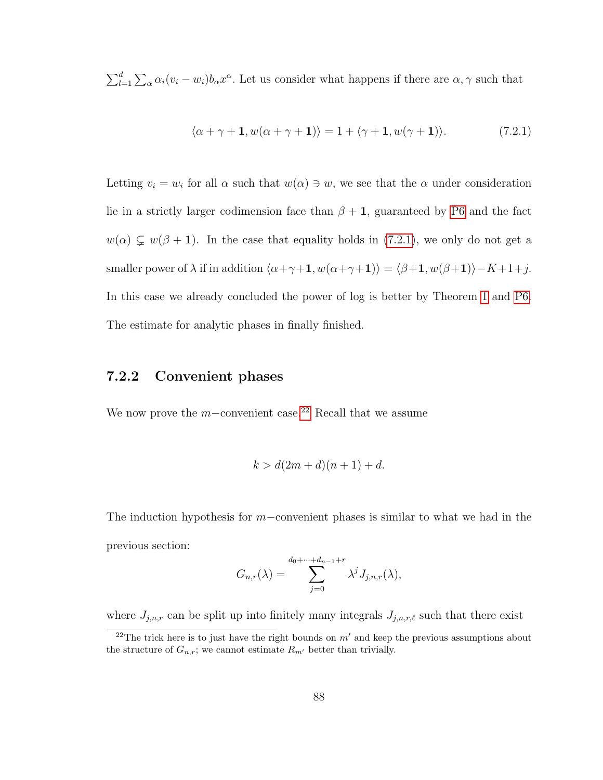$\sum_{l=1}^d \sum_{\alpha} \alpha_i (v_i - w_i) b_{\alpha} x^{\alpha}$ . Let us consider what happens if there are  $\alpha, \gamma$  such that

<span id="page-97-0"></span>
$$
\langle \alpha + \gamma + \mathbf{1}, w(\alpha + \gamma + \mathbf{1}) \rangle = 1 + \langle \gamma + \mathbf{1}, w(\gamma + \mathbf{1}) \rangle. \tag{7.2.1}
$$

Letting  $v_i = w_i$  for all  $\alpha$  such that  $w(\alpha) \ni w$ , we see that the  $\alpha$  under consideration lie in a strictly larger codimension face than  $\beta + 1$ , guaranteed by [P6](#page-41-0) and the fact  $w(\alpha) \subsetneq w(\beta + 1)$ . In the case that equality holds in [\(7.2.1\)](#page-97-0), we only do not get a smaller power of  $\lambda$  if in addition  $\langle \alpha+\gamma+1, w(\alpha+\gamma+1)\rangle = \langle \beta+1, w(\beta+1)\rangle - K + 1 + j$ . In this case we already concluded the power of log is better by Theorem [1](#page-23-0) and [P6.](#page-41-0) The estimate for analytic phases in finally finished.

#### 7.2.2 Convenient phases

We now prove the m−convenient case.<sup>[22](#page-97-1)</sup> Recall that we assume

$$
k > d(2m+d)(n+1) + d.
$$

The induction hypothesis for m–convenient phases is similar to what we had in the previous section:

$$
G_{n,r}(\lambda) = \sum_{j=0}^{d_0+\cdots+d_{n-1}+r} \lambda^j J_{j,n,r}(\lambda),
$$

where  $J_{j,n,r}$  can be split up into finitely many integrals  $J_{j,n,r,\ell}$  such that there exist

<span id="page-97-1"></span><sup>&</sup>lt;sup>22</sup>The trick here is to just have the right bounds on  $m'$  and keep the previous assumptions about the structure of  $G_{n,r}$ ; we cannot estimate  $R_{m'}$  better than trivially.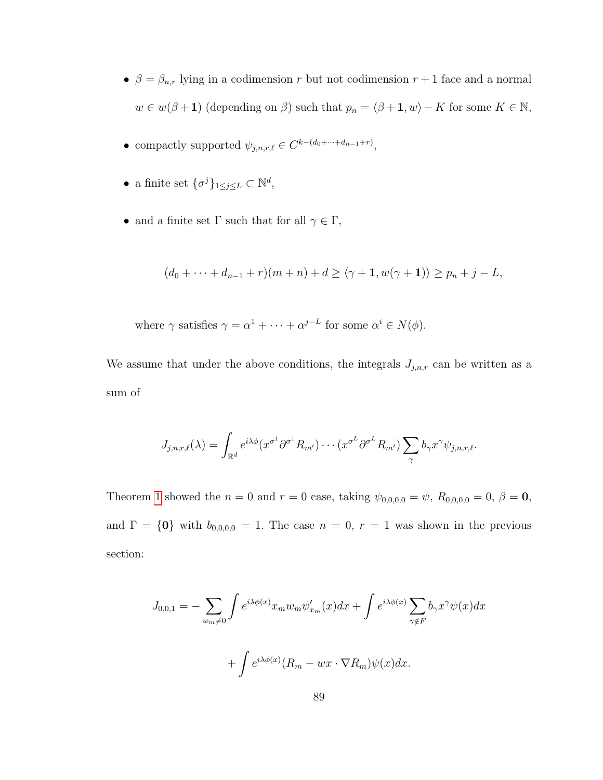- $\beta = \beta_{n,r}$  lying in a codimension r but not codimension  $r + 1$  face and a normal  $w \in w(\beta + 1)$  (depending on  $\beta$ ) such that  $p_n = \langle \beta + 1, w \rangle - K$  for some  $K \in \mathbb{N}$ ,
- compactly supported  $\psi_{j,n,r,\ell} \in C^{k-(d_0+\cdots+d_{n-1}+r)},$
- a finite set  $\{\sigma^j\}_{1\leq j\leq L}\subset \mathbb{N}^d$ ,
- and a finite set  $\Gamma$  such that for all  $\gamma \in \Gamma$ ,

$$
(d_0+\cdots+d_{n-1}+r)(m+n)+d\geq \langle \gamma+1,w(\gamma+1)\rangle\geq p_n+j-L,
$$

where  $\gamma$  satisfies  $\gamma = \alpha^1 + \cdots + \alpha^{j-L}$  for some  $\alpha^i \in N(\phi)$ .

We assume that under the above conditions, the integrals  $J_{j,n,r}$  can be written as a sum of

$$
J_{j,n,r,\ell}(\lambda) = \int_{\mathbb{R}^d} e^{i\lambda \phi} (x^{\sigma^1} \partial^{\sigma^1} R_{m'}) \cdots (x^{\sigma^L} \partial^{\sigma^L} R_{m'}) \sum_{\gamma} b_{\gamma} x^{\gamma} \psi_{j,n,r,\ell}.
$$

Theorem [1](#page-23-0) showed the  $n = 0$  and  $r = 0$  case, taking  $\psi_{0,0,0,0} = \psi$ ,  $R_{0,0,0,0} = 0$ ,  $\beta = 0$ , and  $\Gamma = \{0\}$  with  $b_{0,0,0,0} = 1$ . The case  $n = 0, r = 1$  was shown in the previous section:

$$
J_{0,0,1} = -\sum_{w_m \neq 0} \int e^{i\lambda \phi(x)} x_m w_m \psi'_{x_m}(x) dx + \int e^{i\lambda \phi(x)} \sum_{\gamma \notin F} b_{\gamma} x^{\gamma} \psi(x) dx
$$

$$
+ \int e^{i\lambda \phi(x)} (R_m - wx \cdot \nabla R_m) \psi(x) dx.
$$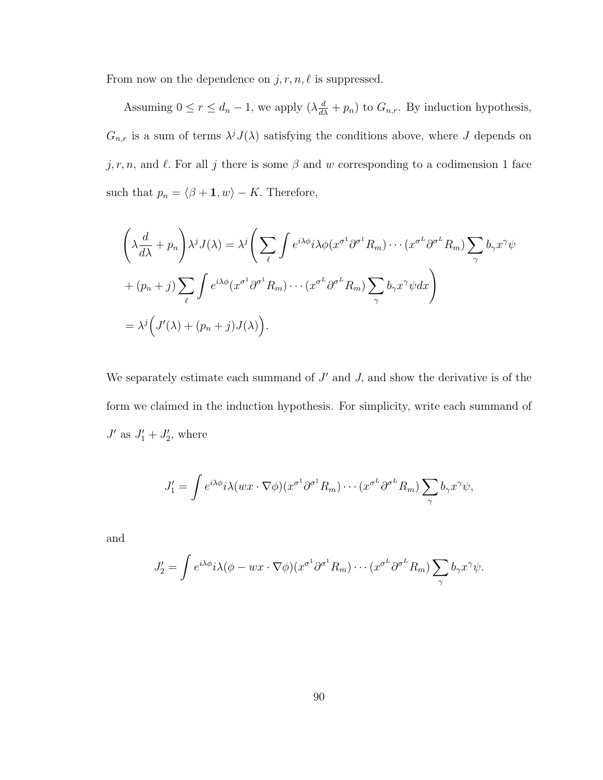From now on the dependence on  $j, r, n, \ell$  is suppressed.

Assuming  $0 \le r \le d_n - 1$ , we apply  $(\lambda \frac{d}{d\lambda} + p_n)$  to  $G_{n,r}$ . By induction hypothesis,  $G_{n,r}$  is a sum of terms  $\lambda^{j} J(\lambda)$  satisfying the conditions above, where J depends on  $j, r, n$ , and  $\ell$ . For all j there is some  $\beta$  and w corresponding to a codimension 1 face such that  $p_n = \langle \beta + 1, w \rangle - K$ . Therefore,

$$
\left(\lambda \frac{d}{d\lambda} + p_n\right) \lambda^j J(\lambda) = \lambda^j \left(\sum_{\ell} \int e^{i\lambda \phi} i\lambda \phi(x^{\sigma^1} \partial^{\sigma^1} R_m) \cdots (x^{\sigma^L} \partial^{\sigma^L} R_m) \sum_{\gamma} b_{\gamma} x^{\gamma} \psi \right)
$$

$$
+ (p_n + j) \sum_{\ell} \int e^{i\lambda \phi} (x^{\sigma^1} \partial^{\sigma^1} R_m) \cdots (x^{\sigma^L} \partial^{\sigma^L} R_m) \sum_{\gamma} b_{\gamma} x^{\gamma} \psi dx \right)
$$

$$
= \lambda^j \left(J'(\lambda) + (p_n + j)J(\lambda)\right).
$$

We separately estimate each summand of  $J'$  and  $J$ , and show the derivative is of the form we claimed in the induction hypothesis. For simplicity, write each summand of  $J'$  as  $J'_1 + J'_2$ , where

$$
J_1' = \int e^{i\lambda \phi} i\lambda (wx \cdot \nabla \phi) (x^{\sigma^1} \partial^{\sigma^1} R_m) \cdots (x^{\sigma^L} \partial^{\sigma^L} R_m) \sum_{\gamma} b_{\gamma} x^{\gamma} \psi,
$$

and

$$
J_2' = \int e^{i\lambda \phi} i\lambda (\phi - wx \cdot \nabla \phi)(x^{\sigma^1} \partial^{\sigma^1} R_m) \cdots (x^{\sigma^L} \partial^{\sigma^L} R_m) \sum_{\gamma} b_{\gamma} x^{\gamma} \psi.
$$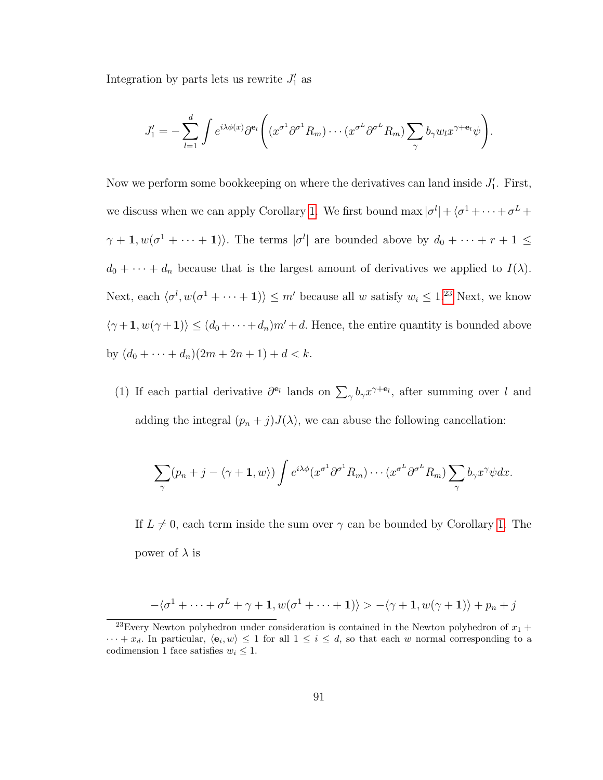Integration by parts lets us rewrite  $J'_1$  as

$$
J_1' = -\sum_{l=1}^d \int e^{i\lambda \phi(x)} \partial^{\mathbf{e}_l} \left( (x^{\sigma^1} \partial^{\sigma^1} R_m) \cdots (x^{\sigma^L} \partial^{\sigma^L} R_m) \sum_{\gamma} b_{\gamma} w_l x^{\gamma + \mathbf{e}_l} \psi \right).
$$

Now we perform some bookkeeping on where the derivatives can land inside  $J'_1$ . First, we discuss when we can apply Corollary [1.](#page-86-0) We first bound max  $|\sigma^l| + \langle \sigma^1 + \cdots + \sigma^L +$  $\gamma+1, w(\sigma^{1}+\cdots+1)$ . The terms  $|\sigma^{l}|$  are bounded above by  $d_{0}+\cdots+r+1 \leq$  $d_0 + \cdots + d_n$  because that is the largest amount of derivatives we applied to  $I(\lambda)$ . Next, each  $\langle \sigma^l, w(\sigma^1 + \cdots + 1) \rangle \leq m'$  because all w satisfy  $w_i \leq 1^{23}$  $w_i \leq 1^{23}$  $w_i \leq 1^{23}$  Next, we know  $\langle \gamma +1, w(\gamma +1)\rangle \leq (d_0 + \cdots + d_n)m' + d$ . Hence, the entire quantity is bounded above by  $(d_0 + \cdots + d_n)(2m + 2n + 1) + d < k$ .

(1) If each partial derivative  $\partial^{e_l}$  lands on  $\sum_{\gamma} b_{\gamma} x^{\gamma+e_l}$ , after summing over l and adding the integral  $(p_n + j)J(\lambda)$ , we can abuse the following cancellation:

$$
\sum_{\gamma} (p_n + j - \langle \gamma + \mathbf{1}, w \rangle) \int e^{i\lambda \phi} (x^{\sigma^1} \partial^{\sigma^1} R_m) \cdots (x^{\sigma^L} \partial^{\sigma^L} R_m) \sum_{\gamma} b_{\gamma} x^{\gamma} \psi dx.
$$

If  $L \neq 0$ , each term inside the sum over  $\gamma$  can be bounded by Corollary [1.](#page-86-0) The power of  $\lambda$  is

$$
-\langle \sigma^1 + \cdots + \sigma^L + \gamma + \mathbf{1}, w(\sigma^1 + \cdots + \mathbf{1}) \rangle > -\langle \gamma + \mathbf{1}, w(\gamma + \mathbf{1}) \rangle + p_n + j
$$

<span id="page-100-0"></span><sup>&</sup>lt;sup>23</sup>Every Newton polyhedron under consideration is contained in the Newton polyhedron of  $x_1 +$  $\cdots + x_d$ . In particular,  $\langle e_i, w \rangle \leq 1$  for all  $1 \leq i \leq d$ , so that each w normal corresponding to a codimension 1 face satisfies  $w_i \leq 1$ .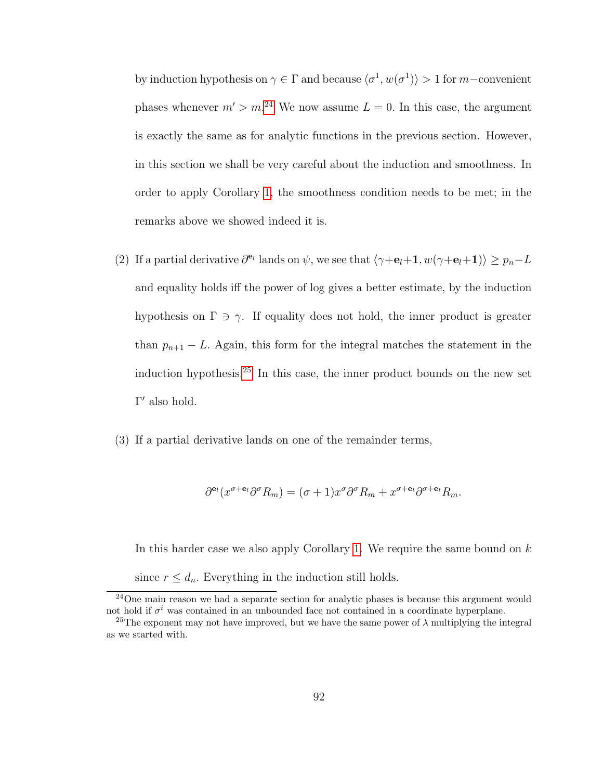by induction hypothesis on  $\gamma \in \Gamma$  and because  $\langle \sigma^1, w(\sigma^1) \rangle > 1$  for m-convenient phases whenever  $m' > m^{24}$  $m' > m^{24}$  $m' > m^{24}$  We now assume  $L = 0$ . In this case, the argument is exactly the same as for analytic functions in the previous section. However, in this section we shall be very careful about the induction and smoothness. In order to apply Corollary [1,](#page-86-0) the smoothness condition needs to be met; in the remarks above we showed indeed it is.

- (2) If a partial derivative  $\partial^{\mathbf{e}_l}$  lands on  $\psi$ , we see that  $\langle \gamma + \mathbf{e}_l + \mathbf{1}, w(\gamma + \mathbf{e}_l + \mathbf{1}) \rangle \geq p_n L$ and equality holds iff the power of log gives a better estimate, by the induction hypothesis on  $\Gamma \ni \gamma$ . If equality does not hold, the inner product is greater than  $p_{n+1} - L$ . Again, this form for the integral matches the statement in the induction hypothesis.<sup>[25](#page-101-1)</sup> In this case, the inner product bounds on the new set  $\Gamma'$  also hold.
- (3) If a partial derivative lands on one of the remainder terms,

$$
\partial^{\mathbf{e}_l}(x^{\sigma+\mathbf{e}_l}\partial^{\sigma}R_m)=(\sigma+1)x^{\sigma}\partial^{\sigma}R_m+x^{\sigma+\mathbf{e}_l}\partial^{\sigma+\mathbf{e}_l}R_m.
$$

In this harder case we also apply Corollary [1.](#page-86-0) We require the same bound on  $k$ since  $r \leq d_n$ . Everything in the induction still holds.

<span id="page-101-0"></span> $24$ One main reason we had a separate section for analytic phases is because this argument would not hold if  $\sigma^i$  was contained in an unbounded face not contained in a coordinate hyperplane.

<span id="page-101-1"></span><sup>&</sup>lt;sup>25</sup>The exponent may not have improved, but we have the same power of  $\lambda$  multiplying the integral as we started with.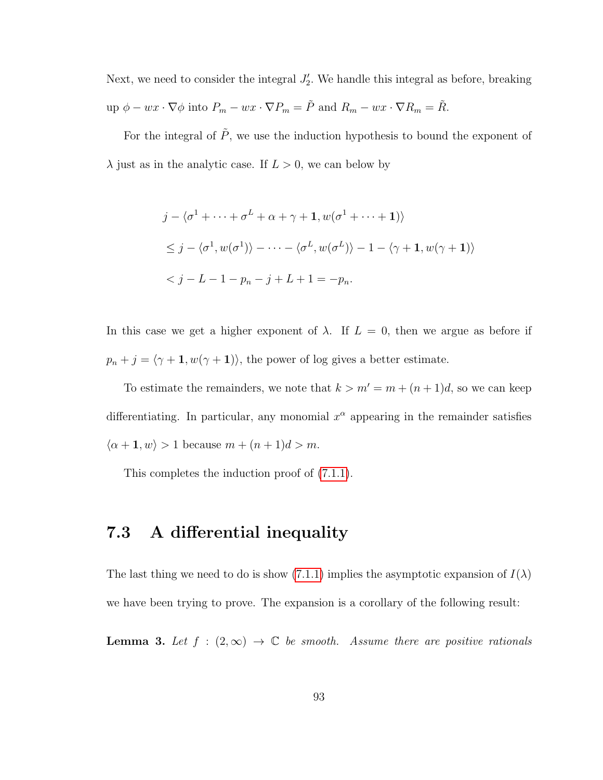Next, we need to consider the integral  $J'_2$ . We handle this integral as before, breaking up  $\phi - wx \cdot \nabla \phi$  into  $P_m - wx \cdot \nabla P_m = \tilde{P}$  and  $R_m - wx \cdot \nabla R_m = \tilde{R}$ .

For the integral of  $\tilde{P}$ , we use the induction hypothesis to bound the exponent of  $\lambda$  just as in the analytic case. If  $L > 0$ , we can below by

$$
j - \langle \sigma^1 + \dots + \sigma^L + \alpha + \gamma + \mathbf{1}, w(\sigma^1 + \dots + \mathbf{1}) \rangle
$$
  
\n
$$
\leq j - \langle \sigma^1, w(\sigma^1) \rangle - \dots - \langle \sigma^L, w(\sigma^L) \rangle - 1 - \langle \gamma + \mathbf{1}, w(\gamma + \mathbf{1}) \rangle
$$
  
\n
$$
< j - L - 1 - p_n - j + L + 1 = -p_n.
$$

In this case we get a higher exponent of  $\lambda$ . If  $L = 0$ , then we argue as before if  $p_n + j = \langle \gamma + \mathbf{1}, w(\gamma + \mathbf{1}) \rangle$ , the power of log gives a better estimate.

To estimate the remainders, we note that  $k > m' = m + (n + 1)d$ , so we can keep differentiating. In particular, any monomial  $x^{\alpha}$  appearing in the remainder satisfies  $\langle \alpha + 1, w \rangle > 1$  because  $m + (n + 1)d > m$ .

This completes the induction proof of [\(7.1.1\)](#page-88-0).

## 7.3 A differential inequality

The last thing we need to do is show [\(7.1.1\)](#page-88-0) implies the asymptotic expansion of  $I(\lambda)$ we have been trying to prove. The expansion is a corollary of the following result:

**Lemma 3.** Let  $f : (2, \infty) \to \mathbb{C}$  be smooth. Assume there are positive rationals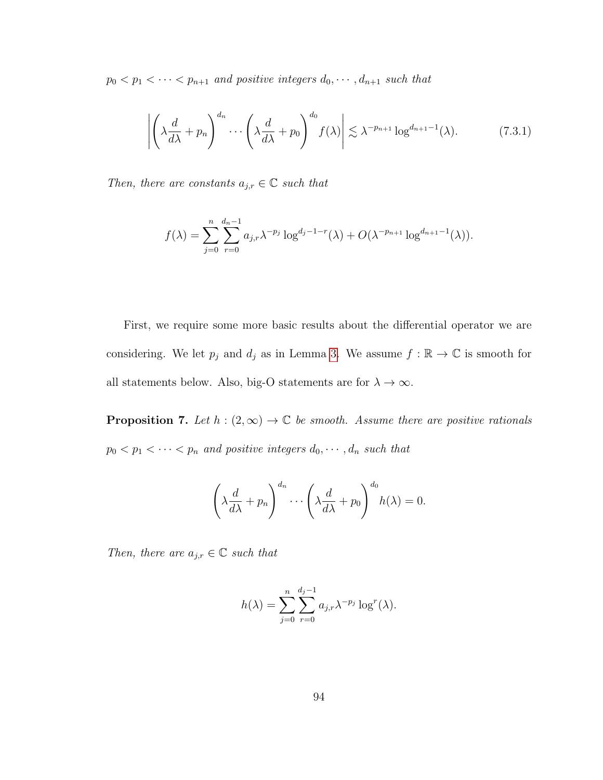$p_0 < p_1 < \cdots < p_{n+1}$  and positive integers  $d_0, \cdots, d_{n+1}$  such that

<span id="page-103-0"></span>
$$
\left| \left( \lambda \frac{d}{d\lambda} + p_n \right)^{d_n} \cdots \left( \lambda \frac{d}{d\lambda} + p_0 \right)^{d_0} f(\lambda) \right| \lesssim \lambda^{-p_{n+1}} \log^{d_{n+1}-1}(\lambda). \tag{7.3.1}
$$

Then, there are constants  $a_{j,r} \in \mathbb{C}$  such that

$$
f(\lambda) = \sum_{j=0}^{n} \sum_{r=0}^{d_n-1} a_{j,r} \lambda^{-p_j} \log^{d_j-1-r}(\lambda) + O(\lambda^{-p_{n+1}} \log^{d_{n+1}-1}(\lambda)).
$$

First, we require some more basic results about the differential operator we are considering. We let  $p_j$  and  $d_j$  as in Lemma [3.](#page-103-0) We assume  $f : \mathbb{R} \to \mathbb{C}$  is smooth for all statements below. Also, big-O statements are for  $\lambda \to \infty$ .

<span id="page-103-1"></span>**Proposition 7.** Let  $h : (2, \infty) \to \mathbb{C}$  be smooth. Assume there are positive rationals  $p_0 < p_1 < \cdots < p_n$  and positive integers  $d_0, \cdots, d_n$  such that

$$
\left(\lambda \frac{d}{d\lambda} + p_n\right)^{d_n} \cdots \left(\lambda \frac{d}{d\lambda} + p_0\right)^{d_0} h(\lambda) = 0.
$$

Then, there are  $a_{j,r} \in \mathbb{C}$  such that

$$
h(\lambda) = \sum_{j=0}^{n} \sum_{r=0}^{d_j - 1} a_{j,r} \lambda^{-p_j} \log^{r}(\lambda).
$$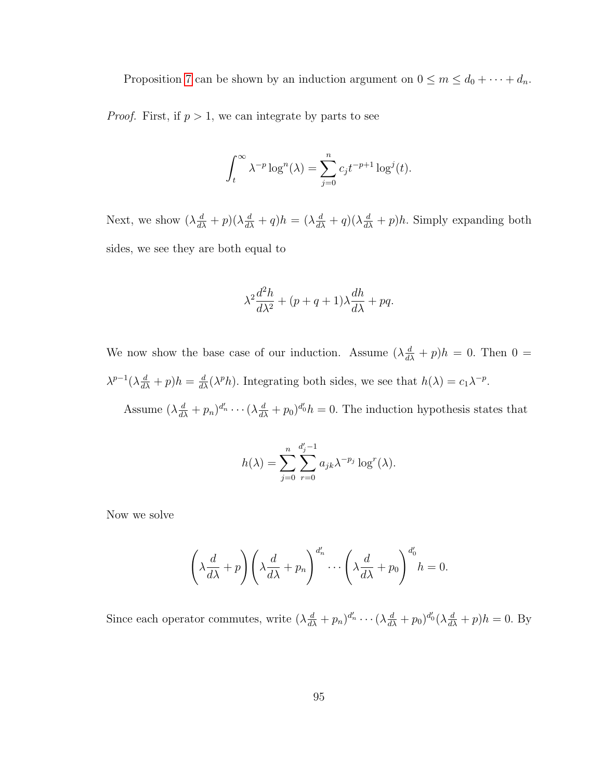Proposition [7](#page-103-1) can be shown by an induction argument on  $0 \le m \le d_0 + \cdots + d_n$ .

*Proof.* First, if  $p > 1$ , we can integrate by parts to see

$$
\int_t^{\infty} \lambda^{-p} \log^n(\lambda) = \sum_{j=0}^n c_j t^{-p+1} \log^j(t).
$$

Next, we show  $(\lambda \frac{d}{d\lambda} + p)(\lambda \frac{d}{d\lambda} + q)h = (\lambda \frac{d}{d\lambda} + q)(\lambda \frac{d}{d\lambda} + p)h$ . Simply expanding both sides, we see they are both equal to

$$
\lambda^2 \frac{d^2 h}{d\lambda^2} + (p+q+1)\lambda \frac{dh}{d\lambda} + pq.
$$

We now show the base case of our induction. Assume  $(\lambda \frac{d}{d\lambda} + p)h = 0$ . Then  $0 =$  $\lambda^{p-1}(\lambda \frac{d}{d\lambda} + p)h = \frac{d}{d\lambda}(\lambda^p h)$ . Integrating both sides, we see that  $h(\lambda) = c_1 \lambda^{-p}$ .

Assume  $(\lambda \frac{d}{d\lambda} + p_n)^{d'_n} \cdots (\lambda \frac{d}{d\lambda} + p_0)^{d'_0} h = 0$ . The induction hypothesis states that

$$
h(\lambda) = \sum_{j=0}^{n} \sum_{r=0}^{d'_j - 1} a_{jk} \lambda^{-p_j} \log^{r}(\lambda).
$$

Now we solve

$$
\left(\lambda \frac{d}{d\lambda} + p\right) \left(\lambda \frac{d}{d\lambda} + p_n\right)^{d'_n} \cdots \left(\lambda \frac{d}{d\lambda} + p_0\right)^{d'_0} h = 0.
$$

Since each operator commutes, write  $(\lambda \frac{d}{d\lambda} + p_n)^{d'_n} \cdots (\lambda \frac{d}{d\lambda} + p_0)^{d'_0} (\lambda \frac{d}{d\lambda} + p)h = 0$ . By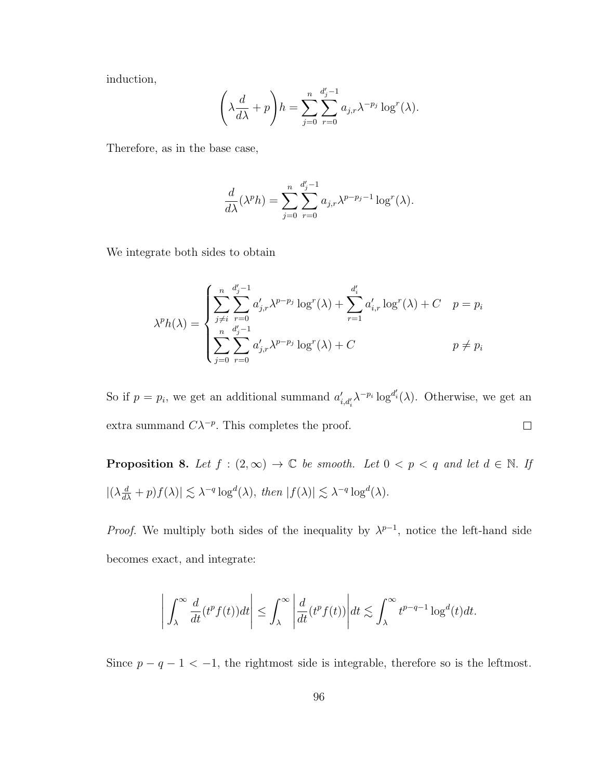induction,

$$
\left(\lambda \frac{d}{d\lambda} + p\right)h = \sum_{j=0}^{n} \sum_{r=0}^{d'_j-1} a_{j,r} \lambda^{-p_j} \log^r(\lambda).
$$

Therefore, as in the base case,

$$
\frac{d}{d\lambda}(\lambda^p h) = \sum_{j=0}^n \sum_{r=0}^{d'_j-1} a_{j,r} \lambda^{p-p_j-1} \log^r(\lambda).
$$

We integrate both sides to obtain

$$
\lambda^{p} h(\lambda) = \begin{cases} \sum_{j \neq i}^{n} \sum_{r=0}^{d'_{j}-1} a'_{j,r} \lambda^{p-p_{j}} \log^{r}(\lambda) + \sum_{r=1}^{d'_{i}} a'_{i,r} \log^{r}(\lambda) + C & p = p_{i} \\ \sum_{j=0}^{n} \sum_{r=0}^{d'_{j}-1} a'_{j,r} \lambda^{p-p_{j}} \log^{r}(\lambda) + C & p \neq p_{i} \end{cases}
$$

So if  $p = p_i$ , we get an additional summand  $a'_{i,d'_i} \lambda^{-p_i} \log^{d'_i}(\lambda)$ . Otherwise, we get an extra summand  $C\lambda^{-p}$ . This completes the proof.  $\Box$ 

<span id="page-105-0"></span>**Proposition 8.** Let  $f : (2, \infty) \to \mathbb{C}$  be smooth. Let  $0 < p < q$  and let  $d \in \mathbb{N}$ . If  $|(\lambda \frac{d}{d\lambda} + p)f(\lambda)| \lesssim \lambda^{-q} \log^d(\lambda), \text{ then } |f(\lambda)| \lesssim \lambda^{-q} \log^d(\lambda).$ 

*Proof.* We multiply both sides of the inequality by  $\lambda^{p-1}$ , notice the left-hand side becomes exact, and integrate:

$$
\left| \int_{\lambda}^{\infty} \frac{d}{dt} (t^p f(t)) dt \right| \leq \int_{\lambda}^{\infty} \left| \frac{d}{dt} (t^p f(t)) \right| dt \lesssim \int_{\lambda}^{\infty} t^{p-q-1} \log^d(t) dt.
$$

Since  $p - q - 1 < -1$ , the rightmost side is integrable, therefore so is the leftmost.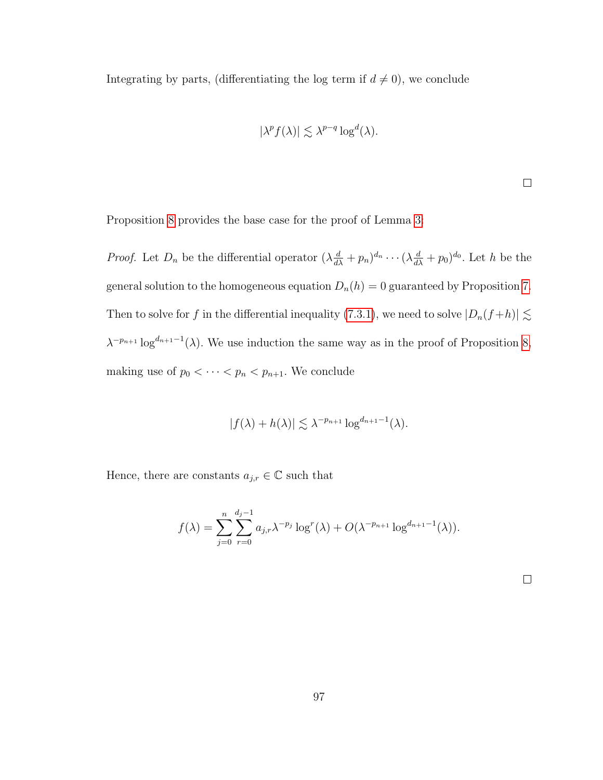Integrating by parts, (differentiating the log term if  $d \neq 0$ ), we conclude

$$
|\lambda^p f(\lambda)| \lesssim \lambda^{p-q} \log^d(\lambda).
$$

 $\Box$ 

Proposition [8](#page-105-0) provides the base case for the proof of Lemma [3:](#page-103-0)

*Proof.* Let  $D_n$  be the differential operator  $(\lambda \frac{d}{d\lambda} + p_n)^{d_n} \cdots (\lambda \frac{d}{d\lambda} + p_0)^{d_0}$ . Let h be the general solution to the homogeneous equation  $D_n(h) = 0$  guaranteed by Proposition [7.](#page-103-1) Then to solve for f in the differential inequality [\(7.3.1\)](#page-103-0), we need to solve  $|D_n(f+h)| \lesssim$  $\lambda^{-p_{n+1}} \log^{d_{n+1}-1}(\lambda)$ . We use induction the same way as in the proof of Proposition [8,](#page-105-0) making use of  $p_0 < \cdots < p_n < p_{n+1}$ . We conclude

$$
|f(\lambda) + h(\lambda)| \lesssim \lambda^{-p_{n+1}} \log^{d_{n+1}-1}(\lambda).
$$

Hence, there are constants  $a_{j,r} \in \mathbb{C}$  such that

$$
f(\lambda) = \sum_{j=0}^{n} \sum_{r=0}^{d_j-1} a_{j,r} \lambda^{-p_j} \log^{r}(\lambda) + O(\lambda^{-p_{n+1}} \log^{d_{n+1}-1}(\lambda)).
$$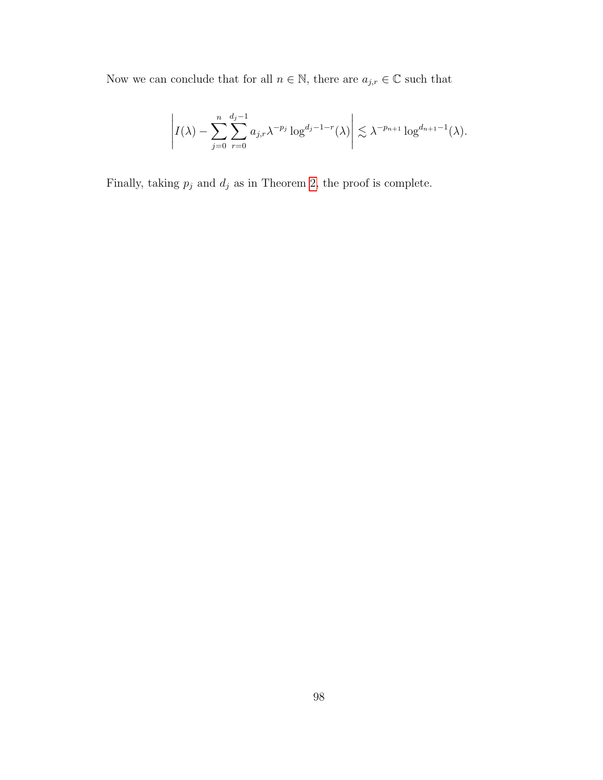Now we can conclude that for all  $n\in\mathbb{N},$  there are  $a_{j,r}\in\mathbb{C}$  such that

$$
\left| I(\lambda) - \sum_{j=0}^n \sum_{r=0}^{d_j-1} a_{j,r} \lambda^{-p_j} \log^{d_j-1-r}(\lambda) \right| \lesssim \lambda^{-p_{n+1}} \log^{d_{n+1}-1}(\lambda).
$$

Finally, taking  $p_j$  and  $d_j$  as in Theorem [2,](#page-24-0) the proof is complete.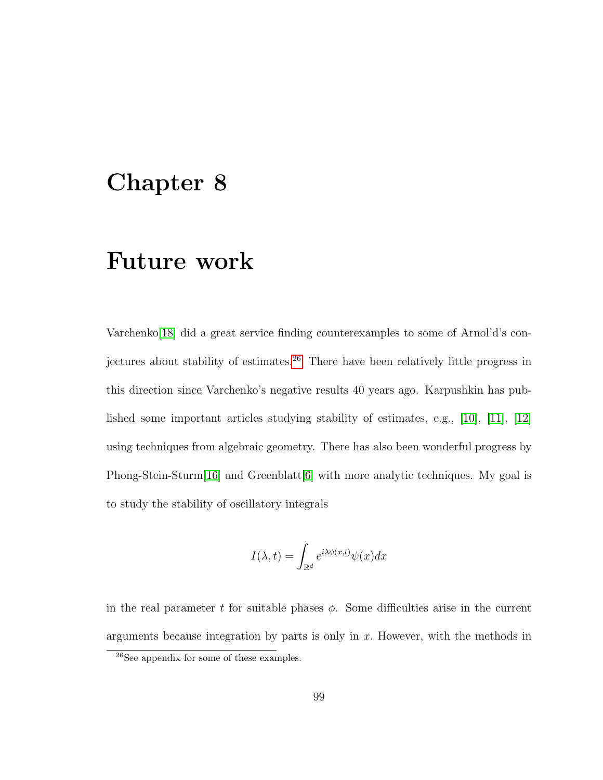## Chapter 8

### Future work

Varchenko[\[18\]](#page-117-0) did a great service finding counterexamples to some of Arnol'd's con-jectures about stability of estimates.<sup>[26](#page-108-0)</sup> There have been relatively little progress in this direction since Varchenko's negative results 40 years ago. Karpushkin has published some important articles studying stability of estimates, e.g., [\[10\]](#page-116-0), [\[11\]](#page-116-1), [\[12\]](#page-116-2) using techniques from algebraic geometry. There has also been wonderful progress by Phong-Stein-Sturm<sup>[\[16\]](#page-117-1)</sup> and Greenblatt<sup>[\[6\]](#page-115-0)</sup> with more analytic techniques. My goal is to study the stability of oscillatory integrals

$$
I(\lambda, t) = \int_{\mathbb{R}^d} e^{i\lambda \phi(x, t)} \psi(x) dx
$$

in the real parameter t for suitable phases  $\phi$ . Some difficulties arise in the current arguments because integration by parts is only in  $x$ . However, with the methods in

<span id="page-108-0"></span><sup>26</sup>See appendix for some of these examples.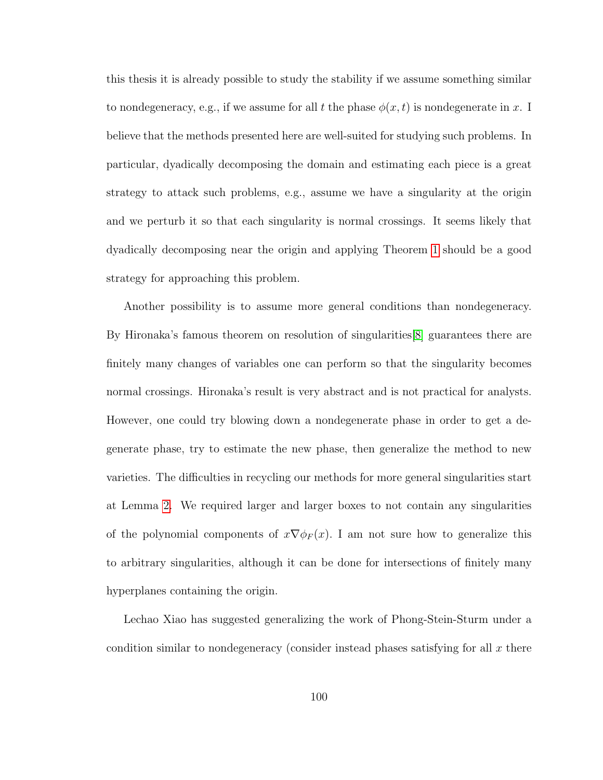this thesis it is already possible to study the stability if we assume something similar to nondegeneracy, e.g., if we assume for all t the phase  $\phi(x, t)$  is nondegenerate in x. I believe that the methods presented here are well-suited for studying such problems. In particular, dyadically decomposing the domain and estimating each piece is a great strategy to attack such problems, e.g., assume we have a singularity at the origin and we perturb it so that each singularity is normal crossings. It seems likely that dyadically decomposing near the origin and applying Theorem [1](#page-23-0) should be a good strategy for approaching this problem.

Another possibility is to assume more general conditions than nondegeneracy. By Hironaka's famous theorem on resolution of singularities[\[8\]](#page-116-3) guarantees there are finitely many changes of variables one can perform so that the singularity becomes normal crossings. Hironaka's result is very abstract and is not practical for analysts. However, one could try blowing down a nondegenerate phase in order to get a degenerate phase, try to estimate the new phase, then generalize the method to new varieties. The difficulties in recycling our methods for more general singularities start at Lemma [2.](#page-22-0) We required larger and larger boxes to not contain any singularities of the polynomial components of  $x\nabla \phi_F(x)$ . I am not sure how to generalize this to arbitrary singularities, although it can be done for intersections of finitely many hyperplanes containing the origin.

Lechao Xiao has suggested generalizing the work of Phong-Stein-Sturm under a condition similar to nondegeneracy (consider instead phases satisfying for all  $x$  there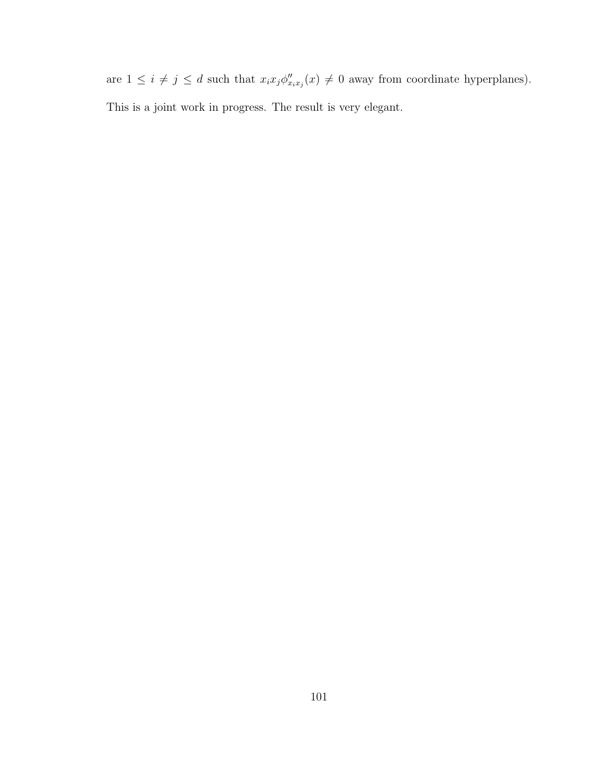are  $1 \leq i \neq j \leq d$  such that  $x_i x_j \phi''_{x_i x_j}(x) \neq 0$  away from coordinate hyperplanes). This is a joint work in progress. The result is very elegant.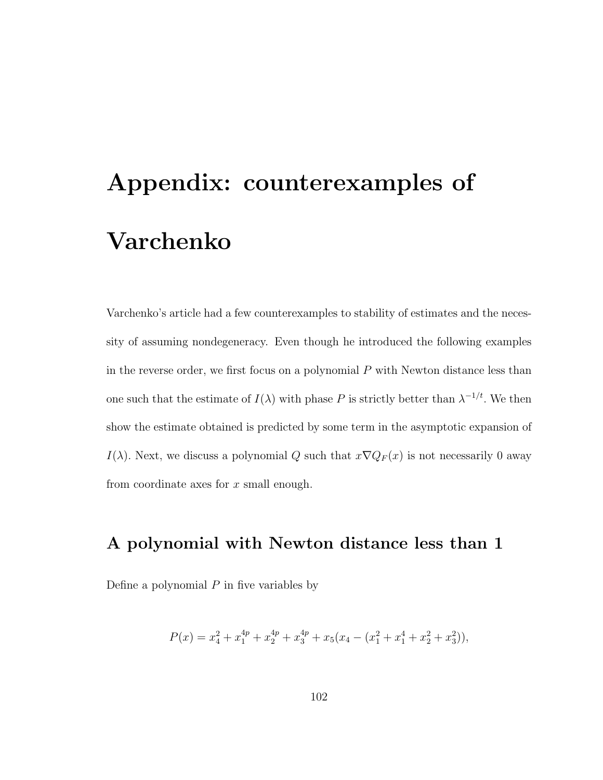# Appendix: counterexamples of Varchenko

Varchenko's article had a few counterexamples to stability of estimates and the necessity of assuming nondegeneracy. Even though he introduced the following examples in the reverse order, we first focus on a polynomial  $P$  with Newton distance less than one such that the estimate of  $I(\lambda)$  with phase P is strictly better than  $\lambda^{-1/t}$ . We then show the estimate obtained is predicted by some term in the asymptotic expansion of I( $\lambda$ ). Next, we discuss a polynomial Q such that  $x\nabla Q_F(x)$  is not necessarily 0 away from coordinate axes for x small enough.

#### A polynomial with Newton distance less than 1

Define a polynomial  $P$  in five variables by

$$
P(x) = x_4^2 + x_1^{4p} + x_2^{4p} + x_3^{4p} + x_5(x_4 - (x_1^2 + x_1^4 + x_2^2 + x_3^2)),
$$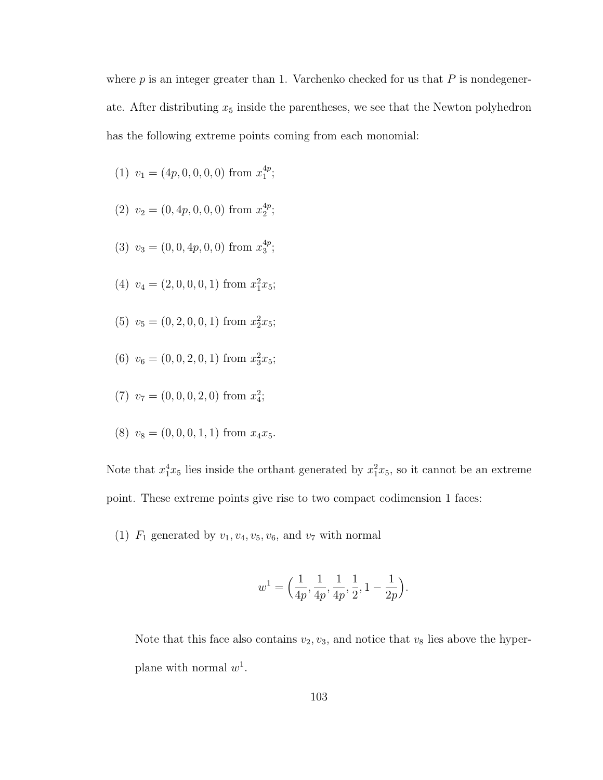where  $p$  is an integer greater than 1. Varchenko checked for us that  $P$  is nondegenerate. After distributing  $x_5$  inside the parentheses, we see that the Newton polyhedron has the following extreme points coming from each monomial:

- (1)  $v_1 = (4p, 0, 0, 0, 0)$  from  $x_1^{4p}$  $_{1}^{4p}$ ;
- (2)  $v_2 = (0, 4p, 0, 0, 0)$  from  $x_2^{4p}$  $_{2}^{4p}$ ;
- (3)  $v_3 = (0, 0, 4p, 0, 0)$  from  $x_3^{4p}$  $_3^{4p}$ ;
- (4)  $v_4 = (2, 0, 0, 0, 1)$  from  $x_1^2 x_5$ ;
- (5)  $v_5 = (0, 2, 0, 0, 1)$  from  $x_2^2 x_5$ ;
- (6)  $v_6 = (0, 0, 2, 0, 1)$  from  $x_3^2x_5$ ;
- (7)  $v_7 = (0, 0, 0, 2, 0)$  from  $x_4^2$ ;
- (8)  $v_8 = (0, 0, 0, 1, 1)$  from  $x_4x_5$ .

Note that  $x_1^4x_5$  lies inside the orthant generated by  $x_1^2x_5$ , so it cannot be an extreme point. These extreme points give rise to two compact codimension 1 faces:

(1)  $F_1$  generated by  $v_1, v_4, v_5, v_6$ , and  $v_7$  with normal

$$
w^{1} = \Big(\frac{1}{4p}, \frac{1}{4p}, \frac{1}{4p}, \frac{1}{2}, 1 - \frac{1}{2p}\Big).
$$

Note that this face also contains  $v_2, v_3$ , and notice that  $v_8$  lies above the hyperplane with normal  $w^1$ .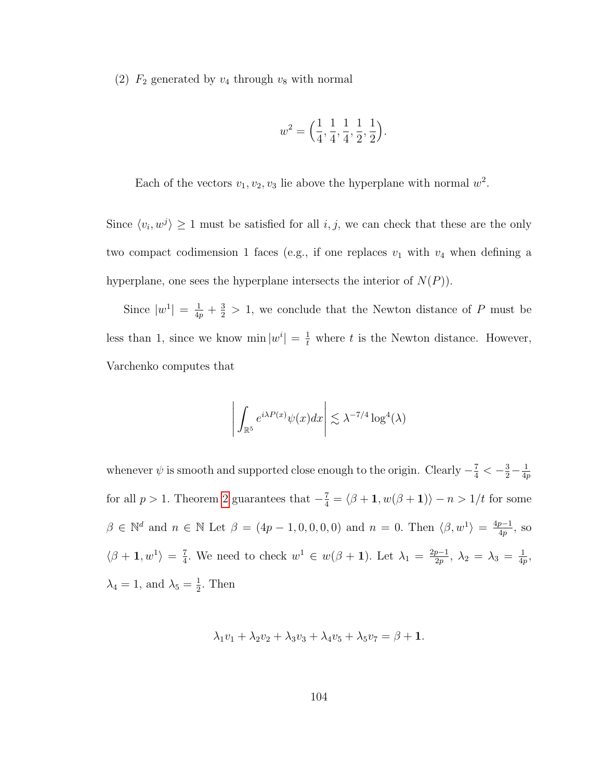(2)  $F_2$  generated by  $v_4$  through  $v_8$  with normal

$$
w^2 = \left(\frac{1}{4}, \frac{1}{4}, \frac{1}{4}, \frac{1}{2}, \frac{1}{2}\right).
$$

Each of the vectors  $v_1, v_2, v_3$  lie above the hyperplane with normal  $w^2$ .

Since  $\langle v_i, w^j \rangle \ge 1$  must be satisfied for all  $i, j$ , we can check that these are the only two compact codimension 1 faces (e.g., if one replaces  $v_1$  with  $v_4$  when defining a hyperplane, one sees the hyperplane intersects the interior of  $N(P)$ .

Since  $|w^1| = \frac{1}{4p} + \frac{3}{2} > 1$ , we conclude that the Newton distance of P must be less than 1, since we know  $\min |w^i| = \frac{1}{t}$  where t is the Newton distance. However, Varchenko computes that

$$
\left| \int_{\mathbb{R}^5} e^{i\lambda P(x)} \psi(x) dx \right| \lesssim \lambda^{-7/4} \log^4(\lambda)
$$

whenever  $\psi$  is smooth and supported close enough to the origin. Clearly  $-\frac{7}{4} < -\frac{3}{2} - \frac{1}{4q}$ 4p for all  $p > 1$ . Theorem [2](#page-24-0) guarantees that  $-\frac{7}{4} = \langle \beta + \mathbf{1}, w(\beta + \mathbf{1}) \rangle - n > 1/t$  for some  $\beta \in \mathbb{N}^d$  and  $n \in \mathbb{N}$  Let  $\beta = (4p - 1, 0, 0, 0, 0)$  and  $n = 0$ . Then  $\langle \beta, w^1 \rangle = \frac{4p - 1}{4p}$  $\frac{p-1}{4p}$ , so  $\langle \beta + \mathbf{1}, w^1 \rangle = \frac{7}{4}$  $\frac{7}{4}$ . We need to check  $w^1 \in w(\beta + 1)$ . Let  $\lambda_1 = \frac{2p-1}{2p}$  $\frac{p-1}{2p},\ \lambda_2\,=\,\lambda_3\,=\,\frac{1}{4p}$  $\frac{1}{4p},$  $\lambda_4 = 1$ , and  $\lambda_5 = \frac{1}{2}$  $\frac{1}{2}$ . Then

$$
\lambda_1v_1 + \lambda_2v_2 + \lambda_3v_3 + \lambda_4v_5 + \lambda_5v_7 = \beta + 1.
$$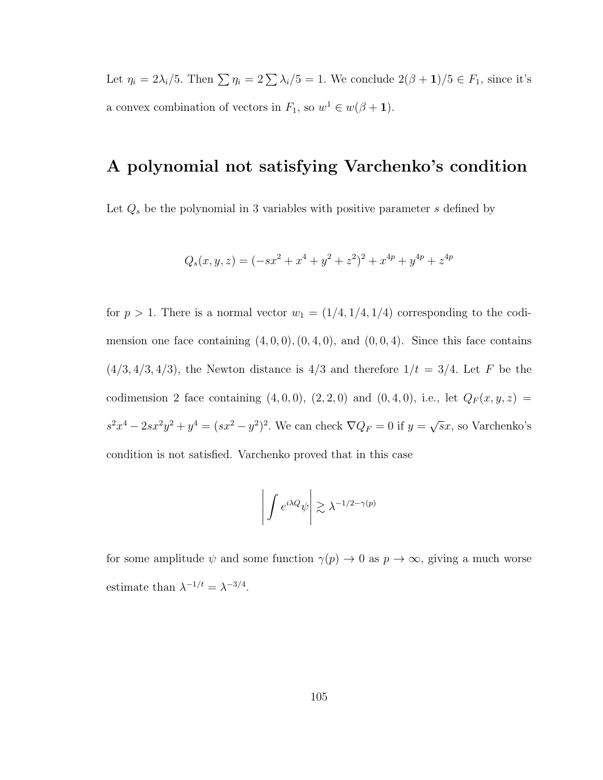Let  $\eta_i = 2\lambda_i/5$ . Then  $\sum \eta_i = 2\sum \lambda_i/5 = 1$ . We conclude  $2(\beta + 1)/5 \in F_1$ , since it's a convex combination of vectors in  $F_1$ , so  $w^1 \in w(\beta + 1)$ .

#### A polynomial not satisfying Varchenko's condition

Let  $Q_s$  be the polynomial in 3 variables with positive parameter s defined by

$$
Q_s(x, y, z) = (-sx^2 + x^4 + y^2 + z^2)^2 + x^{4p} + y^{4p} + z^{4p}
$$

for  $p > 1$ . There is a normal vector  $w_1 = (1/4, 1/4, 1/4)$  corresponding to the codimension one face containing  $(4, 0, 0), (0, 4, 0),$  and  $(0, 0, 4)$ . Since this face contains  $(4/3, 4/3, 4/3)$ , the Newton distance is  $4/3$  and therefore  $1/t = 3/4$ . Let F be the codimension 2 face containing  $(4, 0, 0)$ ,  $(2, 2, 0)$  and  $(0, 4, 0)$ , i.e., let  $Q_F(x, y, z) =$  $s^2x^4 - 2sx^2y^2 + y^4 = (sx^2 - y^2)^2$ . We can check  $\nabla Q_F = 0$  if  $y =$ √  $\overline{s}x$ , so Varchenko's condition is not satisfied. Varchenko proved that in this case

$$
\left| \int e^{i\lambda Q} \psi \right| \gtrsim \lambda^{-1/2 - \gamma(p)}
$$

for some amplitude  $\psi$  and some function  $\gamma(p) \to 0$  as  $p \to \infty$ , giving a much worse estimate than  $\lambda^{-1/t} = \lambda^{-3/4}$ .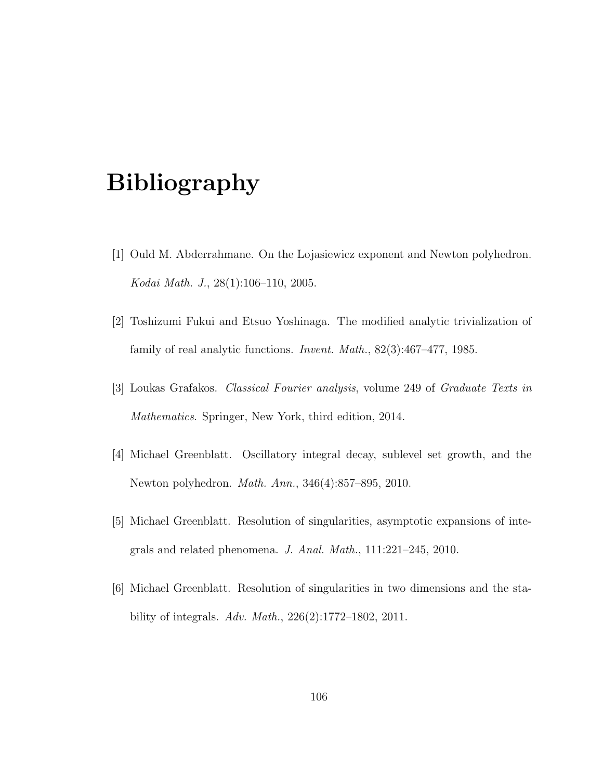## Bibliography

- [1] Ould M. Abderrahmane. On the Lojasiewicz exponent and Newton polyhedron. Kodai Math. J., 28(1):106–110, 2005.
- [2] Toshizumi Fukui and Etsuo Yoshinaga. The modified analytic trivialization of family of real analytic functions. Invent. Math., 82(3):467–477, 1985.
- [3] Loukas Grafakos. Classical Fourier analysis, volume 249 of Graduate Texts in Mathematics. Springer, New York, third edition, 2014.
- [4] Michael Greenblatt. Oscillatory integral decay, sublevel set growth, and the Newton polyhedron. Math. Ann., 346(4):857–895, 2010.
- [5] Michael Greenblatt. Resolution of singularities, asymptotic expansions of integrals and related phenomena. J. Anal. Math., 111:221–245, 2010.
- <span id="page-115-0"></span>[6] Michael Greenblatt. Resolution of singularities in two dimensions and the stability of integrals. Adv. Math., 226(2):1772–1802, 2011.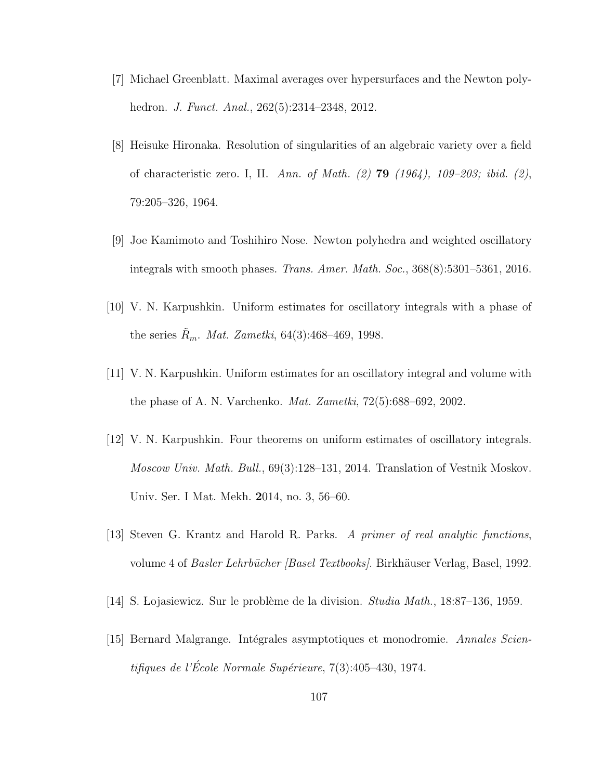- [7] Michael Greenblatt. Maximal averages over hypersurfaces and the Newton polyhedron. J. Funct. Anal., 262(5):2314–2348, 2012.
- <span id="page-116-3"></span>[8] Heisuke Hironaka. Resolution of singularities of an algebraic variety over a field of characteristic zero. I, II. Ann. of Math.  $(2)$  79  $(1964)$ , 109–203; ibid.  $(2)$ , 79:205–326, 1964.
- [9] Joe Kamimoto and Toshihiro Nose. Newton polyhedra and weighted oscillatory integrals with smooth phases. Trans. Amer. Math. Soc., 368(8):5301–5361, 2016.
- <span id="page-116-0"></span>[10] V. N. Karpushkin. Uniform estimates for oscillatory integrals with a phase of the series  $R_m$ . *Mat. Zametki*, 64(3):468–469, 1998.
- <span id="page-116-1"></span>[11] V. N. Karpushkin. Uniform estimates for an oscillatory integral and volume with the phase of A. N. Varchenko. Mat. Zametki, 72(5):688–692, 2002.
- <span id="page-116-2"></span>[12] V. N. Karpushkin. Four theorems on uniform estimates of oscillatory integrals. Moscow Univ. Math. Bull., 69(3):128–131, 2014. Translation of Vestnik Moskov. Univ. Ser. I Mat. Mekh. 2014, no. 3, 56–60.
- [13] Steven G. Krantz and Harold R. Parks. A primer of real analytic functions, volume 4 of *Basler Lehrbücher [Basel Textbooks]*. Birkhäuser Verlag, Basel, 1992.
- [14] S. Lojasiewicz. Sur le problème de la division. *Studia Math.*, 18:87–136, 1959.
- [15] Bernard Malgrange. Intégrales asymptotiques et monodromie. Annales Scientifiques de l'École Normale Supérieure,  $7(3):405-430, 1974.$